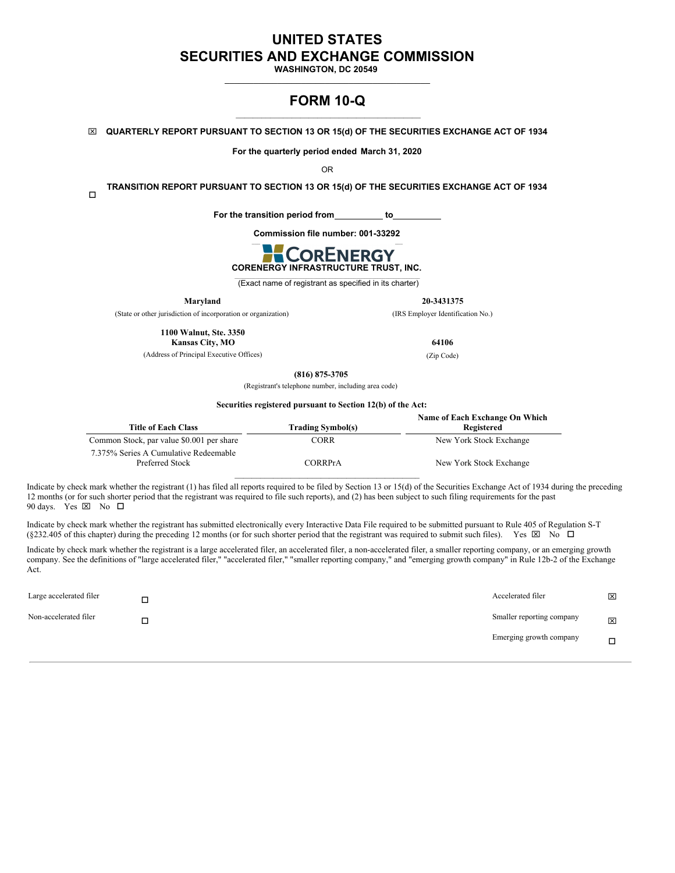# **UNITED STATES SECURITIES AND EXCHANGE COMMISSION**

**WASHINGTON, DC 20549** \_\_\_\_\_\_\_\_\_\_\_\_\_\_\_\_\_\_\_\_\_\_\_\_\_\_\_\_\_\_\_\_\_\_\_\_\_\_\_\_\_\_\_

# **FORM 10-Q** \_\_\_\_\_\_\_\_\_\_\_\_\_\_\_\_\_\_\_\_\_\_\_\_\_\_\_\_\_\_\_\_\_\_\_\_\_\_\_\_\_\_\_

x **QUARTERLY REPORT PURSUANT TO SECTION 13 OR 15(d) OF THE SECURITIES EXCHANGE ACT OF 1934**

**For the quarterly period ended March 31, 2020**

OR

**TRANSITION REPORT PURSUANT TO SECTION 13 OR 15(d) OF THE SECURITIES EXCHANGE ACT OF 1934**

o

**For the transition period from to**

**Commission file number: 001-33292**



(Exact name of registrant as specified in its charter)

**Maryland 20-3431375**

(State or other jurisdiction of incorporation or organization) (IRS Employer Identification No.)

**1100 Walnut, Ste. 3350 Kansas City, MO 64106**

(Address of Principal Executive Offices) (Zip Code)

**(816) 875-3705**

(Registrant's telephone number, including area code)

**Securities registered pursuant to Section 12(b) of the Act:**

| <b>Title of Each Class</b>                               | <b>Trading Symbol(s)</b> | Name of Each Exchange On Which<br>Registered |
|----------------------------------------------------------|--------------------------|----------------------------------------------|
| Common Stock, par value \$0.001 per share                | <b>CORR</b>              | New York Stock Exchange                      |
| 7.375% Series A Cumulative Redeemable<br>Preferred Stock | <b>CORRPrA</b>           | New York Stock Exchange                      |

Indicate by check mark whether the registrant (1) has filed all reports required to be filed by Section 13 or 15(d) of the Securities Exchange Act of 1934 during the preceding 12 months (or for such shorter period that the registrant was required to file such reports), and (2) has been subject to such filing requirements for the past 90 days. Yes  $\boxtimes$  No  $\square$ 

Indicate by check mark whether the registrant has submitted electronically every Interactive Data File required to be submitted pursuant to Rule 405 of Regulation S-T (§232.405 of this chapter) during the preceding 12 months (or for such shorter period that the registrant was required to submit such files). Yes  $\boxtimes$  No  $\Box$ 

Indicate by check mark whether the registrant is a large accelerated filer, an accelerated filer, a non-accelerated filer, a smaller reporting company, or an emerging growth company. See the definitions of "large accelerated filer," "accelerated filer," "smaller reporting company," and "emerging growth company" in Rule 12b-2 of the Exchange Act.

| Large accelerated filer | - | Accelerated filer         | $\mathbf{x}$            |
|-------------------------|---|---------------------------|-------------------------|
| Non-accelerated filer   |   | Smaller reporting company | $\mathbf{\overline{X}}$ |
|                         |   | Emerging growth company   | п                       |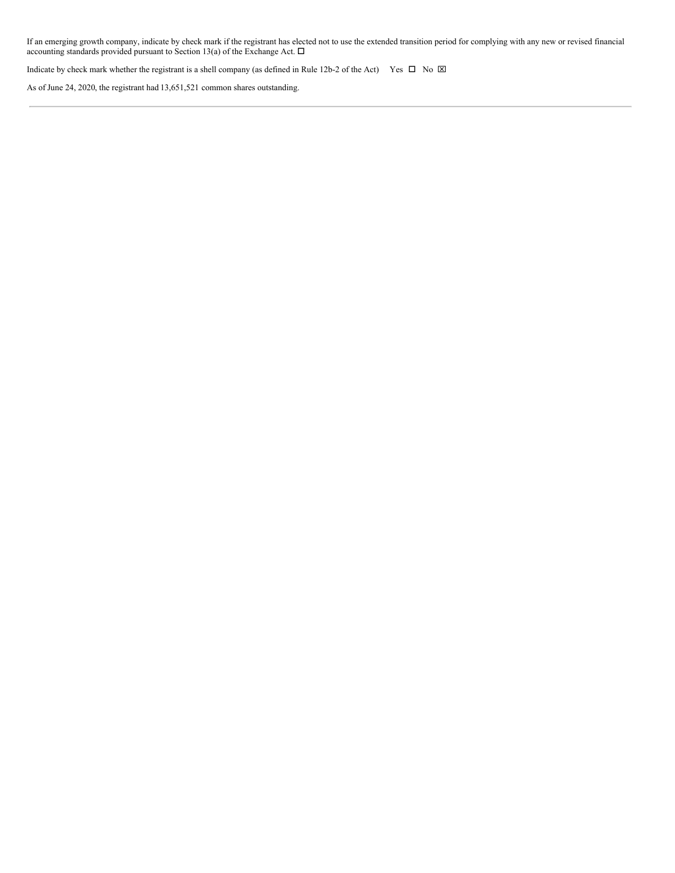If an emerging growth company, indicate by check mark if the registrant has elected not to use the extended transition period for complying with any new or revised financial accounting standards provided pursuant to Section 13(a) of the Exchange Act.  $\Box$ 

Indicate by check mark whether the registrant is a shell company (as defined in Rule 12b-2 of the Act) Yes  $\Box$  No  $\boxtimes$ 

As of June 24, 2020, the registrant had 13,651,521 common shares outstanding.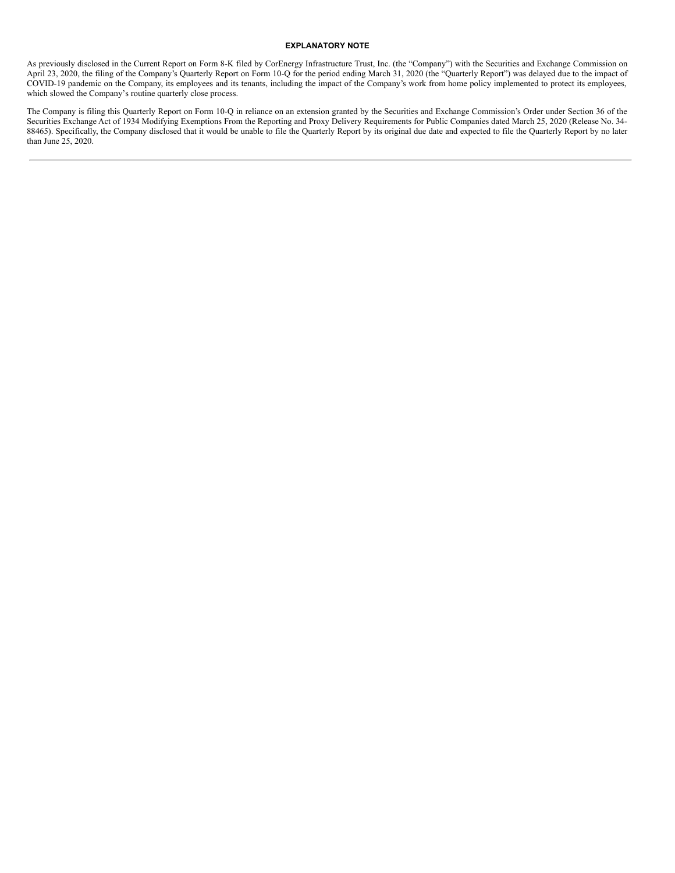#### **EXPLANATORY NOTE**

As previously disclosed in the Current Report on Form 8-K filed by CorEnergy Infrastructure Trust, Inc. (the "Company") with the Securities and Exchange Commission on April 23, 2020, the filing of the Company's Quarterly Report on Form 10-Q for the period ending March 31, 2020 (the "Quarterly Report") was delayed due to the impact of COVID-19 pandemic on the Company, its employees and its tenants, including the impact of the Company's work from home policy implemented to protect its employees, which slowed the Company's routine quarterly close process.

The Company is filing this Quarterly Report on Form 10-Q in reliance on an extension granted by the Securities and Exchange Commission's Order under Section 36 of the Securities Exchange Act of 1934 Modifying Exemptions From the Reporting and Proxy Delivery Requirements for Public Companies dated March 25, 2020 (Release No. 34- 88465). Specifically, the Company disclosed that it would be unable to file the Quarterly Report by its original due date and expected to file the Quarterly Report by no later than June 25, 2020.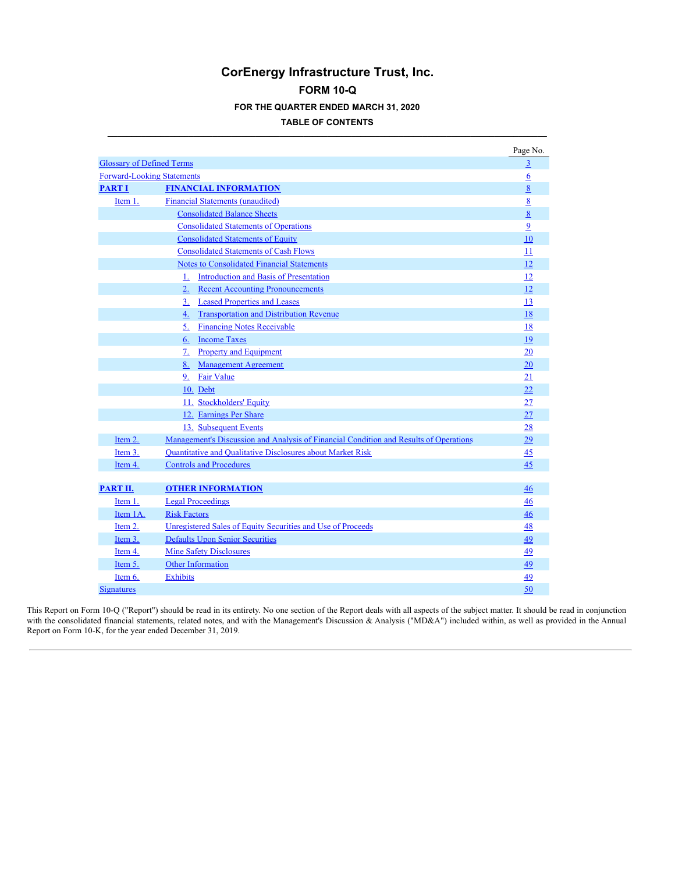# **CorEnergy Infrastructure Trust, Inc.**

# **FORM 10-Q**

# **FOR THE QUARTER ENDED MARCH 31, 2020**

## <span id="page-3-0"></span>**TABLE OF CONTENTS** \_\_\_\_\_\_\_\_\_\_\_\_\_\_\_\_\_\_\_\_\_\_\_\_\_\_\_\_\_\_\_\_\_\_\_\_\_\_\_\_\_\_\_\_\_\_\_\_\_\_\_\_\_\_\_\_\_\_\_\_\_\_\_\_\_\_\_\_\_\_\_\_\_\_\_\_\_\_\_\_\_\_\_\_\_\_\_\_\_\_\_\_

|                                   |                                                                                       | Page No.        |
|-----------------------------------|---------------------------------------------------------------------------------------|-----------------|
| <b>Glossary of Defined Terms</b>  |                                                                                       | <u>3</u>        |
| <b>Forward-Looking Statements</b> |                                                                                       | <u>6</u>        |
| <b>PART I</b>                     | <b>FINANCIAL INFORMATION</b>                                                          | 8               |
| Item 1.                           | <b>Financial Statements (unaudited)</b>                                               | $\underline{8}$ |
|                                   | <b>Consolidated Balance Sheets</b>                                                    | 8               |
|                                   | <b>Consolidated Statements of Operations</b>                                          | $\overline{9}$  |
|                                   | <b>Consolidated Statements of Equity</b>                                              | 10              |
|                                   | <b>Consolidated Statements of Cash Flows</b>                                          | 11              |
|                                   | <b>Notes to Consolidated Financial Statements</b>                                     | 12              |
|                                   | <b>Introduction and Basis of Presentation</b><br>1.                                   | 12              |
|                                   | 2.<br><b>Recent Accounting Pronouncements</b>                                         | 12              |
|                                   | <b>Leased Properties and Leases</b><br>3.                                             | 13              |
|                                   | <b>Transportation and Distribution Revenue</b><br>4.                                  | 18              |
|                                   | 5.<br><b>Financing Notes Receivable</b>                                               | <b>18</b>       |
|                                   | <b>Income Taxes</b><br>6.                                                             | 19              |
|                                   | 7.<br><b>Property and Equipment</b>                                                   | 20              |
|                                   | <b>Management Agreement</b><br>8.                                                     | 20              |
|                                   | 9 <sub>1</sub><br><b>Fair Value</b>                                                   | 21              |
|                                   | 10. Debt                                                                              | 22              |
|                                   | 11. Stockholders' Equity                                                              | 27              |
|                                   | 12. Earnings Per Share                                                                | 27              |
|                                   | 13. Subsequent Events                                                                 | 28              |
| Item 2.                           | Management's Discussion and Analysis of Financial Condition and Results of Operations | 29              |
| Item 3.                           | <b>Ouantitative and Qualitative Disclosures about Market Risk</b>                     | 45              |
| Item 4.                           | <b>Controls and Procedures</b>                                                        | 45              |
|                                   |                                                                                       |                 |
| PART II.                          | <b>OTHER INFORMATION</b>                                                              | 46              |
| Item 1.                           | <b>Legal Proceedings</b>                                                              | 46              |
| Item 1A.                          | <b>Risk Factors</b>                                                                   | 46              |
| Item 2.                           | Unregistered Sales of Equity Securities and Use of Proceeds                           | 48              |
| Item 3.                           | <b>Defaults Upon Senior Securities</b>                                                | 49              |
| Item 4.                           | <b>Mine Safety Disclosures</b>                                                        | 49              |
| Item 5.                           | <b>Other Information</b>                                                              | 49              |
| Item $6.$                         | <b>Exhibits</b>                                                                       | 49              |
| <b>Signatures</b>                 |                                                                                       | 50              |

This Report on Form 10-Q ("Report") should be read in its entirety. No one section of the Report deals with all aspects of the subject matter. It should be read in conjunction with the consolidated financial statements, related notes, and with the Management's Discussion & Analysis ("MD&A") included within, as well as provided in the Annual Report on Form 10-K, for the year ended December 31, 2019.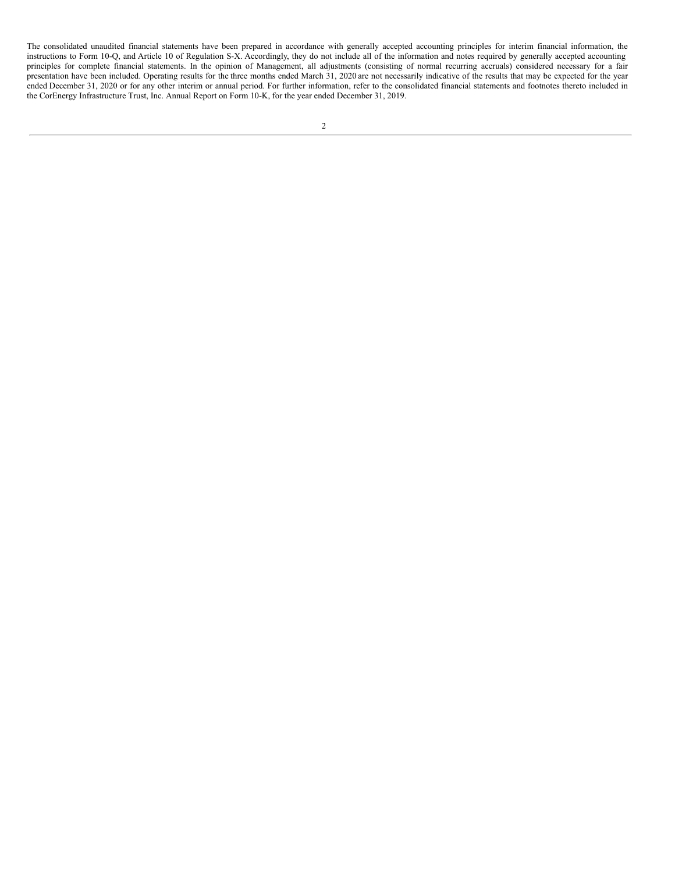The consolidated unaudited financial statements have been prepared in accordance with generally accepted accounting principles for interim financial information, the instructions to Form 10-Q, and Article 10 of Regulation S-X. Accordingly, they do not include all of the information and notes required by generally accepted accounting principles for complete financial statements. In the opinion of Management, all adjustments (consisting of normal recurring accruals) considered necessary for a fair presentation have been included. Operating results for the three months ended March 31, 2020 are not necessarily indicative of the results that may be expected for the year ended December 31, 2020 or for any other interim or annual period. For further information, refer to the consolidated financial statements and footnotes thereto included in the CorEnergy Infrastructure Trust, Inc. Annual Report on Form 10-K, for the year ended December 31, 2019.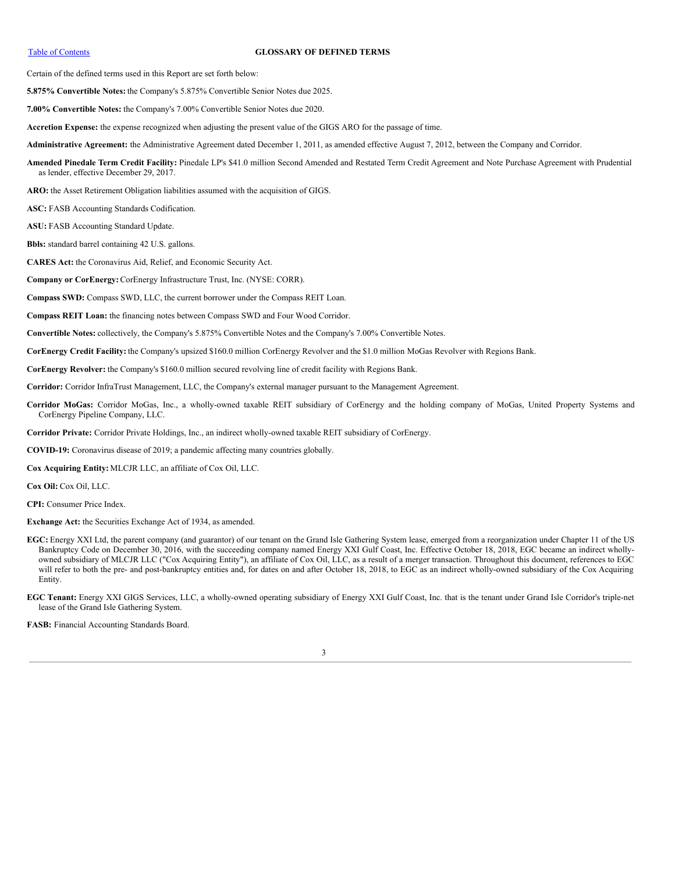#### <span id="page-5-0"></span>Table of [Contents](#page-3-0) **GLOSSARY OF DEFINED TERMS**

Certain of the defined terms used in this Report are set forth below:

**5.875% Convertible Notes:** the Company's 5.875% Convertible Senior Notes due 2025.

**7.00% Convertible Notes:** the Company's 7.00% Convertible Senior Notes due 2020.

**Accretion Expense:** the expense recognized when adjusting the present value of the GIGS ARO for the passage of time.

**Administrative Agreement:** the Administrative Agreement dated December 1, 2011, as amended effective August 7, 2012, between the Company and Corridor.

**Amended Pinedale Term Credit Facility:** Pinedale LP's \$41.0 million Second Amended and Restated Term Credit Agreement and Note Purchase Agreement with Prudential as lender, effective December 29, 2017.

**ARO:** the Asset Retirement Obligation liabilities assumed with the acquisition of GIGS.

**ASC:** FASB Accounting Standards Codification.

**ASU:** FASB Accounting Standard Update.

**Bbls:** standard barrel containing 42 U.S. gallons.

**CARES Act:** the Coronavirus Aid, Relief, and Economic Security Act.

**Company or CorEnergy:**CorEnergy Infrastructure Trust, Inc. (NYSE: CORR).

**Compass SWD:** Compass SWD, LLC, the current borrower under the Compass REIT Loan.

**Compass REIT Loan:** the financing notes between Compass SWD and Four Wood Corridor.

**Convertible Notes:** collectively, the Company's 5.875% Convertible Notes and the Company's 7.00% Convertible Notes.

**CorEnergy Credit Facility:** the Company's upsized \$160.0 million CorEnergy Revolver and the \$1.0 million MoGas Revolver with Regions Bank.

**CorEnergy Revolver:** the Company's \$160.0 million secured revolving line of credit facility with Regions Bank.

**Corridor:** Corridor InfraTrust Management, LLC, the Company's external manager pursuant to the Management Agreement.

**Corridor MoGas:** Corridor MoGas, Inc., a wholly-owned taxable REIT subsidiary of CorEnergy and the holding company of MoGas, United Property Systems and CorEnergy Pipeline Company, LLC.

**Corridor Private:** Corridor Private Holdings, Inc., an indirect wholly-owned taxable REIT subsidiary of CorEnergy.

**COVID-19:** Coronavirus disease of 2019; a pandemic affecting many countries globally.

**Cox Acquiring Entity:** MLCJR LLC, an affiliate of Cox Oil, LLC.

**Cox Oil:** Cox Oil, LLC.

**CPI:** Consumer Price Index.

**Exchange Act:** the Securities Exchange Act of 1934, as amended.

**EGC:** Energy XXI Ltd, the parent company (and guarantor) of our tenant on the Grand Isle Gathering System lease, emerged from a reorganization under Chapter 11 of the US Bankruptcy Code on December 30, 2016, with the succeeding company named Energy XXI Gulf Coast, Inc. Effective October 18, 2018, EGC became an indirect whollyowned subsidiary of MLCJR LLC ("Cox Acquiring Entity"), an affiliate of Cox Oil, LLC, as a result of a merger transaction. Throughout this document, references to EGC will refer to both the pre- and post-bankruptcy entities and, for dates on and after October 18, 2018, to EGC as an indirect wholly-owned subsidiary of the Cox Acquiring Entity.

**EGC Tenant:** Energy XXI GIGS Services, LLC, a wholly-owned operating subsidiary of Energy XXI Gulf Coast, Inc. that is the tenant under Grand Isle Corridor's triple-net lease of the Grand Isle Gathering System.

**FASB:** Financial Accounting Standards Board.

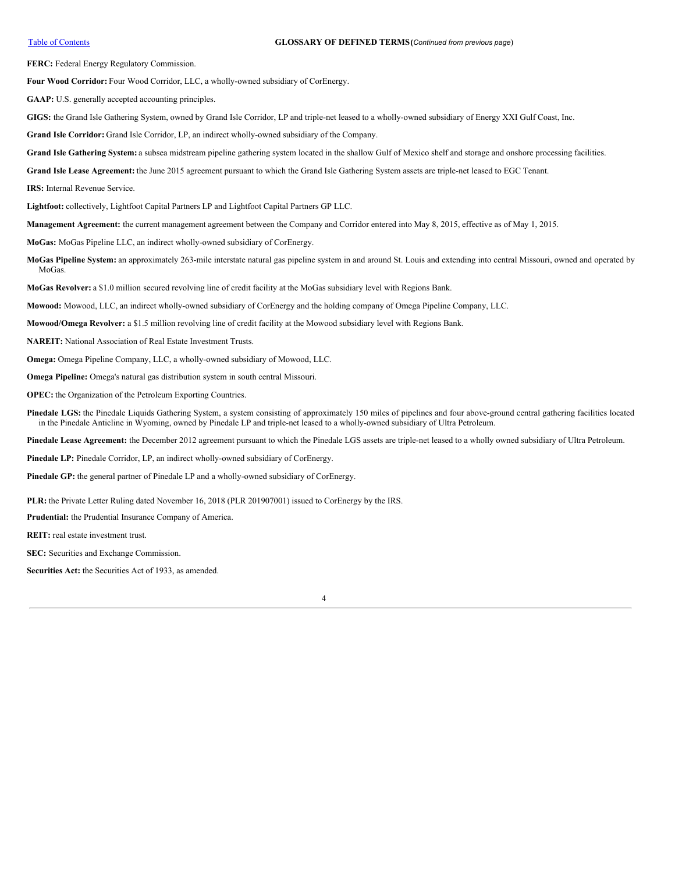#### Table of [Contents](#page-3-0) **GLOSSARY OF DEFINED TERMS(***Continued from previous page*)

**FERC:** Federal Energy Regulatory Commission.

**Four Wood Corridor:** Four Wood Corridor, LLC, a wholly-owned subsidiary of CorEnergy.

**GAAP:** U.S. generally accepted accounting principles.

**GIGS:** the Grand Isle Gathering System, owned by Grand Isle Corridor, LP and triple-net leased to a wholly-owned subsidiary of Energy XXI Gulf Coast, Inc.

**Grand Isle Corridor:** Grand Isle Corridor, LP, an indirect wholly-owned subsidiary of the Company.

**Grand Isle Gathering System:** a subsea midstream pipeline gathering system located in the shallow Gulf of Mexico shelf and storage and onshore processing facilities.

**Grand Isle Lease Agreement:** the June 2015 agreement pursuant to which the Grand Isle Gathering System assets are triple-net leased to EGC Tenant.

**IRS:** Internal Revenue Service.

**Lightfoot:** collectively, Lightfoot Capital Partners LP and Lightfoot Capital Partners GP LLC.

**Management Agreement:** the current management agreement between the Company and Corridor entered into May 8, 2015, effective as of May 1, 2015.

**MoGas:** MoGas Pipeline LLC, an indirect wholly-owned subsidiary of CorEnergy.

**MoGas Pipeline System:** an approximately 263-mile interstate natural gas pipeline system in and around St. Louis and extending into central Missouri, owned and operated by **MoGas** 

**MoGas Revolver:** a \$1.0 million secured revolving line of credit facility at the MoGas subsidiary level with Regions Bank.

**Mowood:** Mowood, LLC, an indirect wholly-owned subsidiary of CorEnergy and the holding company of Omega Pipeline Company, LLC.

**Mowood/Omega Revolver:** a \$1.5 million revolving line of credit facility at the Mowood subsidiary level with Regions Bank.

**NAREIT:** National Association of Real Estate Investment Trusts.

**Omega:** Omega Pipeline Company, LLC, a wholly-owned subsidiary of Mowood, LLC.

**Omega Pipeline:** Omega's natural gas distribution system in south central Missouri.

**OPEC:** the Organization of the Petroleum Exporting Countries.

**Pinedale LGS:** the Pinedale Liquids Gathering System, a system consisting of approximately 150 miles of pipelines and four above-ground central gathering facilities located in the Pinedale Anticline in Wyoming, owned by Pinedale LP and triple-net leased to a wholly-owned subsidiary of Ultra Petroleum.

**Pinedale Lease Agreement:** the December 2012 agreement pursuant to which the Pinedale LGS assets are triple-net leased to a wholly owned subsidiary of Ultra Petroleum.

**Pinedale LP:** Pinedale Corridor, LP, an indirect wholly-owned subsidiary of CorEnergy.

**Pinedale GP:** the general partner of Pinedale LP and a wholly-owned subsidiary of CorEnergy.

**PLR:** the Private Letter Ruling dated November 16, 2018 (PLR 201907001) issued to CorEnergy by the IRS.

**Prudential:** the Prudential Insurance Company of America.

**REIT:** real estate investment trust.

**SEC:** Securities and Exchange Commission.

**Securities Act:** the Securities Act of 1933, as amended.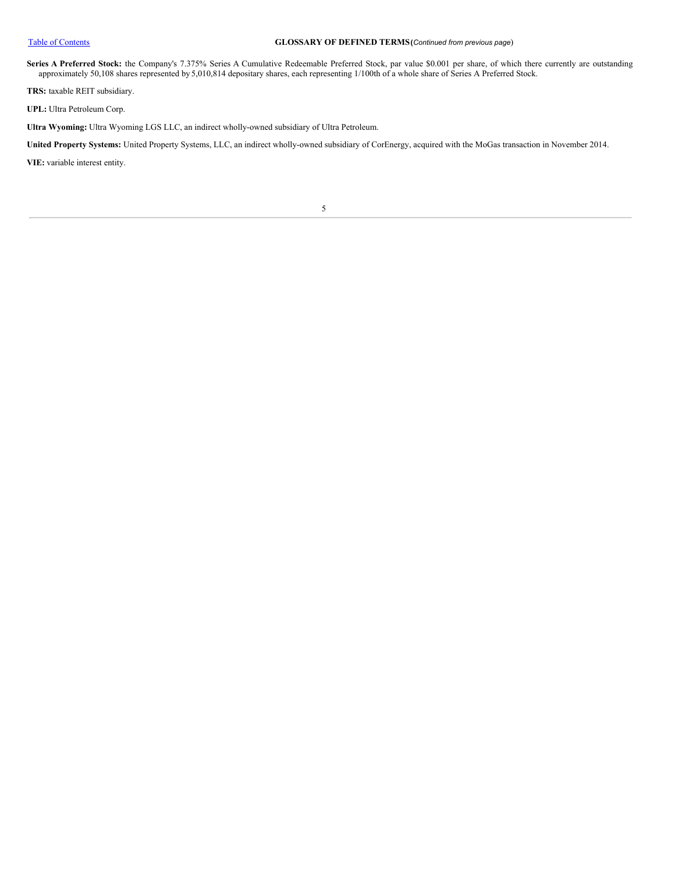# Table of [Contents](#page-3-0) **GLOSSARY OF DEFINED TERMS(***Continued from previous page*)

**Series A Preferred Stock:** the Company's 7.375% Series A Cumulative Redeemable Preferred Stock, par value \$0.001 per share, of which there currently are outstanding approximately 50,108 shares represented by 5,010,814 depositary shares, each representing 1/100th of a whole share of Series A Preferred Stock.

**TRS:** taxable REIT subsidiary.

**UPL:** Ultra Petroleum Corp.

**Ultra Wyoming:** Ultra Wyoming LGS LLC, an indirect wholly-owned subsidiary of Ultra Petroleum.

**United Property Systems:** United Property Systems, LLC, an indirect wholly-owned subsidiary of CorEnergy, acquired with the MoGas transaction in November 2014.

**VIE:** variable interest entity.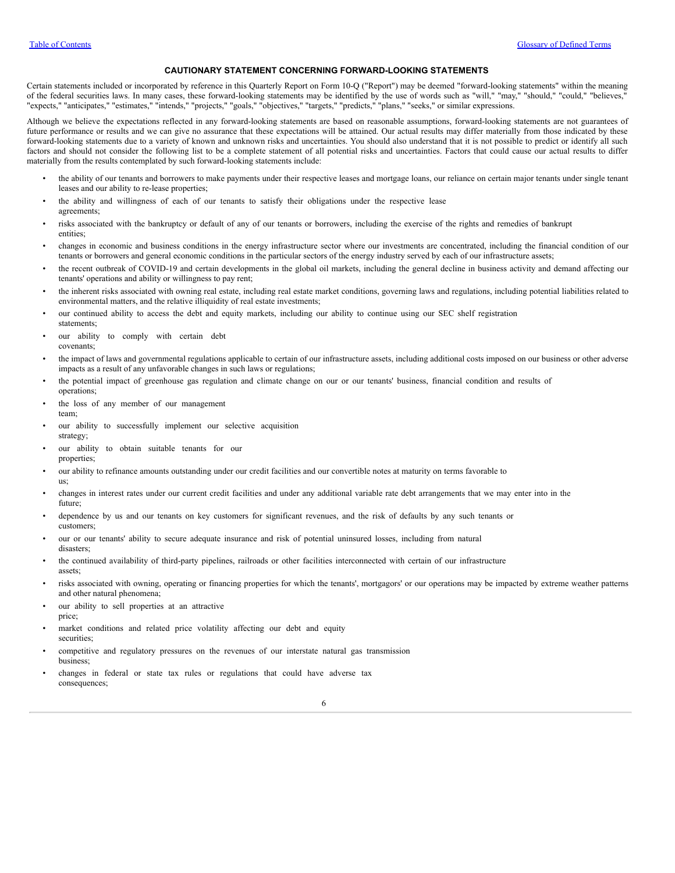#### **CAUTIONARY STATEMENT CONCERNING FORWARD-LOOKING STATEMENTS**

<span id="page-8-0"></span>Certain statements included or incorporated by reference in this Quarterly Report on Form 10-Q ("Report") may be deemed "forward-looking statements" within the meaning of the federal securities laws. In many cases, these forward-looking statements may be identified by the use of words such as "will," "may," "should," "could," "believes," "expects," "anticipates," "estimates," "intends," "projects," "goals," "objectives," "targets," "predicts," "plans," "seeks," or similar expressions.

Although we believe the expectations reflected in any forward-looking statements are based on reasonable assumptions, forward-looking statements are not guarantees of future performance or results and we can give no assurance that these expectations will be attained. Our actual results may differ materially from those indicated by these forward-looking statements due to a variety of known and unknown risks and uncertainties. You should also understand that it is not possible to predict or identify all such factors and should not consider the following list to be a complete statement of all potential risks and uncertainties. Factors that could cause our actual results to differ materially from the results contemplated by such forward-looking statements include:

- the ability of our tenants and borrowers to make payments under their respective leases and mortgage loans, our reliance on certain major tenants under single tenant leases and our ability to re-lease properties;
- the ability and willingness of each of our tenants to satisfy their obligations under the respective lease agreements;
- risks associated with the bankruptcy or default of any of our tenants or borrowers, including the exercise of the rights and remedies of bankrupt entities;
- changes in economic and business conditions in the energy infrastructure sector where our investments are concentrated, including the financial condition of our tenants or borrowers and general economic conditions in the particular sectors of the energy industry served by each of our infrastructure assets;
- the recent outbreak of COVID-19 and certain developments in the global oil markets, including the general decline in business activity and demand affecting our tenants' operations and ability or willingness to pay rent;
- the inherent risks associated with owning real estate, including real estate market conditions, governing laws and regulations, including potential liabilities related to environmental matters, and the relative illiquidity of real estate investments;
- our continued ability to access the debt and equity markets, including our ability to continue using our SEC shelf registration statements;
- our ability to comply with certain debt covenants;
- the impact of laws and governmental regulations applicable to certain of our infrastructure assets, including additional costs imposed on our business or other adverse impacts as a result of any unfavorable changes in such laws or regulations;
- the potential impact of greenhouse gas regulation and climate change on our or our tenants' business, financial condition and results of operations;
- the loss of any member of our management team;
- our ability to successfully implement our selective acquisition strategy;
- our ability to obtain suitable tenants for our properties;
- our ability to refinance amounts outstanding under our credit facilities and our convertible notes at maturity on terms favorable to us;
- changes in interest rates under our current credit facilities and under any additional variable rate debt arrangements that we may enter into in the future;
- dependence by us and our tenants on key customers for significant revenues, and the risk of defaults by any such tenants or customers;
- our or our tenants' ability to secure adequate insurance and risk of potential uninsured losses, including from natural disasters;
- the continued availability of third-party pipelines, railroads or other facilities interconnected with certain of our infrastructure assets;
- risks associated with owning, operating or financing properties for which the tenants', mortgagors' or our operations may be impacted by extreme weather patterns and other natural phenomena;
- our ability to sell properties at an attractive price;
- market conditions and related price volatility affecting our debt and equity securities;
- competitive and regulatory pressures on the revenues of our interstate natural gas transmission business;
- changes in federal or state tax rules or regulations that could have adverse tax consequences: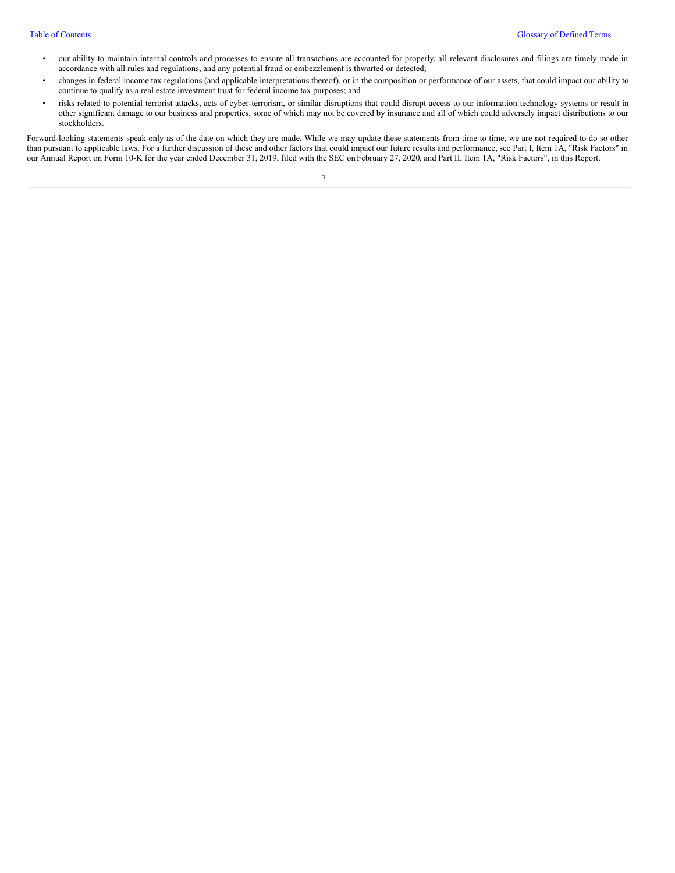- our ability to maintain internal controls and processes to ensure all transactions are accounted for properly, all relevant disclosures and filings are timely made in accordance with all rules and regulations, and any potential fraud or embezzlement is thwarted or detected;
- changes in federal income tax regulations (and applicable interpretations thereof), or in the composition or performance of our assets, that could impact our ability to continue to qualify as a real estate investment trust for federal income tax purposes; and
- risks related to potential terrorist attacks, acts of cyber-terrorism, or similar disruptions that could disrupt access to our information technology systems or result in other significant damage to our business and properties, some of which may not be covered by insurance and all of which could adversely impact distributions to our stockholders.

Forward-looking statements speak only as of the date on which they are made. While we may update these statements from time to time, we are not required to do so other than pursuant to applicable laws. For a further discussion of these and other factors that could impact our future results and performance, see Part I, Item 1A, "Risk Factors" in our Annual Report on Form 10-K for the year ended December 31, 2019, filed with the SEC on February 27, 2020, and Part II, Item 1A, "Risk Factors", in this Report.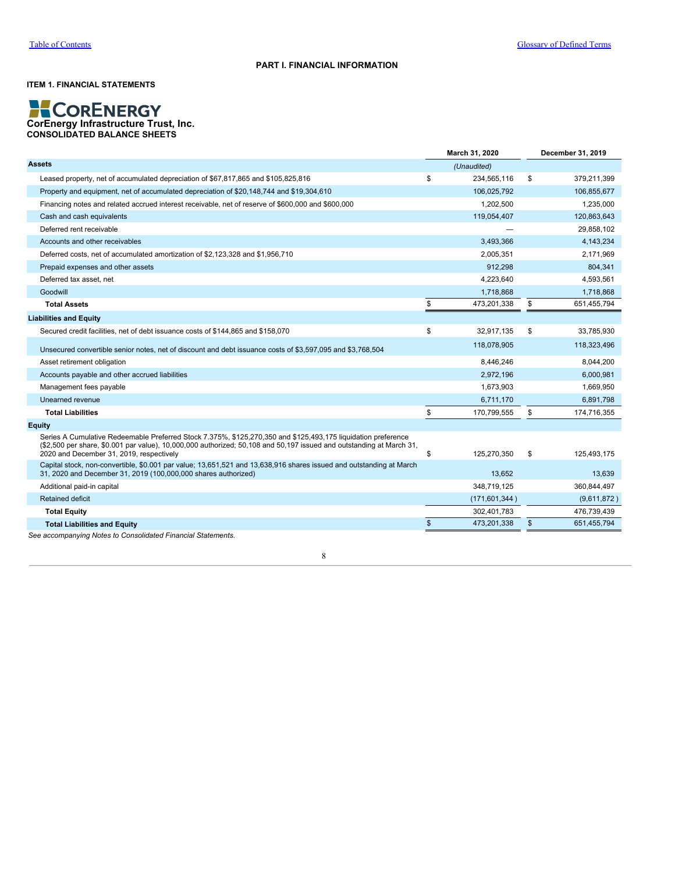# **PART I. FINANCIAL INFORMATION**

# <span id="page-10-2"></span><span id="page-10-1"></span><span id="page-10-0"></span>**ITEM 1. FINANCIAL STATEMENTS**

**CorEnergy Infrastructure Trust, Inc.**

**CONSOLIDATED BALANCE SHEETS**

| March 31, 2020                                                                                                                                                                                                                        |    |                 |       | December 31, 2019 |
|---------------------------------------------------------------------------------------------------------------------------------------------------------------------------------------------------------------------------------------|----|-----------------|-------|-------------------|
| <b>Assets</b>                                                                                                                                                                                                                         |    | (Unaudited)     |       |                   |
| Leased property, net of accumulated depreciation of \$67,817,865 and \$105,825,816                                                                                                                                                    | \$ | 234,565,116     | \$    | 379,211,399       |
| Property and equipment, net of accumulated depreciation of \$20,148,744 and \$19,304,610                                                                                                                                              |    | 106,025,792     |       | 106,855,677       |
| Financing notes and related accrued interest receivable, net of reserve of \$600,000 and \$600,000                                                                                                                                    |    | 1.202.500       |       | 1,235,000         |
| Cash and cash equivalents                                                                                                                                                                                                             |    | 119,054,407     |       | 120,863,643       |
| Deferred rent receivable                                                                                                                                                                                                              |    |                 |       | 29,858,102        |
| Accounts and other receivables                                                                                                                                                                                                        |    | 3,493,366       |       | 4, 143, 234       |
| Deferred costs, net of accumulated amortization of \$2,123,328 and \$1,956,710                                                                                                                                                        |    | 2,005,351       |       | 2,171,969         |
| Prepaid expenses and other assets                                                                                                                                                                                                     |    | 912,298         |       | 804,341           |
| Deferred tax asset, net                                                                                                                                                                                                               |    | 4,223,640       |       | 4,593,561         |
| Goodwill                                                                                                                                                                                                                              |    | 1,718,868       |       | 1,718,868         |
| <b>Total Assets</b>                                                                                                                                                                                                                   | \$ | 473,201,338     | \$    | 651,455,794       |
| <b>Liabilities and Equity</b>                                                                                                                                                                                                         |    |                 |       |                   |
| Secured credit facilities, net of debt issuance costs of \$144,865 and \$158,070                                                                                                                                                      | \$ | 32,917,135      | \$    | 33,785,930        |
| Unsecured convertible senior notes, net of discount and debt issuance costs of \$3,597,095 and \$3,768,504                                                                                                                            |    | 118,078,905     |       | 118,323,496       |
| Asset retirement obligation                                                                                                                                                                                                           |    | 8,446,246       |       | 8,044,200         |
| Accounts payable and other accrued liabilities                                                                                                                                                                                        |    | 2,972,196       |       | 6,000,981         |
| Management fees payable                                                                                                                                                                                                               |    | 1,673,903       |       | 1,669,950         |
| Unearned revenue                                                                                                                                                                                                                      |    | 6,711,170       |       | 6,891,798         |
| <b>Total Liabilities</b>                                                                                                                                                                                                              | \$ | 170,799,555     | \$    | 174,716,355       |
| <b>Equity</b>                                                                                                                                                                                                                         |    |                 |       |                   |
| Series A Cumulative Redeemable Preferred Stock 7.375%, \$125,270,350 and \$125,493,175 liquidation preference<br>(\$2,500 per share, \$0.001 par value), 10,000,000 authorized; 50,108 and 50,197 issued and outstanding at March 31, |    |                 |       |                   |
| 2020 and December 31, 2019, respectively<br>Capital stock, non-convertible, \$0.001 par value; 13,651,521 and 13,638,916 shares issued and outstanding at March                                                                       | \$ | 125,270,350     | \$    | 125,493,175       |
| 31, 2020 and December 31, 2019 (100,000,000 shares authorized)                                                                                                                                                                        |    | 13,652          |       | 13,639            |
| Additional paid-in capital                                                                                                                                                                                                            |    | 348,719,125     |       | 360,844,497       |
| Retained deficit                                                                                                                                                                                                                      |    | (171, 601, 344) |       | (9,611,872)       |
| <b>Total Equity</b>                                                                                                                                                                                                                   |    | 302,401,783     |       | 476,739,439       |
| <b>Total Liabilities and Equity</b>                                                                                                                                                                                                   | \$ | 473,201,338     | $\$\$ | 651,455,794       |
|                                                                                                                                                                                                                                       |    |                 |       |                   |

*See accompanying Notes to Consolidated Financial Statements.*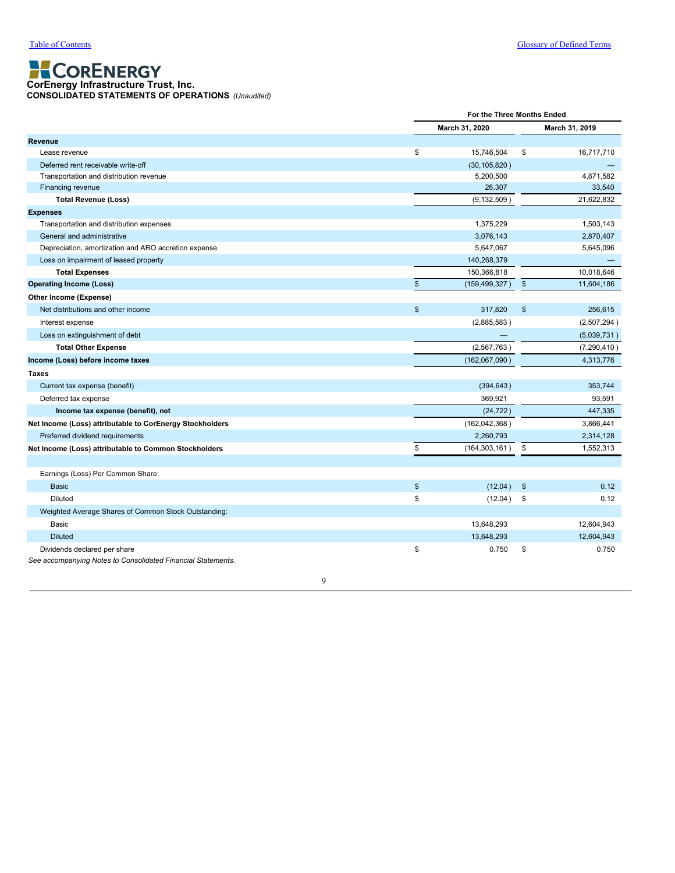<span id="page-11-0"></span>**CorEnergy Infrastructure Trust, Inc.**

**CONSOLIDATED STATEMENTS OF OPERATIONS** *(Unaudited)*

|                                                              | For the Three Months Ended |                 |                |               |
|--------------------------------------------------------------|----------------------------|-----------------|----------------|---------------|
|                                                              |                            | March 31, 2020  |                |               |
| <b>Revenue</b>                                               |                            |                 |                |               |
| Lease revenue                                                | \$                         | 15,746,504      | \$             | 16,717,710    |
| Deferred rent receivable write-off                           |                            | (30, 105, 820)  |                |               |
| Transportation and distribution revenue                      |                            | 5,200,500       |                | 4,871,582     |
| Financing revenue                                            |                            | 26,307          |                | 33,540        |
| <b>Total Revenue (Loss)</b>                                  |                            | (9, 132, 509)   |                | 21,622,832    |
| <b>Expenses</b>                                              |                            |                 |                |               |
| Transportation and distribution expenses                     |                            | 1,375,229       |                | 1,503,143     |
| General and administrative                                   |                            | 3,076,143       |                | 2,870,407     |
| Depreciation, amortization and ARO accretion expense         |                            | 5,647,067       |                | 5,645,096     |
| Loss on impairment of leased property                        |                            | 140,268,379     |                |               |
| <b>Total Expenses</b>                                        |                            | 150,366,818     |                | 10,018,646    |
| <b>Operating Income (Loss)</b>                               | $\sqrt[6]{\frac{1}{2}}$    | (159, 499, 327) | $\mathfrak{s}$ | 11,604,186    |
| Other Income (Expense)                                       |                            |                 |                |               |
| Net distributions and other income                           | $\mathfrak s$              | 317,820         | $\mathfrak{S}$ | 256,615       |
| Interest expense                                             |                            | (2,885,583)     |                | (2,507,294)   |
| Loss on extinguishment of debt                               |                            |                 |                | (5,039,731)   |
| <b>Total Other Expense</b>                                   |                            | (2, 567, 763)   |                | (7, 290, 410) |
| Income (Loss) before income taxes                            |                            | (162,067,090)   |                | 4,313,776     |
| <b>Taxes</b>                                                 |                            |                 |                |               |
| Current tax expense (benefit)                                |                            | (394, 643)      |                | 353,744       |
| Deferred tax expense                                         |                            | 369.921         |                | 93,591        |
| Income tax expense (benefit), net                            |                            | (24, 722)       |                | 447,335       |
| Net Income (Loss) attributable to CorEnergy Stockholders     |                            | (162, 042, 368) |                | 3,866,441     |
| Preferred dividend requirements                              |                            | 2,260,793       |                | 2,314,128     |
| Net Income (Loss) attributable to Common Stockholders        | \$                         | (164, 303, 161) | \$             | 1,552,313     |
|                                                              |                            |                 |                |               |
| Earnings (Loss) Per Common Share:                            |                            |                 |                |               |
| <b>Basic</b>                                                 | \$                         | (12.04)         | $\mathfrak{F}$ | 0.12          |
| <b>Diluted</b>                                               | \$                         | (12.04)         | \$             | 0.12          |
| Weighted Average Shares of Common Stock Outstanding:         |                            |                 |                |               |
| Basic                                                        |                            | 13,648,293      |                | 12,604,943    |
| <b>Diluted</b>                                               |                            | 13,648,293      |                | 12,604,943    |
| Dividends declared per share                                 | \$                         | 0.750           | \$             | 0.750         |
| See accompanying Notes to Consolidated Financial Statements. |                            |                 |                |               |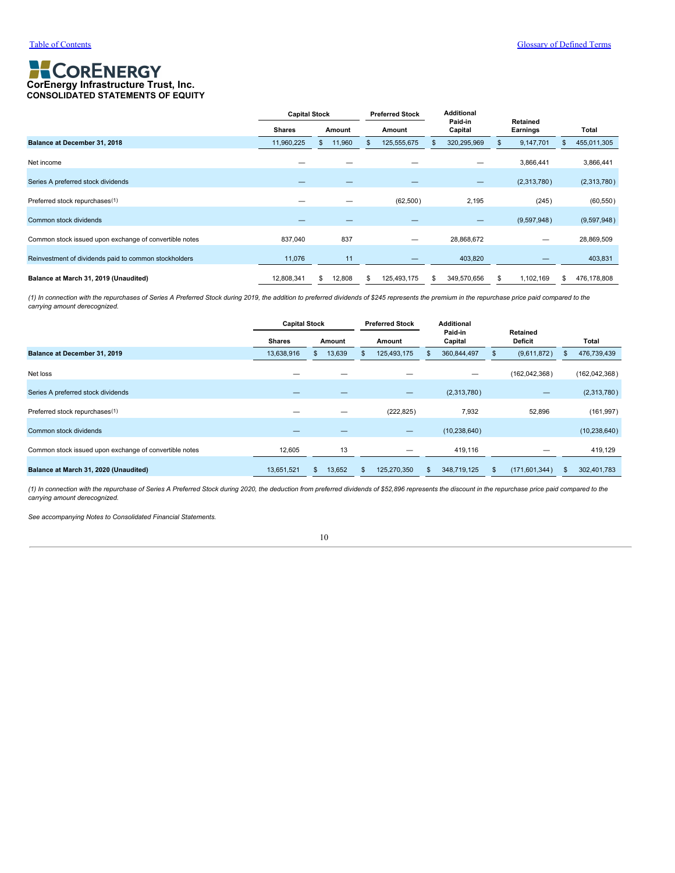<span id="page-12-0"></span>**CorEnergy Infrastructure Trust, Inc. CONSOLIDATED STATEMENTS OF EQUITY**

|                                                        | <b>Capital Stock</b><br><b>Preferred Stock</b> |    |        | <b>Additional</b><br>Paid-in |             |    |             |    |             |  |                 |       |  |
|--------------------------------------------------------|------------------------------------------------|----|--------|------------------------------|-------------|----|-------------|----|-------------|--|-----------------|-------|--|
|                                                        | <b>Shares</b>                                  |    | Amount |                              | Amount      |    | Capital     |    | Earnings    |  | <b>Retained</b> | Total |  |
| Balance at December 31, 2018                           | 11,960,225                                     | £. | 11,960 |                              | 125,555,675 | ж  | 320,295,969 |    | 9,147,701   |  | 455,011,305     |       |  |
| Net income                                             |                                                |    |        |                              |             |    |             |    | 3,866,441   |  | 3,866,441       |       |  |
| Series A preferred stock dividends                     |                                                |    |        |                              |             |    | —           |    | (2,313,780) |  | (2,313,780)     |       |  |
| Preferred stock repurchases(1)                         |                                                |    |        |                              | (62, 500)   |    | 2,195       |    | (245)       |  | (60, 550)       |       |  |
| Common stock dividends                                 |                                                |    |        |                              |             |    |             |    | (9,597,948) |  | (9,597,948)     |       |  |
| Common stock issued upon exchange of convertible notes | 837,040                                        |    | 837    |                              |             |    | 28,868,672  |    |             |  | 28,869,509      |       |  |
| Reinvestment of dividends paid to common stockholders  | 11,076                                         |    | 11     |                              |             |    | 403,820     |    |             |  | 403,831         |       |  |
| Balance at March 31, 2019 (Unaudited)                  | 12,808,341                                     | \$ | 12,808 | \$                           | 125,493,175 | \$ | 349,570,656 | \$ | 1,102,169   |  | 476,178,808     |       |  |

(1) In connection with the repurchases of Series A Preferred Stock during 2019, the addition to preferred dividends of \$245 represents the premium in the repurchase price paid compared to the<br>carrying amount derecognized.

|                                                        | <b>Capital Stock</b> |               | <b>Preferred Stock</b> |                          | <b>Additional</b> |                    |  |                            |  |                 |
|--------------------------------------------------------|----------------------|---------------|------------------------|--------------------------|-------------------|--------------------|--|----------------------------|--|-----------------|
|                                                        | <b>Shares</b>        | Amount        |                        | Amount                   |                   | Paid-in<br>Capital |  | Retained<br><b>Deficit</b> |  | Total           |
| Balance at December 31, 2019                           | 13,638,916           | 13,639<br>SS. |                        | 125,493,175              |                   | 360,844,497        |  | (9,611,872)                |  | 476,739,439     |
| Net loss                                               |                      |               |                        |                          |                   |                    |  | (162, 042, 368)            |  | (162, 042, 368) |
| Series A preferred stock dividends                     |                      |               |                        |                          |                   | (2,313,780)        |  |                            |  | (2,313,780)     |
| Preferred stock repurchases(1)                         |                      |               |                        | (222, 825)               |                   | 7,932              |  | 52,896                     |  | (161, 997)      |
| Common stock dividends                                 |                      |               |                        | $\overline{\phantom{0}}$ |                   | (10, 238, 640)     |  |                            |  | (10, 238, 640)  |
| Common stock issued upon exchange of convertible notes | 12,605               | 13            |                        |                          |                   | 419,116            |  |                            |  | 419,129         |
| Balance at March 31, 2020 (Unaudited)                  | 13,651,521           | 13,652<br>\$  | \$.                    | 125.270.350              | \$.               | 348.719.125        |  | (171, 601, 344)            |  | 302,401,783     |

(1) In connection with the repurchase of Series A Preferred Stock during 2020, the deduction from preferred dividends of \$52,896 represents the discount in the repurchase price paid compared to the *carrying amount derecognized.*

*See accompanying Notes to Consolidated Financial Statements.*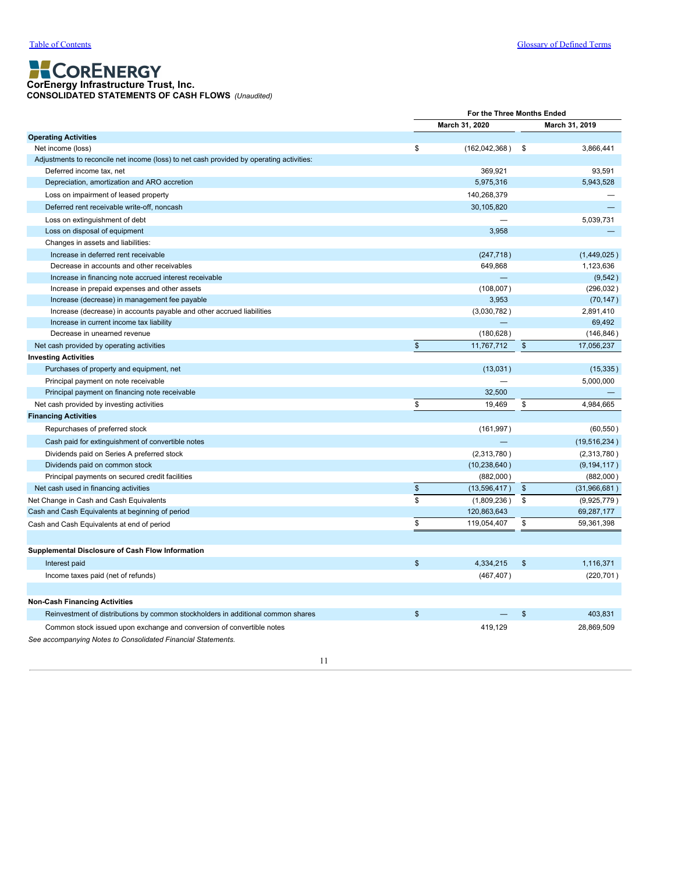<span id="page-13-0"></span>**CorEnergy Infrastructure Trust, Inc.**

**CONSOLIDATED STATEMENTS OF CASH FLOWS** *(Unaudited)*

|                                                                                          |                         | For the Three Months Ended |                |                |  |
|------------------------------------------------------------------------------------------|-------------------------|----------------------------|----------------|----------------|--|
|                                                                                          |                         | March 31, 2020             |                | March 31, 2019 |  |
| <b>Operating Activities</b>                                                              |                         |                            |                |                |  |
| Net income (loss)                                                                        | \$                      | (162, 042, 368)            | \$             | 3,866,441      |  |
| Adjustments to reconcile net income (loss) to net cash provided by operating activities: |                         |                            |                |                |  |
| Deferred income tax, net                                                                 |                         | 369,921                    |                | 93,591         |  |
| Depreciation, amortization and ARO accretion                                             |                         | 5,975,316                  |                | 5.943.528      |  |
| Loss on impairment of leased property                                                    |                         | 140,268,379                |                |                |  |
| Deferred rent receivable write-off, noncash                                              |                         | 30,105,820                 |                |                |  |
| Loss on extinguishment of debt                                                           |                         |                            |                | 5,039,731      |  |
| Loss on disposal of equipment                                                            |                         | 3.958                      |                |                |  |
| Changes in assets and liabilities:                                                       |                         |                            |                |                |  |
| Increase in deferred rent receivable                                                     |                         | (247, 718)                 |                | (1,449,025)    |  |
| Decrease in accounts and other receivables                                               |                         | 649,868                    |                | 1,123,636      |  |
| Increase in financing note accrued interest receivable                                   |                         |                            |                | (9, 542)       |  |
| Increase in prepaid expenses and other assets                                            |                         | (108,007)                  |                | (296, 032)     |  |
| Increase (decrease) in management fee payable                                            |                         | 3,953                      |                | (70, 147)      |  |
| Increase (decrease) in accounts payable and other accrued liabilities                    |                         | (3,030,782)                |                | 2,891,410      |  |
| Increase in current income tax liability                                                 |                         |                            |                | 69,492         |  |
| Decrease in unearned revenue                                                             |                         | (180, 628)                 |                | (146, 846)     |  |
| Net cash provided by operating activities                                                | $\sqrt[6]{\frac{1}{2}}$ | 11,767,712                 | $\sqrt[6]{3}$  | 17,056,237     |  |
| <b>Investing Activities</b>                                                              |                         |                            |                |                |  |
| Purchases of property and equipment, net                                                 |                         | (13,031)                   |                | (15, 335)      |  |
| Principal payment on note receivable                                                     |                         |                            |                | 5,000,000      |  |
| Principal payment on financing note receivable                                           |                         | 32,500                     |                |                |  |
| Net cash provided by investing activities                                                | \$                      | 19,469                     | \$             | 4,984,665      |  |
| <b>Financing Activities</b>                                                              |                         |                            |                |                |  |
| Repurchases of preferred stock                                                           |                         | (161, 997)                 |                | (60, 550)      |  |
| Cash paid for extinguishment of convertible notes                                        |                         |                            |                | (19, 516, 234) |  |
| Dividends paid on Series A preferred stock                                               |                         | (2,313,780)                |                | (2,313,780)    |  |
| Dividends paid on common stock                                                           |                         | (10, 238, 640)             |                | (9, 194, 117)  |  |
| Principal payments on secured credit facilities                                          |                         | (882,000)                  |                | (882,000)      |  |
| Net cash used in financing activities                                                    | $\sqrt[6]{\frac{1}{2}}$ | (13,596,417)               | $\mathfrak{F}$ | (31,966,681)   |  |
| Net Change in Cash and Cash Equivalents                                                  | $\mathbb{S}$            | (1,809,236)                | \$             | (9,925,779)    |  |
| Cash and Cash Equivalents at beginning of period                                         |                         | 120,863,643                |                | 69,287,177     |  |
| Cash and Cash Equivalents at end of period                                               | $$\mathbb{S}$$          | 119,054,407                | \$             | 59,361,398     |  |
|                                                                                          |                         |                            |                |                |  |
| Supplemental Disclosure of Cash Flow Information                                         |                         |                            |                |                |  |
| Interest paid                                                                            | \$                      | 4,334,215                  | \$             | 1,116,371      |  |
| Income taxes paid (net of refunds)                                                       |                         | (467, 407)                 |                | (220, 701)     |  |
|                                                                                          |                         |                            |                |                |  |
| <b>Non-Cash Financing Activities</b>                                                     |                         |                            |                |                |  |
| Reinvestment of distributions by common stockholders in additional common shares         | \$                      |                            | $\mathfrak{S}$ | 403.831        |  |
| Common stock issued upon exchange and conversion of convertible notes                    |                         | 419,129                    |                | 28,869,509     |  |
| See accompanying Notes to Consolidated Financial Statements.                             |                         |                            |                |                |  |

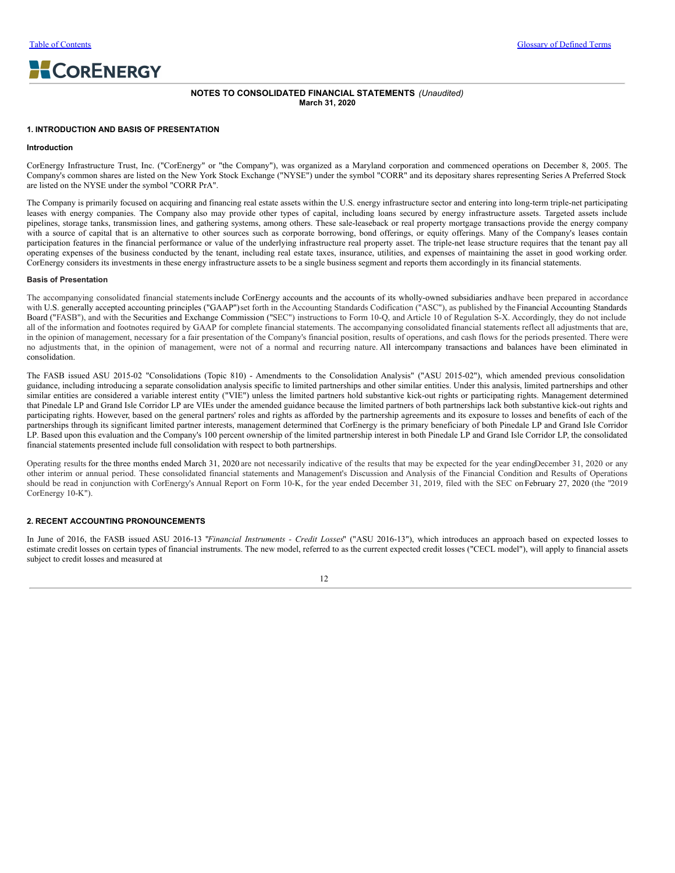<span id="page-14-0"></span>

### **NOTES TO CONSOLIDATED FINANCIAL STATEMENTS** *(Unaudited)* **March 31, 2020**

### <span id="page-14-1"></span>**1. INTRODUCTION AND BASIS OF PRESENTATION**

#### **Introduction**

CorEnergy Infrastructure Trust, Inc. ("CorEnergy" or "the Company"), was organized as a Maryland corporation and commenced operations on December 8, 2005. The Company's common shares are listed on the New York Stock Exchange ("NYSE") under the symbol "CORR" and its depositary shares representing Series A Preferred Stock are listed on the NYSE under the symbol "CORR PrA".

The Company is primarily focused on acquiring and financing real estate assets within the U.S. energy infrastructure sector and entering into long-term triple-net participating leases with energy companies. The Company also may provide other types of capital, including loans secured by energy infrastructure assets. Targeted assets include pipelines, storage tanks, transmission lines, and gathering systems, among others. These sale-leaseback or real property mortgage transactions provide the energy company with a source of capital that is an alternative to other sources such as corporate borrowing, bond offerings, or equity offerings. Many of the Company's leases contain participation features in the financial performance or value of the underlying infrastructure real property asset. The triple-net lease structure requires that the tenant pay all operating expenses of the business conducted by the tenant, including real estate taxes, insurance, utilities, and expenses of maintaining the asset in good working order. CorEnergy considers its investments in these energy infrastructure assets to be a single business segment and reports them accordingly in its financial statements.

#### **Basis of Presentation**

The accompanying consolidated financial statementsinclude CorEnergy accounts and the accounts of its wholly-owned subsidiaries andhave been prepared in accordance with U.S. generally accepted accounting principles ("GAAP")set forth in the Accounting Standards Codification ("ASC"), as published by the Financial Accounting Standards Board ("FASB"), and with the Securities and Exchange Commission ("SEC") instructions to Form 10-Q, and Article 10 of Regulation S-X. Accordingly, they do not include all of the information and footnotes required by GAAP for complete financial statements. The accompanying consolidated financial statements reflect all adjustments that are, in the opinion of management, necessary for a fair presentation of the Company's financial position, results of operations, and cash flows for the periods presented. There were no adjustments that, in the opinion of management, were not of a normal and recurring nature. All intercompany transactions and balances have been eliminated in consolidation.

The FASB issued ASU 2015-02 "Consolidations (Topic 810) - Amendments to the Consolidation Analysis" ("ASU 2015-02"), which amended previous consolidation guidance, including introducing a separate consolidation analysis specific to limited partnerships and other similar entities. Under this analysis, limited partnerships and other similar entities are considered a variable interest entity ("VIE") unless the limited partners hold substantive kick-out rights or participating rights. Management determined that Pinedale LP and Grand Isle Corridor LP are VIEs under the amended guidance because the limited partners of both partnerships lack both substantive kick-out rights and participating rights. However, based on the general partners' roles and rights as afforded by the partnership agreements and its exposure to losses and benefits of each of the partnerships through its significant limited partner interests, management determined that CorEnergy is the primary beneficiary of both Pinedale LP and Grand Isle Corridor LP. Based upon this evaluation and the Company's 100 percent ownership of the limited partnership interest in both Pinedale LP and Grand Isle Corridor LP, the consolidated financial statements presented include full consolidation with respect to both partnerships.

Operating results for the three months ended March 31, 2020 are not necessarily indicative of the results that may be expected for the year endingDecember 31, 2020 or any other interim or annual period. These consolidated financial statements and Management's Discussion and Analysis of the Financial Condition and Results of Operations should be read in conjunction with CorEnergy's Annual Report on Form 10-K, for the year ended December 31, 2019, filed with the SEC on February 27, 2020 (the "2019 CorEnergy 10-K").

## <span id="page-14-2"></span>**2. RECENT ACCOUNTING PRONOUNCEMENTS**

In June of 2016, the FASB issued ASU 2016-13 "*Financial Instruments - Credit Losses*" ("ASU 2016-13"), which introduces an approach based on expected losses to estimate credit losses on certain types of financial instruments. The new model, referred to as the current expected credit losses ("CECL model"), will apply to financial assets subject to credit losses and measured at

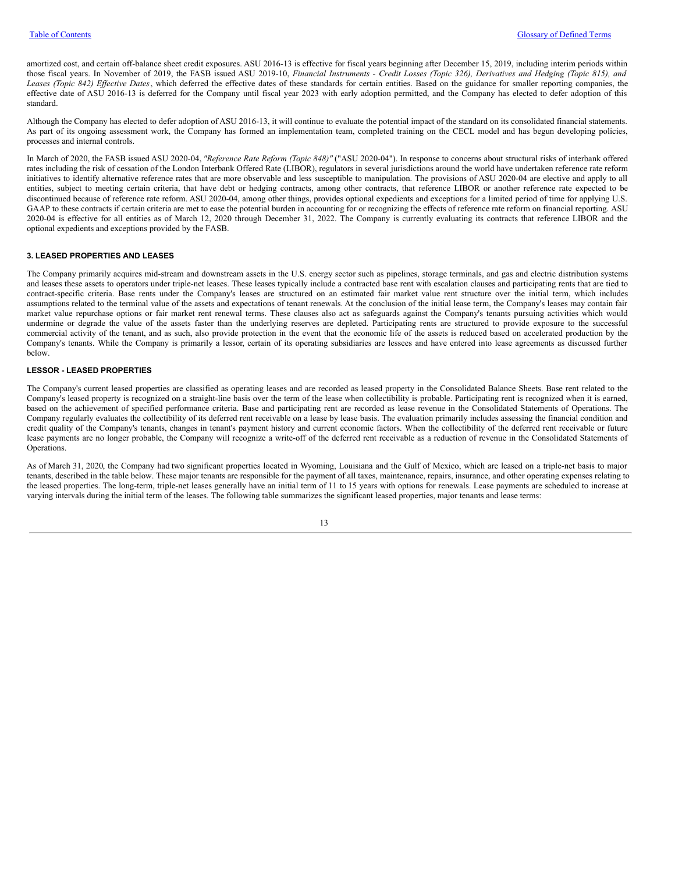amortized cost, and certain off-balance sheet credit exposures. ASU 2016-13 is effective for fiscal years beginning after December 15, 2019, including interim periods within those fiscal years. In November of 2019, the FASB issued ASU 2019-10, Financial Instruments - Credit Losses (Topic 326), Derivatives and Hedging (Topic 815), and *Leases* (Topic 842) *Effective Dates*, which deferred the effective dates of these standards for certain entities. Based on the guidance for smaller reporting companies, the effective date of ASU 2016-13 is deferred for the Company until fiscal year 2023 with early adoption permitted, and the Company has elected to defer adoption of this standard.

Although the Company has elected to defer adoption of ASU 2016-13, it will continue to evaluate the potential impact of the standard on its consolidated financial statements. As part of its ongoing assessment work, the Company has formed an implementation team, completed training on the CECL model and has begun developing policies, processes and internal controls.

In March of 2020, the FASB issued ASU 2020-04, *"Reference Rate Reform (Topic 848)"* ("ASU 2020-04"). In response to concerns about structural risks of interbank offered rates including the risk of cessation of the London Interbank Offered Rate (LIBOR), regulators in several jurisdictions around the world have undertaken reference rate reform initiatives to identify alternative reference rates that are more observable and less susceptible to manipulation. The provisions of ASU 2020-04 are elective and apply to all entities, subject to meeting certain criteria, that have debt or hedging contracts, among other contracts, that reference LIBOR or another reference rate expected to be discontinued because of reference rate reform. ASU 2020-04, among other things, provides optional expedients and exceptions for a limited period of time for applying U.S. GAAP to these contracts if certain criteria are met to ease the potential burden in accounting for or recognizing the effects of reference rate reform on financial reporting. ASU 2020-04 is effective for all entities as of March 12, 2020 through December 31, 2022. The Company is currently evaluating its contracts that reference LIBOR and the optional expedients and exceptions provided by the FASB.

#### <span id="page-15-0"></span>**3. LEASED PROPERTIES AND LEASES**

The Company primarily acquires mid-stream and downstream assets in the U.S. energy sector such as pipelines, storage terminals, and gas and electric distribution systems and leases these assets to operators under triple-net leases. These leases typically include a contracted base rent with escalation clauses and participating rents that are tied to contract-specific criteria. Base rents under the Company's leases are structured on an estimated fair market value rent structure over the initial term, which includes assumptions related to the terminal value of the assets and expectations of tenant renewals. At the conclusion of the initial lease term, the Company's leases may contain fair market value repurchase options or fair market rent renewal terms. These clauses also act as safeguards against the Company's tenants pursuing activities which would undermine or degrade the value of the assets faster than the underlying reserves are depleted. Participating rents are structured to provide exposure to the successful commercial activity of the tenant, and as such, also provide protection in the event that the economic life of the assets is reduced based on accelerated production by the Company's tenants. While the Company is primarily a lessor, certain of its operating subsidiaries are lessees and have entered into lease agreements as discussed further below.

#### **LESSOR - LEASED PROPERTIES**

The Company's current leased properties are classified as operating leases and are recorded as leased property in the Consolidated Balance Sheets. Base rent related to the Company's leased property is recognized on a straight-line basis over the term of the lease when collectibility is probable. Participating rent is recognized when it is earned, based on the achievement of specified performance criteria. Base and participating rent are recorded as lease revenue in the Consolidated Statements of Operations. The Company regularly evaluates the collectibility of its deferred rent receivable on a lease by lease basis. The evaluation primarily includes assessing the financial condition and credit quality of the Company's tenants, changes in tenant's payment history and current economic factors. When the collectibility of the deferred rent receivable or future lease payments are no longer probable, the Company will recognize a write-off of the deferred rent receivable as a reduction of revenue in the Consolidated Statements of Operations.

As of March 31, 2020, the Company had two significant properties located in Wyoming, Louisiana and the Gulf of Mexico, which are leased on a triple-net basis to major tenants, described in the table below. These major tenants are responsible for the payment of all taxes, maintenance, repairs, insurance, and other operating expenses relating to the leased properties. The long-term, triple-net leases generally have an initial term of 11 to 15 years with options for renewals. Lease payments are scheduled to increase at varying intervals during the initial term of the leases. The following table summarizes the significant leased properties, major tenants and lease terms:

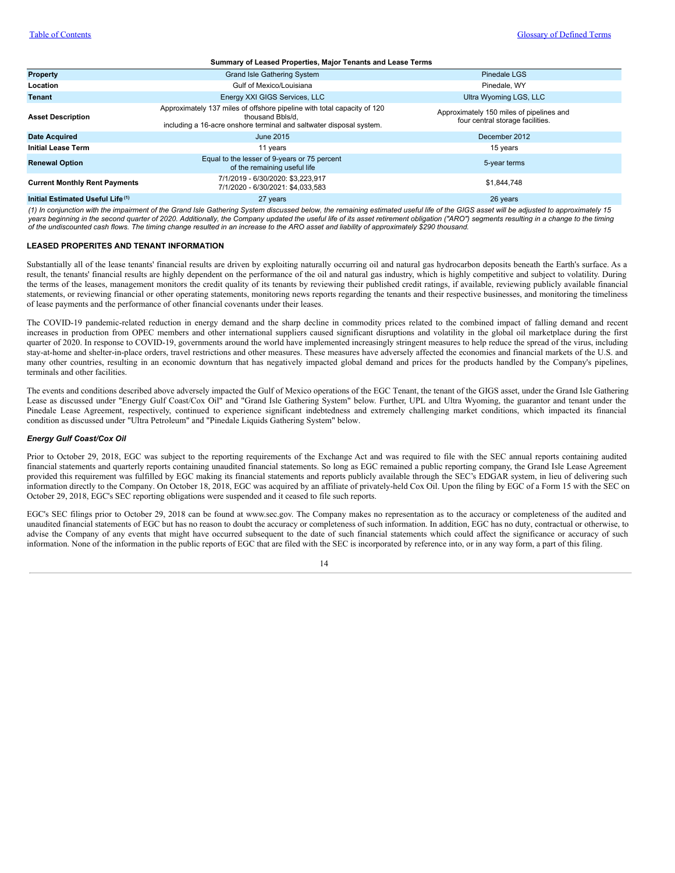| <b>Summary of Leased Properties, Major Tenants and Lease Terms</b> |                                                                                                                                                                    |                                                                              |  |  |  |  |
|--------------------------------------------------------------------|--------------------------------------------------------------------------------------------------------------------------------------------------------------------|------------------------------------------------------------------------------|--|--|--|--|
| <b>Property</b>                                                    | <b>Grand Isle Gathering System</b>                                                                                                                                 | <b>Pinedale LGS</b>                                                          |  |  |  |  |
| Location                                                           | Gulf of Mexico/Louisiana                                                                                                                                           | Pinedale, WY                                                                 |  |  |  |  |
| Tenant                                                             | Energy XXI GIGS Services, LLC                                                                                                                                      | Ultra Wyoming LGS, LLC                                                       |  |  |  |  |
| <b>Asset Description</b>                                           | Approximately 137 miles of offshore pipeline with total capacity of 120<br>thousand Bbls/d.<br>including a 16-acre onshore terminal and saltwater disposal system. | Approximately 150 miles of pipelines and<br>four central storage facilities. |  |  |  |  |
| <b>Date Acquired</b>                                               | June 2015                                                                                                                                                          | December 2012                                                                |  |  |  |  |
| <b>Initial Lease Term</b>                                          | 11 years                                                                                                                                                           | 15 years                                                                     |  |  |  |  |
| <b>Renewal Option</b>                                              | Equal to the lesser of 9-years or 75 percent<br>of the remaining useful life                                                                                       | 5-year terms                                                                 |  |  |  |  |
| <b>Current Monthly Rent Payments</b>                               | 7/1/2019 - 6/30/2020: \$3.223.917<br>7/1/2020 - 6/30/2021: \$4.033.583                                                                                             | \$1.844.748                                                                  |  |  |  |  |
| Initial Estimated Useful Life <sup>(1)</sup>                       | 27 years                                                                                                                                                           | 26 years                                                                     |  |  |  |  |

(1) In conjunction with the impairment of the Grand Isle Gathering System discussed below, the remaining estimated useful life of the GIGS asset will be adjusted to approximately 15 years beginning in the second quarter of 2020. Additionally, the Company updated the useful life of its asset retirement obligation ("ARO") segments resulting in a change to the timing of the undiscounted cash flows. The timing change resulted in an increase to the ARO asset and liability of approximately \$290 thousand.

#### **LEASED PROPERITES AND TENANT INFORMATION**

Substantially all of the lease tenants' financial results are driven by exploiting naturally occurring oil and natural gas hydrocarbon deposits beneath the Earth's surface. As a result, the tenants' financial results are highly dependent on the performance of the oil and natural gas industry, which is highly competitive and subject to volatility. During the terms of the leases, management monitors the credit quality of its tenants by reviewing their published credit ratings, if available, reviewing publicly available financial statements, or reviewing financial or other operating statements, monitoring news reports regarding the tenants and their respective businesses, and monitoring the timeliness of lease payments and the performance of other financial covenants under their leases.

The COVID-19 pandemic-related reduction in energy demand and the sharp decline in commodity prices related to the combined impact of falling demand and recent increases in production from OPEC members and other international suppliers caused significant disruptions and volatility in the global oil marketplace during the first quarter of 2020. In response to COVID-19, governments around the world have implemented increasingly stringent measures to help reduce the spread of the virus, including stay-at-home and shelter-in-place orders, travel restrictions and other measures. These measures have adversely affected the economies and financial markets of the U.S. and many other countries, resulting in an economic downturn that has negatively impacted global demand and prices for the products handled by the Company's pipelines, terminals and other facilities.

The events and conditions described above adversely impacted the Gulf of Mexico operations of the EGC Tenant, the tenant of the GIGS asset, under the Grand Isle Gathering Lease as discussed under "Energy Gulf Coast/Cox Oil" and "Grand Isle Gathering System" below. Further, UPL and Ultra Wyoming, the guarantor and tenant under the Pinedale Lease Agreement, respectively, continued to experience significant indebtedness and extremely challenging market conditions, which impacted its financial condition as discussed under "Ultra Petroleum" and "Pinedale Liquids Gathering System" below.

#### *Energy Gulf Coast/Cox Oil*

Prior to October 29, 2018, EGC was subject to the reporting requirements of the Exchange Act and was required to file with the SEC annual reports containing audited financial statements and quarterly reports containing unaudited financial statements. So long as EGC remained a public reporting company, the Grand Isle Lease Agreement provided this requirement was fulfilled by EGC making its financial statements and reports publicly available through the SEC's EDGAR system, in lieu of delivering such information directly to the Company. On October 18, 2018, EGC was acquired by an affiliate of privately-held Cox Oil. Upon the filing by EGC of a Form 15 with the SEC on October 29, 2018, EGC's SEC reporting obligations were suspended and it ceased to file such reports.

EGC's SEC filings prior to October 29, 2018 can be found at www.sec.gov. The Company makes no representation as to the accuracy or completeness of the audited and unaudited financial statements of EGC but has no reason to doubt the accuracy or completeness of such information. In addition, EGC has no duty, contractual or otherwise, to advise the Company of any events that might have occurred subsequent to the date of such financial statements which could affect the significance or accuracy of such information. None of the information in the public reports of EGC that are filed with the SEC is incorporated by reference into, or in any way form, a part of this filing.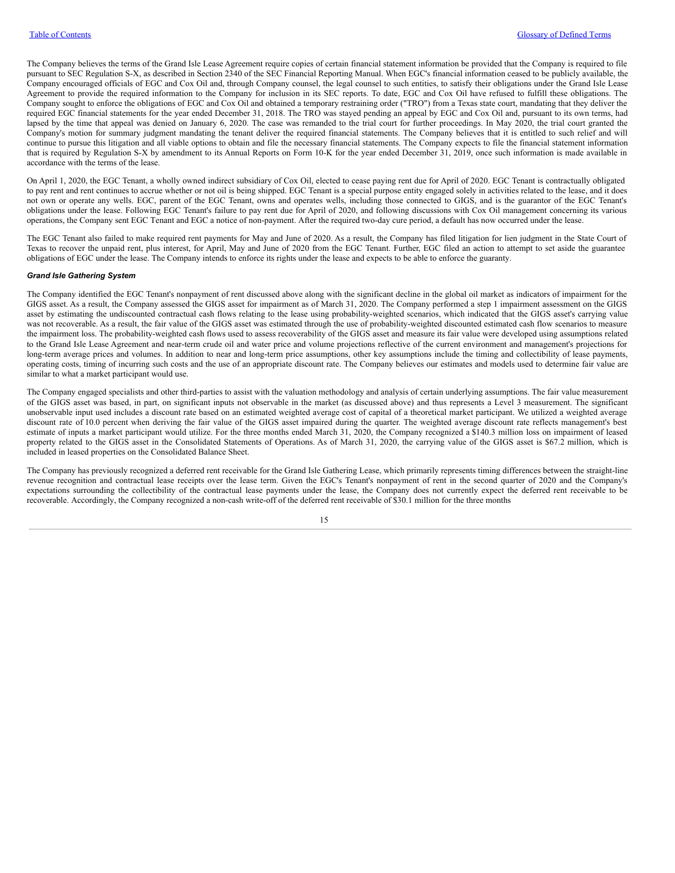The Company believes the terms of the Grand Isle Lease Agreement require copies of certain financial statement information be provided that the Company is required to file pursuant to SEC Regulation S-X, as described in Section 2340 of the SEC Financial Reporting Manual. When EGC's financial information ceased to be publicly available, the Company encouraged officials of EGC and Cox Oil and, through Company counsel, the legal counsel to such entities, to satisfy their obligations under the Grand Isle Lease Agreement to provide the required information to the Company for inclusion in its SEC reports. To date, EGC and Cox Oil have refused to fulfill these obligations. The Company sought to enforce the obligations of EGC and Cox Oil and obtained a temporary restraining order ("TRO") from a Texas state court, mandating that they deliver the required EGC financial statements for the year ended December 31, 2018. The TRO was stayed pending an appeal by EGC and Cox Oil and, pursuant to its own terms, had lapsed by the time that appeal was denied on January 6, 2020. The case was remanded to the trial court for further proceedings. In May 2020, the trial court granted the Company's motion for summary judgment mandating the tenant deliver the required financial statements. The Company believes that it is entitled to such relief and will continue to pursue this litigation and all viable options to obtain and file the necessary financial statements. The Company expects to file the financial statement information that is required by Regulation S-X by amendment to its Annual Reports on Form 10-K for the year ended December 31, 2019, once such information is made available in accordance with the terms of the lease.

On April 1, 2020, the EGC Tenant, a wholly owned indirect subsidiary of Cox Oil, elected to cease paying rent due for April of 2020. EGC Tenant is contractually obligated to pay rent and rent continues to accrue whether or not oil is being shipped. EGC Tenant is a special purpose entity engaged solely in activities related to the lease, and it does not own or operate any wells. EGC, parent of the EGC Tenant, owns and operates wells, including those connected to GIGS, and is the guarantor of the EGC Tenant's obligations under the lease. Following EGC Tenant's failure to pay rent due for April of 2020, and following discussions with Cox Oil management concerning its various operations, the Company sent EGC Tenant and EGC a notice of non-payment. After the required two-day cure period, a default has now occurred under the lease.

The EGC Tenant also failed to make required rent payments for May and June of 2020. As a result, the Company has filed litigation for lien judgment in the State Court of Texas to recover the unpaid rent, plus interest, for April, May and June of 2020 from the EGC Tenant. Further, EGC filed an action to attempt to set aside the guarantee obligations of EGC under the lease. The Company intends to enforce its rights under the lease and expects to be able to enforce the guaranty.

#### *Grand Isle Gathering System*

The Company identified the EGC Tenant's nonpayment of rent discussed above along with the significant decline in the global oil market as indicators of impairment for the GIGS asset. As a result, the Company assessed the GIGS asset for impairment as of March 31, 2020. The Company performed a step 1 impairment assessment on the GIGS asset by estimating the undiscounted contractual cash flows relating to the lease using probability-weighted scenarios, which indicated that the GIGS asset's carrying value was not recoverable. As a result, the fair value of the GIGS asset was estimated through the use of probability-weighted discounted estimated cash flow scenarios to measure the impairment loss. The probability-weighted cash flows used to assess recoverability of the GIGS asset and measure its fair value were developed using assumptions related to the Grand Isle Lease Agreement and near-term crude oil and water price and volume projections reflective of the current environment and management's projections for long-term average prices and volumes. In addition to near and long-term price assumptions, other key assumptions include the timing and collectibility of lease payments, operating costs, timing of incurring such costs and the use of an appropriate discount rate. The Company believes our estimates and models used to determine fair value are similar to what a market participant would use.

The Company engaged specialists and other third-parties to assist with the valuation methodology and analysis of certain underlying assumptions. The fair value measurement of the GIGS asset was based, in part, on significant inputs not observable in the market (as discussed above) and thus represents a Level 3 measurement. The significant unobservable input used includes a discount rate based on an estimated weighted average cost of capital of a theoretical market participant. We utilized a weighted average discount rate of 10.0 percent when deriving the fair value of the GIGS asset impaired during the quarter. The weighted average discount rate reflects management's best estimate of inputs a market participant would utilize. For the three months ended March 31, 2020, the Company recognized a \$140.3 million loss on impairment of leased property related to the GIGS asset in the Consolidated Statements of Operations. As of March 31, 2020, the carrying value of the GIGS asset is \$67.2 million, which is included in leased properties on the Consolidated Balance Sheet.

The Company has previously recognized a deferred rent receivable for the Grand Isle Gathering Lease, which primarily represents timing differences between the straight-line revenue recognition and contractual lease receipts over the lease term. Given the EGC's Tenant's nonpayment of rent in the second quarter of 2020 and the Company's expectations surrounding the collectibility of the contractual lease payments under the lease, the Company does not currently expect the deferred rent receivable to be recoverable. Accordingly, the Company recognized a non-cash write-off of the deferred rent receivable of \$30.1 million for the three months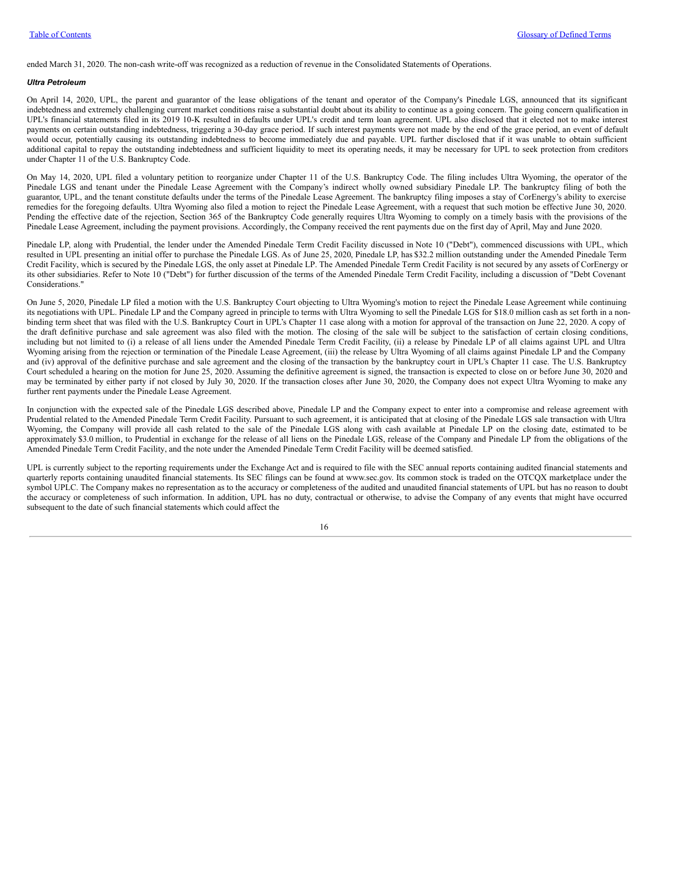ended March 31, 2020. The non-cash write-off was recognized as a reduction of revenue in the Consolidated Statements of Operations.

#### *Ultra Petroleum*

On April 14, 2020, UPL, the parent and guarantor of the lease obligations of the tenant and operator of the Company's Pinedale LGS, announced that its significant indebtedness and extremely challenging current market conditions raise a substantial doubt about its ability to continue as a going concern. The going concern qualification in UPL's financial statements filed in its 2019 10-K resulted in defaults under UPL's credit and term loan agreement. UPL also disclosed that it elected not to make interest payments on certain outstanding indebtedness, triggering a 30-day grace period. If such interest payments were not made by the end of the grace period, an event of default would occur, potentially causing its outstanding indebtedness to become immediately due and payable. UPL further disclosed that if it was unable to obtain sufficient additional capital to repay the outstanding indebtedness and sufficient liquidity to meet its operating needs, it may be necessary for UPL to seek protection from creditors under Chapter 11 of the U.S. Bankruptcy Code.

On May 14, 2020, UPL filed a voluntary petition to reorganize under Chapter 11 of the U.S. Bankruptcy Code. The filing includes Ultra Wyoming, the operator of the Pinedale LGS and tenant under the Pinedale Lease Agreement with the Company's indirect wholly owned subsidiary Pinedale LP. The bankruptcy filing of both the guarantor, UPL, and the tenant constitute defaults under the terms of the Pinedale Lease Agreement. The bankruptcy filing imposes a stay of CorEnergy's ability to exercise remedies for the foregoing defaults. Ultra Wyoming also filed a motion to reject the Pinedale Lease Agreement, with a request that such motion be effective June 30, 2020. Pending the effective date of the rejection, Section 365 of the Bankruptcy Code generally requires Ultra Wyoming to comply on a timely basis with the provisions of the Pinedale Lease Agreement, including the payment provisions. Accordingly, the Company received the rent payments due on the first day of April, May and June 2020.

Pinedale LP, along with Prudential, the lender under the Amended Pinedale Term Credit Facility discussed in Note 10 ("Debt"), commenced discussions with UPL, which resulted in UPL presenting an initial offer to purchase the Pinedale LGS. As of June 25, 2020, Pinedale LP, has \$32.2 million outstanding under the Amended Pinedale Term Credit Facility, which is secured by the Pinedale LGS, the only asset at Pinedale LP. The Amended Pinedale Term Credit Facility is not secured by any assets of CorEnergy or its other subsidiaries. Refer to Note 10 ("Debt") for further discussion of the terms of the Amended Pinedale Term Credit Facility, including a discussion of "Debt Covenant Considerations."

On June 5, 2020, Pinedale LP filed a motion with the U.S. Bankruptcy Court objecting to Ultra Wyoming's motion to reject the Pinedale Lease Agreement while continuing its negotiations with UPL. Pinedale LP and the Company agreed in principle to terms with Ultra Wyoming to sell the Pinedale LGS for \$18.0 million cash as set forth in a nonbinding term sheet that was filed with the U.S. Bankruptcy Court in UPL's Chapter 11 case along with a motion for approval of the transaction on June 22, 2020. A copy of the draft definitive purchase and sale agreement was also filed with the motion. The closing of the sale will be subject to the satisfaction of certain closing conditions, including but not limited to (i) a release of all liens under the Amended Pinedale Term Credit Facility, (ii) a release by Pinedale LP of all claims against UPL and Ultra Wyoming arising from the rejection or termination of the Pinedale Lease Agreement, (iii) the release by Ultra Wyoming of all claims against Pinedale LP and the Company and (iv) approval of the definitive purchase and sale agreement and the closing of the transaction by the bankruptcy court in UPL's Chapter 11 case. The U.S. Bankruptcy Court scheduled a hearing on the motion for June 25, 2020. Assuming the definitive agreement is signed, the transaction is expected to close on or before June 30, 2020 and may be terminated by either party if not closed by July 30, 2020. If the transaction closes after June 30, 2020, the Company does not expect Ultra Wyoming to make any further rent payments under the Pinedale Lease Agreement.

In conjunction with the expected sale of the Pinedale LGS described above, Pinedale LP and the Company expect to enter into a compromise and release agreement with Prudential related to the Amended Pinedale Term Credit Facility. Pursuant to such agreement, it is anticipated that at closing of the Pinedale LGS sale transaction with Ultra Wyoming, the Company will provide all cash related to the sale of the Pinedale LGS along with cash available at Pinedale LP on the closing date, estimated to be approximately \$3.0 million, to Prudential in exchange for the release of all liens on the Pinedale LGS, release of the Company and Pinedale LP from the obligations of the Amended Pinedale Term Credit Facility, and the note under the Amended Pinedale Term Credit Facility will be deemed satisfied.

UPL is currently subject to the reporting requirements under the Exchange Act and is required to file with the SEC annual reports containing audited financial statements and quarterly reports containing unaudited financial statements. Its SEC filings can be found at www.sec.gov. Its common stock is traded on the OTCQX marketplace under the symbol UPLC. The Company makes no representation as to the accuracy or completeness of the audited and unaudited financial statements of UPL but has no reason to doubt the accuracy or completeness of such information. In addition, UPL has no duty, contractual or otherwise, to advise the Company of any events that might have occurred subsequent to the date of such financial statements which could affect the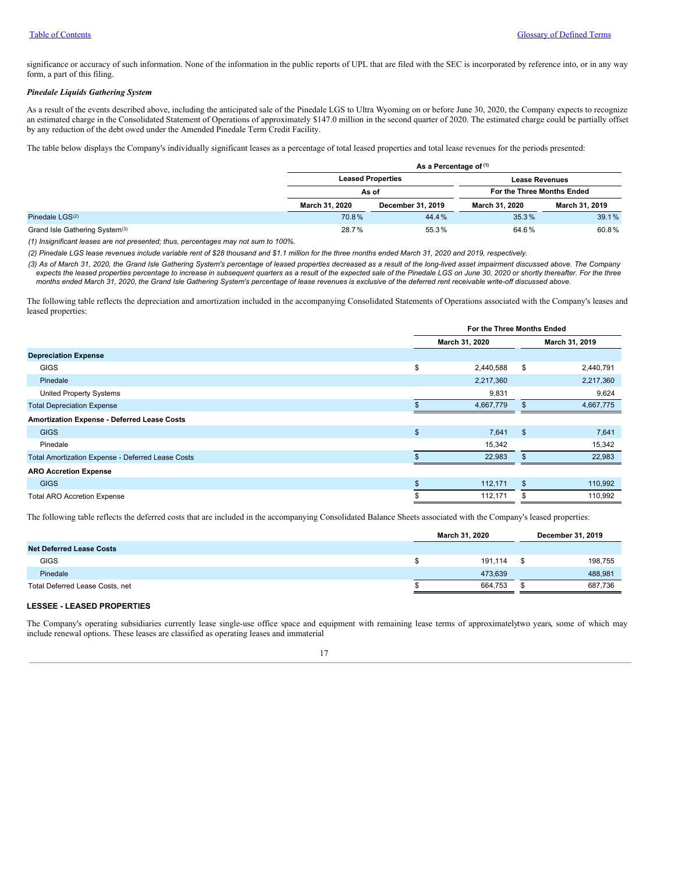significance or accuracy of such information. None of the information in the public reports of UPL that are filed with the SEC is incorporated by reference into, or in any way form, a part of this filing.

#### *Pinedale Liquids Gathering System*

As a result of the events described above, including the anticipated sale of the Pinedale LGS to Ultra Wyoming on or before June 30, 2020, the Company expects to recognize an estimated charge in the Consolidated Statement of Operations of approximately \$147.0 million in the second quarter of 2020. The estimated charge could be partially offset by any reduction of the debt owed under the Amended Pinedale Term Credit Facility.

The table below displays the Company's individually significant leases as a percentage of total leased properties and total lease revenues for the periods presented:

|                                            |                | As a Percentage of (1)   |                            |                |  |  |  |  |
|--------------------------------------------|----------------|--------------------------|----------------------------|----------------|--|--|--|--|
|                                            |                | <b>Leased Properties</b> | <b>Lease Revenues</b>      |                |  |  |  |  |
|                                            |                | As of                    | For the Three Months Ended |                |  |  |  |  |
|                                            | March 31, 2020 | December 31, 2019        | March 31, 2020             | March 31, 2019 |  |  |  |  |
| Pinedale LGS <sup>(2)</sup>                | 70.8%          | 44.4%                    | 35.3%                      | 39.1%          |  |  |  |  |
| Grand Isle Gathering System <sup>(3)</sup> | 28.7%          | 55.3%                    | 64.6%                      | 60.8%          |  |  |  |  |

*(1) Insignificant leases are not presented; thus, percentages may not sum to 100%.*

(2) Pinedale LGS lease revenues include variable rent of \$28 thousand and \$1.1 million for the three months ended March 31, 2020 and 2019, respectively.

(3) As of March 31, 2020, the Grand Isle Gathering System's percentage of leased properties decreased as a result of the long-lived asset impairment discussed above. The Company expects the leased properties percentage to increase in subsequent quarters as a result of the expected sale of the Pinedale LGS on June 30, 2020 or shortly thereafter. For the three months ended March 31, 2020, the Grand Isle Gathering System's percentage of lease revenues is exclusive of the deferred rent receivable write-off discussed above.

The following table reflects the depreciation and amortization included in the accompanying Consolidated Statements of Operations associated with the Company's leases and leased properties:

|                                                    | For the Three Months Ended |                |                |  |
|----------------------------------------------------|----------------------------|----------------|----------------|--|
|                                                    | March 31, 2020             |                | March 31, 2019 |  |
| <b>Depreciation Expense</b>                        |                            |                |                |  |
| <b>GIGS</b>                                        | \$<br>2,440,588            | \$             | 2,440,791      |  |
| Pinedale                                           | 2,217,360                  |                | 2,217,360      |  |
| <b>United Property Systems</b>                     | 9,831                      |                | 9,624          |  |
| <b>Total Depreciation Expense</b>                  | 4,667,779                  |                | 4,667,775      |  |
| <b>Amortization Expense - Deferred Lease Costs</b> |                            |                |                |  |
| <b>GIGS</b>                                        | \$<br>7,641                | $\mathfrak{S}$ | 7,641          |  |
| Pinedale                                           | 15,342                     |                | 15,342         |  |
| Total Amortization Expense - Deferred Lease Costs  | 22,983                     |                | 22,983         |  |
| <b>ARO Accretion Expense</b>                       |                            |                |                |  |
| <b>GIGS</b>                                        | 112,171                    | \$             | 110,992        |  |
| <b>Total ARO Accretion Expense</b>                 | 112,171                    |                | 110,992        |  |

The following table reflects the deferred costs that are included in the accompanying Consolidated Balance Sheets associated with the Company's leased properties:

| March 31, 2020 | December 31, 2019 |
|----------------|-------------------|
|                |                   |
| 191.114        | 198,755           |
| 473.639        | 488,981           |
| 664.753        | 687,736           |
|                |                   |

# **LESSEE - LEASED PROPERTIES**

The Company's operating subsidiaries currently lease single-use office space and equipment with remaining lease terms of approximatelytwo years, some of which may include renewal options. These leases are classified as operating leases and immaterial

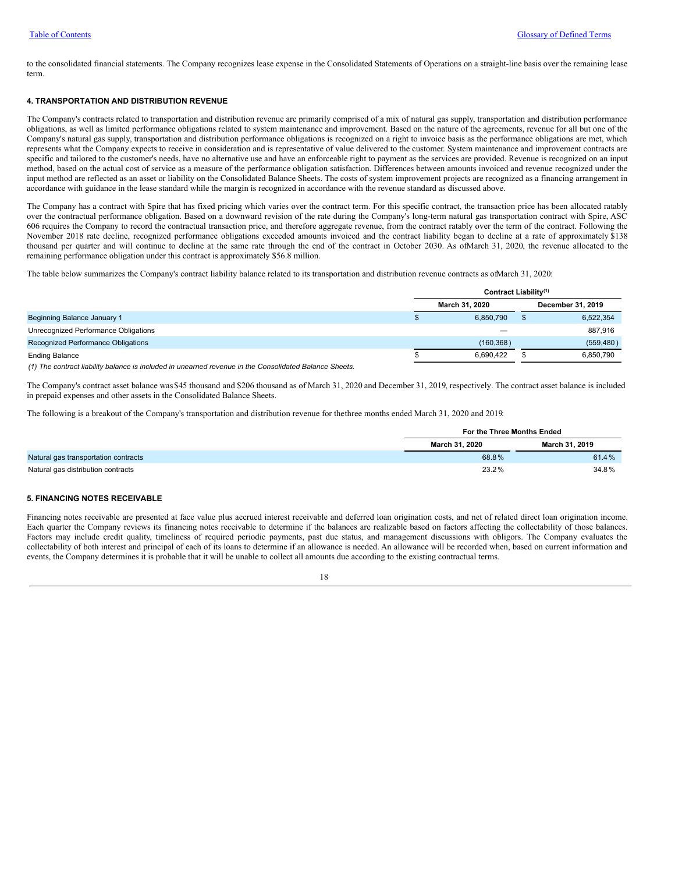<span id="page-20-0"></span>to the consolidated financial statements. The Company recognizes lease expense in the Consolidated Statements of Operations on a straight-line basis over the remaining lease term.

#### **4. TRANSPORTATION AND DISTRIBUTION REVENUE**

The Company's contracts related to transportation and distribution revenue are primarily comprised of a mix of natural gas supply, transportation and distribution performance obligations, as well as limited performance obligations related to system maintenance and improvement. Based on the nature of the agreements, revenue for all but one of the Company's natural gas supply, transportation and distribution performance obligations is recognized on a right to invoice basis as the performance obligations are met, which represents what the Company expects to receive in consideration and is representative of value delivered to the customer. System maintenance and improvement contracts are specific and tailored to the customer's needs, have no alternative use and have an enforceable right to payment as the services are provided. Revenue is recognized on an input method, based on the actual cost of service as a measure of the performance obligation satisfaction. Differences between amounts invoiced and revenue recognized under the input method are reflected as an asset or liability on the Consolidated Balance Sheets. The costs of system improvement projects are recognized as a financing arrangement in accordance with guidance in the lease standard while the margin is recognized in accordance with the revenue standard as discussed above.

The Company has a contract with Spire that has fixed pricing which varies over the contract term. For this specific contract, the transaction price has been allocated ratably over the contractual performance obligation. Based on a downward revision of the rate during the Company's long-term natural gas transportation contract with Spire, ASC 606 requires the Company to record the contractual transaction price, and therefore aggregate revenue, from the contract ratably over the term of the contract. Following the November 2018 rate decline, recognized performance obligations exceeded amounts invoiced and the contract liability began to decline at a rate of approximately \$138 thousand per quarter and will continue to decline at the same rate through the end of the contract in October 2030. As ofMarch 31, 2020, the revenue allocated to the remaining performance obligation under this contract is approximately \$56.8 million.

The table below summarizes the Company's contract liability balance related to its transportation and distribution revenue contracts as ofMarch 31, 2020:

|                                      | Contract Liability <sup>(1)</sup> |            |  |                   |  |
|--------------------------------------|-----------------------------------|------------|--|-------------------|--|
|                                      | March 31, 2020                    |            |  | December 31, 2019 |  |
| Beginning Balance January 1          |                                   | 6.850.790  |  | 6,522,354         |  |
| Unrecognized Performance Obligations |                                   |            |  | 887.916           |  |
| Recognized Performance Obligations   |                                   | (160, 368) |  | (559, 480)        |  |
| <b>Ending Balance</b>                |                                   | 6.690.422  |  | 6,850,790         |  |

*(1) The contract liability balance is included in unearned revenue in the Consolidated Balance Sheets.*

The Company's contract asset balance was \$45 thousand and \$206 thousand as of March 31, 2020 and December 31, 2019, respectively. The contract asset balance is included in prepaid expenses and other assets in the Consolidated Balance Sheets.

The following is a breakout of the Company's transportation and distribution revenue for thethree months ended March 31, 2020 and 2019:

|                                      | For the Three Months Ended |                |  |  |
|--------------------------------------|----------------------------|----------------|--|--|
|                                      | March 31, 2020             | March 31, 2019 |  |  |
| Natural gas transportation contracts | 68.8%                      | 61.4%          |  |  |
| Natural gas distribution contracts   | 23.2%                      | 34.8%          |  |  |

# <span id="page-20-1"></span>**5. FINANCING NOTES RECEIVABLE**

Financing notes receivable are presented at face value plus accrued interest receivable and deferred loan origination costs, and net of related direct loan origination income. Each quarter the Company reviews its financing notes receivable to determine if the balances are realizable based on factors affecting the collectability of those balances. Factors may include credit quality, timeliness of required periodic payments, past due status, and management discussions with obligors. The Company evaluates the collectability of both interest and principal of each of its loans to determine if an allowance is needed. An allowance will be recorded when, based on current information and events, the Company determines it is probable that it will be unable to collect all amounts due according to the existing contractual terms.

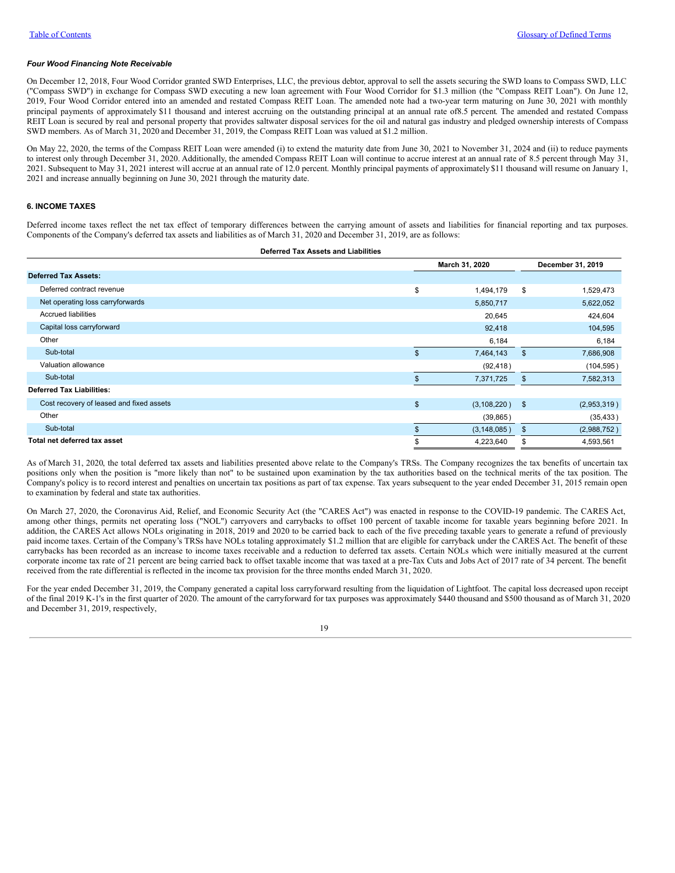#### *Four Wood Financing Note Receivable*

On December 12, 2018, Four Wood Corridor granted SWD Enterprises, LLC, the previous debtor, approval to sell the assets securing the SWD loans to Compass SWD, LLC ("Compass SWD") in exchange for Compass SWD executing a new loan agreement with Four Wood Corridor for \$1.3 million (the "Compass REIT Loan"). On June 12, 2019, Four Wood Corridor entered into an amended and restated Compass REIT Loan. The amended note had a two-year term maturing on June 30, 2021 with monthly principal payments of approximately \$11 thousand and interest accruing on the outstanding principal at an annual rate of8.5 percent. The amended and restated Compass REIT Loan is secured by real and personal property that provides saltwater disposal services for the oil and natural gas industry and pledged ownership interests of Compass SWD members. As of March 31, 2020 and December 31, 2019, the Compass REIT Loan was valued at \$1.2 million.

On May 22, 2020, the terms of the Compass REIT Loan were amended (i) to extend the maturity date from June 30, 2021 to November 31, 2024 and (ii) to reduce payments to interest only through December 31, 2020. Additionally, the amended Compass REIT Loan will continue to accrue interest at an annual rate of 8.5 percent through May 31, 2021. Subsequent to May 31, 2021 interest will accrue at an annual rate of 12.0 percent. Monthly principal payments of approximately \$11 thousand will resume on January 1, 2021 and increase annually beginning on June 30, 2021 through the maturity date.

#### <span id="page-21-0"></span>**6. INCOME TAXES**

Deferred income taxes reflect the net tax effect of temporary differences between the carrying amount of assets and liabilities for financial reporting and tax purposes. Components of the Company's deferred tax assets and liabilities as of March 31, 2020 and December 31, 2019, are as follows:

| <b>Deferred Tax Assets and Liabilities</b> |                |                                 |                   |  |  |  |  |  |  |
|--------------------------------------------|----------------|---------------------------------|-------------------|--|--|--|--|--|--|
|                                            | March 31, 2020 |                                 | December 31, 2019 |  |  |  |  |  |  |
| <b>Deferred Tax Assets:</b>                |                |                                 |                   |  |  |  |  |  |  |
| Deferred contract revenue                  | \$             | \$<br>1,494,179                 | 1,529,473         |  |  |  |  |  |  |
| Net operating loss carryforwards           |                | 5,850,717                       | 5,622,052         |  |  |  |  |  |  |
| <b>Accrued liabilities</b>                 |                | 20,645                          | 424,604           |  |  |  |  |  |  |
| Capital loss carryforward                  |                | 92,418                          | 104,595           |  |  |  |  |  |  |
| Other                                      |                | 6,184                           | 6,184             |  |  |  |  |  |  |
| Sub-total                                  | \$             | 7,464,143<br>\$                 | 7,686,908         |  |  |  |  |  |  |
| Valuation allowance                        |                | (92, 418)                       | (104, 595)        |  |  |  |  |  |  |
| Sub-total                                  |                | $\mathfrak{s}$<br>7,371,725     | 7,582,313         |  |  |  |  |  |  |
| <b>Deferred Tax Liabilities:</b>           |                |                                 |                   |  |  |  |  |  |  |
| Cost recovery of leased and fixed assets   | \$             | (3, 108, 220)<br>\$             | (2,953,319)       |  |  |  |  |  |  |
| Other                                      |                | (39, 865)                       | (35, 433)         |  |  |  |  |  |  |
| Sub-total                                  |                | $\mathfrak{S}$<br>(3, 148, 085) | (2,988,752)       |  |  |  |  |  |  |
| Total net deferred tax asset               |                | \$<br>4,223,640                 | 4,593,561         |  |  |  |  |  |  |

As of March 31, 2020, the total deferred tax assets and liabilities presented above relate to the Company's TRSs. The Company recognizes the tax benefits of uncertain tax positions only when the position is "more likely than not" to be sustained upon examination by the tax authorities based on the technical merits of the tax position. The Company's policy is to record interest and penalties on uncertain tax positions as part of tax expense. Tax years subsequent to the year ended December 31, 2015 remain open to examination by federal and state tax authorities.

On March 27, 2020, the Coronavirus Aid, Relief, and Economic Security Act (the "CARES Act") was enacted in response to the COVID-19 pandemic. The CARES Act, among other things, permits net operating loss ("NOL") carryovers and carrybacks to offset 100 percent of taxable income for taxable years beginning before 2021. In addition, the CARES Act allows NOLs originating in 2018, 2019 and 2020 to be carried back to each of the five preceding taxable years to generate a refund of previously paid income taxes. Certain of the Company's TRSs have NOLs totaling approximately \$1.2 million that are eligible for carryback under the CARES Act. The benefit of these carrybacks has been recorded as an increase to income taxes receivable and a reduction to deferred tax assets. Certain NOLs which were initially measured at the current corporate income tax rate of 21 percent are being carried back to offset taxable income that was taxed at a pre-Tax Cuts and Jobs Act of 2017 rate of 34 percent. The benefit received from the rate differential is reflected in the income tax provision for the three months ended March 31, 2020.

For the year ended December 31, 2019, the Company generated a capital loss carryforward resulting from the liquidation of Lightfoot. The capital loss decreased upon receipt of the final 2019 K-1's in the first quarter of 2020. The amount of the carryforward for tax purposes was approximately \$440 thousand and \$500 thousand as of March 31, 2020 and December 31, 2019, respectively,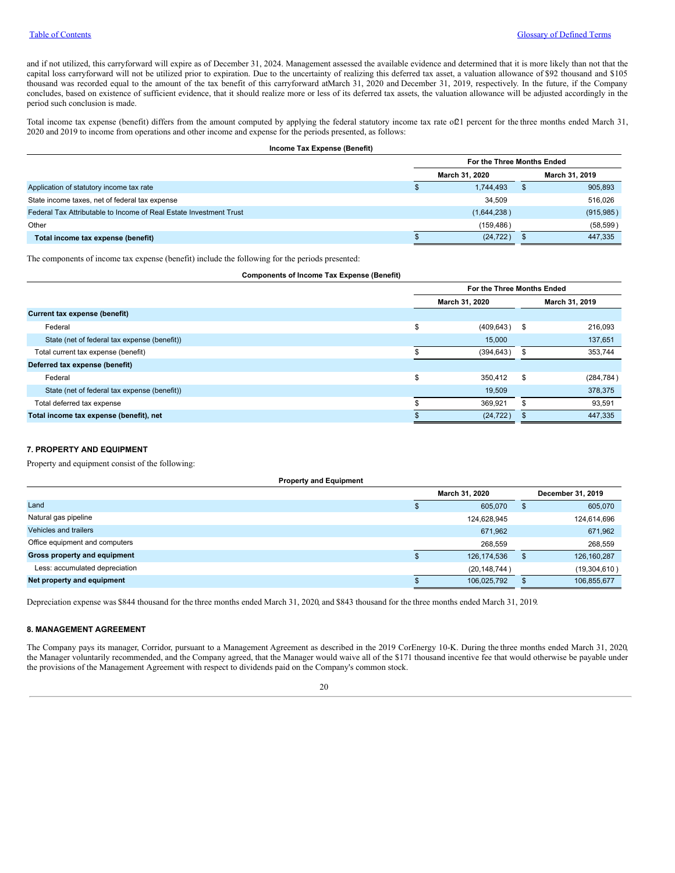and if not utilized, this carryforward will expire as of December 31, 2024. Management assessed the available evidence and determined that it is more likely than not that the capital loss carryforward will not be utilized prior to expiration. Due to the uncertainty of realizing this deferred tax asset, a valuation allowance of \$92 thousand and \$105 thousand was recorded equal to the amount of the tax benefit of this carryforward atMarch 31, 2020 and December 31, 2019, respectively. In the future, if the Company concludes, based on existence of sufficient evidence, that it should realize more or less of its deferred tax assets, the valuation allowance will be adjusted accordingly in the period such conclusion is made.

Total income tax expense (benefit) differs from the amount computed by applying the federal statutory income tax rate of 21 percent for the three months ended March 31, 2020 and 2019 to income from operations and other income and expense for the periods presented, as follows:

**Income Tax Expense (Benefit)**

Other (159,486 ) (58,599 ) **Total income tax expense (benefit)** \$ (24,722 ) \$ 447,335

**Components of Income Tax Expense (Benefit)**

|                                                                    | For the Three Months Ended |  |                |  |  |
|--------------------------------------------------------------------|----------------------------|--|----------------|--|--|
|                                                                    | March 31, 2020             |  | March 31, 2019 |  |  |
| Application of statutory income tax rate                           | 1.744.493                  |  | 905.893        |  |  |
| State income taxes, net of federal tax expense                     | 34.509                     |  | 516.026        |  |  |
| Federal Tax Attributable to Income of Real Estate Investment Trust | (1,644,238)                |  | (915, 985)     |  |  |

The components of income tax expense (benefit) include the following for the periods presented:

|                                              | For the Three Months Ended |    |                |  |
|----------------------------------------------|----------------------------|----|----------------|--|
|                                              | March 31, 2020             |    | March 31, 2019 |  |
| <b>Current tax expense (benefit)</b>         |                            |    |                |  |
| Federal                                      | \$<br>(409, 643)           | \$ | 216,093        |  |
| State (net of federal tax expense (benefit)) | 15,000                     |    | 137,651        |  |
| Total current tax expense (benefit)          | (394, 643)                 | ა  | 353,744        |  |
| Deferred tax expense (benefit)               |                            |    |                |  |
| Federal                                      | \$<br>350.412              | \$ | (284, 784)     |  |
| State (net of federal tax expense (benefit)) | 19,509                     |    | 378,375        |  |
| Total deferred tax expense                   | 369.921                    | \$ | 93,591         |  |
| Total income tax expense (benefit), net      | (24, 722)                  |    | 447,335        |  |
|                                              |                            |    |                |  |

#### <span id="page-22-0"></span>**7. PROPERTY AND EQUIPMENT**

Property and equipment consist of the following:

| <b>Property and Equipment</b>  |                |                |      |                   |  |  |  |  |
|--------------------------------|----------------|----------------|------|-------------------|--|--|--|--|
|                                | March 31, 2020 |                |      | December 31, 2019 |  |  |  |  |
| Land                           |                | 605.070        | \$   | 605,070           |  |  |  |  |
| Natural gas pipeline           |                | 124,628,945    |      | 124,614,696       |  |  |  |  |
| Vehicles and trailers          |                | 671.962        |      | 671,962           |  |  |  |  |
| Office equipment and computers |                | 268,559        |      | 268,559           |  |  |  |  |
| Gross property and equipment   |                | 126,174,536    | - \$ | 126, 160, 287     |  |  |  |  |
| Less: accumulated depreciation |                | (20, 148, 744) |      | (19,304,610)      |  |  |  |  |
| Net property and equipment     |                | 106.025.792    | S    | 106,855,677       |  |  |  |  |

<span id="page-22-1"></span>Depreciation expense was \$844 thousand for the three months ended March 31, 2020, and \$843 thousand for the three months ended March 31, 2019.

# **8. MANAGEMENT AGREEMENT**

The Company pays its manager, Corridor, pursuant to a Management Agreement as described in the 2019 CorEnergy 10-K. During the three months ended March 31, 2020, the Manager voluntarily recommended, and the Company agreed, that the Manager would waive all of the \$171 thousand incentive fee that would otherwise be payable under the provisions of the Management Agreement with respect to dividends paid on the Company's common stock.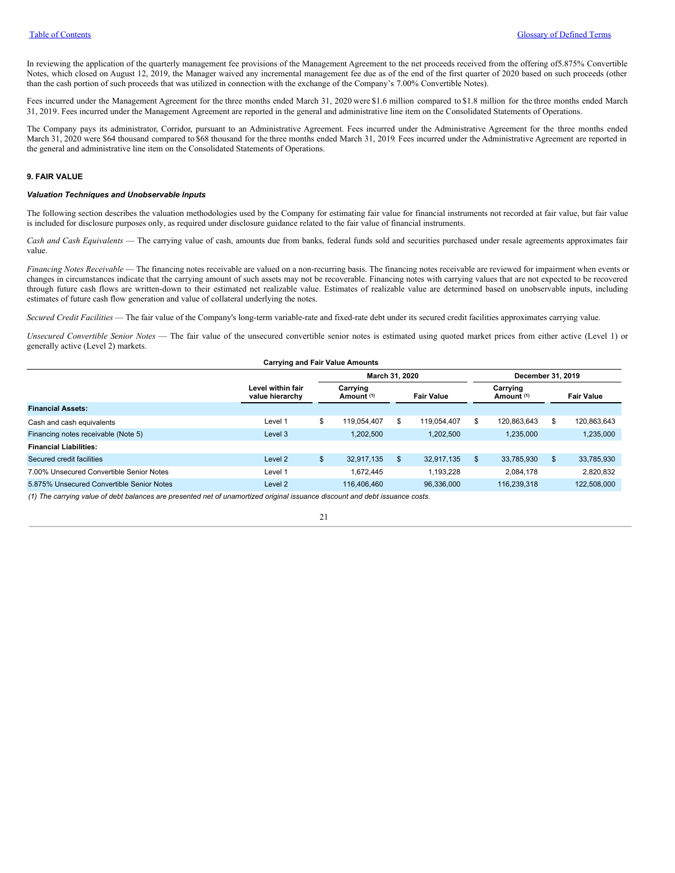In reviewing the application of the quarterly management fee provisions of the Management Agreement to the net proceeds received from the offering of5.875% Convertible Notes, which closed on August 12, 2019, the Manager waived any incremental management fee due as of the end of the first quarter of 2020 based on such proceeds (other than the cash portion of such proceeds that was utilized in connection with the exchange of the Company's 7.00% Convertible Notes).

Fees incurred under the Management Agreement for the three months ended March 31, 2020 were \$1.6 million compared to \$1.8 million for the three months ended March 31, 2019. Fees incurred under the Management Agreement are reported in the general and administrative line item on the Consolidated Statements of Operations.

The Company pays its administrator, Corridor, pursuant to an Administrative Agreement. Fees incurred under the Administrative Agreement for the three months ended March 31, 2020 were \$64 thousand compared to \$68 thousand for the three months ended March 31, 2019. Fees incurred under the Administrative Agreement are reported in the general and administrative line item on the Consolidated Statements of Operations.

#### <span id="page-23-0"></span>**9. FAIR VALUE**

#### *Valuation Techniques and Unobservable Inputs*

The following section describes the valuation methodologies used by the Company for estimating fair value for financial instruments not recorded at fair value, but fair value is included for disclosure purposes only, as required under disclosure guidance related to the fair value of financial instruments.

*Cash and Cash Equivalents* — The carrying value of cash, amounts due from banks, federal funds sold and securities purchased under resale agreements approximates fair value.

*Financing Notes Receivable* — The financing notes receivable are valued on a non-recurring basis. The financing notes receivable are reviewed for impairment when events or changes in circumstances indicate that the carrying amount of such assets may not be recoverable. Financing notes with carrying values that are not expected to be recovered through future cash flows are written-down to their estimated net realizable value. Estimates of realizable value are determined based on unobservable inputs, including estimates of future cash flow generation and value of collateral underlying the notes.

*Secured Credit Facilities* — The fair value of the Company's long-term variable-rate and fixed-rate debt under its secured credit facilities approximates carrying value.

*Unsecured Convertible Senior Notes* — The fair value of the unsecured convertible senior notes is estimated using quoted market prices from either active (Level 1) or generally active (Level 2) markets.

| <b>Carrying and Fair Value Amounts</b>    |                                      |    |                                             |    |             |                   |                                   |    |                   |
|-------------------------------------------|--------------------------------------|----|---------------------------------------------|----|-------------|-------------------|-----------------------------------|----|-------------------|
|                                           |                                      |    | March 31, 2020                              |    |             | December 31, 2019 |                                   |    |                   |
|                                           | Level within fair<br>value hierarchy |    | Carrying<br><b>Fair Value</b><br>Amount (1) |    |             |                   | Carrying<br>Amount <sup>(1)</sup> |    | <b>Fair Value</b> |
| <b>Financial Assets:</b>                  |                                      |    |                                             |    |             |                   |                                   |    |                   |
| Cash and cash equivalents                 | Level 1                              | \$ | 119.054.407                                 | \$ | 119.054.407 | \$                | 120.863.643                       | \$ | 120.863.643       |
| Financing notes receivable (Note 5)       | Level 3                              |    | 1.202.500                                   |    | 1.202.500   |                   | 1,235,000                         |    | 1,235,000         |
| <b>Financial Liabilities:</b>             |                                      |    |                                             |    |             |                   |                                   |    |                   |
| Secured credit facilities                 | Level 2                              | \$ | 32.917.135                                  | \$ | 32.917.135  | \$                | 33.785.930                        | \$ | 33,785,930        |
| 7.00% Unsecured Convertible Senior Notes  | Level 1                              |    | 1.672.445                                   |    | 1.193.228   |                   | 2.084.178                         |    | 2,820,832         |
| 5.875% Unsecured Convertible Senior Notes | Level 2                              |    | 116.406.460                                 |    | 96,336,000  |                   | 116.239.318                       |    | 122,508,000       |

(1) The carrying value of debt balances are presented net of unamortized original issuance discount and debt issuance costs.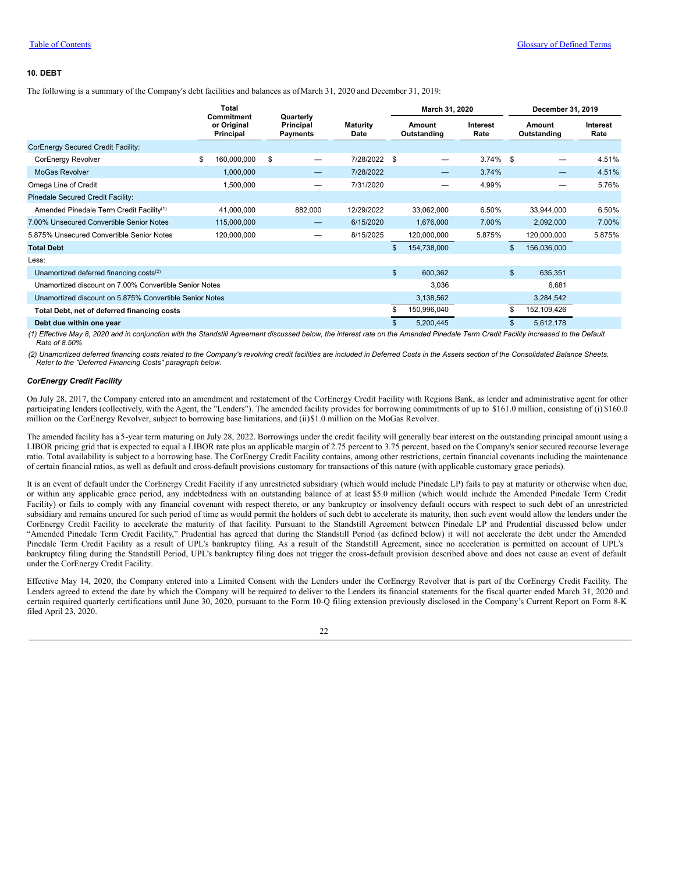#### <span id="page-24-0"></span>**10. DEBT**

The following is a summary of the Company's debt facilities and balances as ofMarch 31, 2020 and December 31, 2019:

|                                                         | Total                                         |                                           |                                | March 31, 2020 |                       | December 31, 2019 |                       |                  |
|---------------------------------------------------------|-----------------------------------------------|-------------------------------------------|--------------------------------|----------------|-----------------------|-------------------|-----------------------|------------------|
|                                                         | <b>Commitment</b><br>or Original<br>Principal | Quarterly<br>Principal<br><b>Payments</b> | <b>Maturity</b><br><b>Date</b> |                | Amount<br>Outstanding | Interest<br>Rate  | Amount<br>Outstanding | Interest<br>Rate |
| CorEnergy Secured Credit Facility:                      |                                               |                                           |                                |                |                       |                   |                       |                  |
| CorEnergy Revolver                                      | 160,000,000                                   | \$                                        | 7/28/2022 \$                   |                |                       | $3.74\%$ \$       |                       | 4.51%            |
| <b>MoGas Revolver</b>                                   | 1,000,000                                     | —                                         | 7/28/2022                      |                |                       | 3.74%             | —                     | 4.51%            |
| Omega Line of Credit                                    | 1,500,000                                     |                                           | 7/31/2020                      |                |                       | 4.99%             |                       | 5.76%            |
| Pinedale Secured Credit Facility:                       |                                               |                                           |                                |                |                       |                   |                       |                  |
| Amended Pinedale Term Credit Facility <sup>(1)</sup>    | 41,000,000                                    | 882,000                                   | 12/29/2022                     |                | 33,062,000            | 6.50%             | 33,944,000            | 6.50%            |
| 7.00% Unsecured Convertible Senior Notes                | 115,000,000                                   | —                                         | 6/15/2020                      |                | 1,676,000             | 7.00%             | 2,092,000             | 7.00%            |
| 5.875% Unsecured Convertible Senior Notes               | 120,000,000                                   |                                           | 8/15/2025                      |                | 120,000,000           | 5.875%            | 120,000,000           | 5.875%           |
| <b>Total Debt</b>                                       |                                               |                                           |                                |                | 154,738,000           |                   | \$<br>156,036,000     |                  |
| Less:                                                   |                                               |                                           |                                |                |                       |                   |                       |                  |
| Unamortized deferred financing costs <sup>(2)</sup>     |                                               |                                           |                                | \$             | 600,362               |                   | \$<br>635,351         |                  |
| Unamortized discount on 7.00% Convertible Senior Notes  |                                               |                                           |                                |                | 3,036                 |                   | 6,681                 |                  |
| Unamortized discount on 5.875% Convertible Senior Notes |                                               |                                           |                                |                | 3,138,562             |                   | 3,284,542             |                  |
| Total Debt, net of deferred financing costs             |                                               |                                           |                                |                | 150,996,040           |                   | 152,109,426           |                  |
| Debt due within one year                                |                                               |                                           |                                |                | 5,200,445             |                   | 5,612,178             |                  |

(1) Effective May 8, 2020 and in conjunction with the Standstill Agreement discussed below, the interest rate on the Amended Pinedale Term Credit Facility increased to the Default *Rate of 8.50%*

(2) Unamortized deferred financing costs related to the Company's revolving credit facilities are included in Deferred Costs in the Assets section of the Consolidated Balance Sheets. *Refer to the "Deferred Financing Costs" paragraph below.*

#### *CorEnergy Credit Facility*

On July 28, 2017, the Company entered into an amendment and restatement of the CorEnergy Credit Facility with Regions Bank, as lender and administrative agent for other participating lenders (collectively, with the Agent, the "Lenders"). The amended facility provides for borrowing commitments of up to \$161.0 million, consisting of (i) \$160.0 million on the CorEnergy Revolver, subject to borrowing base limitations, and (ii)\$1.0 million on the MoGas Revolver.

The amended facility has a 5-year term maturing on July 28, 2022. Borrowings under the credit facility will generally bear interest on the outstanding principal amount using a LIBOR pricing grid that is expected to equal a LIBOR rate plus an applicable margin of 2.75 percent to 3.75 percent, based on the Company's senior secured recourse leverage ratio. Total availability is subject to a borrowing base. The CorEnergy Credit Facility contains, among other restrictions, certain financial covenants including the maintenance of certain financial ratios, as well as default and cross-default provisions customary for transactions of this nature (with applicable customary grace periods).

It is an event of default under the CorEnergy Credit Facility if any unrestricted subsidiary (which would include Pinedale LP) fails to pay at maturity or otherwise when due, or within any applicable grace period, any indebtedness with an outstanding balance of at least \$5.0 million (which would include the Amended Pinedale Term Credit Facility) or fails to comply with any financial covenant with respect thereto, or any bankruptcy or insolvency default occurs with respect to such debt of an unrestricted subsidiary and remains uncured for such period of time as would permit the holders of such debt to accelerate its maturity, then such event would allow the lenders under the CorEnergy Credit Facility to accelerate the maturity of that facility. Pursuant to the Standstill Agreement between Pinedale LP and Prudential discussed below under "Amended Pinedale Term Credit Facility," Prudential has agreed that during the Standstill Period (as defined below) it will not accelerate the debt under the Amended Pinedale Term Credit Facility as a result of UPL's bankruptcy filing. As a result of the Standstill Agreement, since no acceleration is permitted on account of UPL's bankruptcy filing during the Standstill Period, UPL's bankruptcy filing does not trigger the cross-default provision described above and does not cause an event of default under the CorEnergy Credit Facility.

Effective May 14, 2020, the Company entered into a Limited Consent with the Lenders under the CorEnergy Revolver that is part of the CorEnergy Credit Facility. The Lenders agreed to extend the date by which the Company will be required to deliver to the Lenders its financial statements for the fiscal quarter ended March 31, 2020 and certain required quarterly certifications until June 30, 2020, pursuant to the Form 10‑Q filing extension previously disclosed in the Company's Current Report on Form 8-K filed April 23, 2020.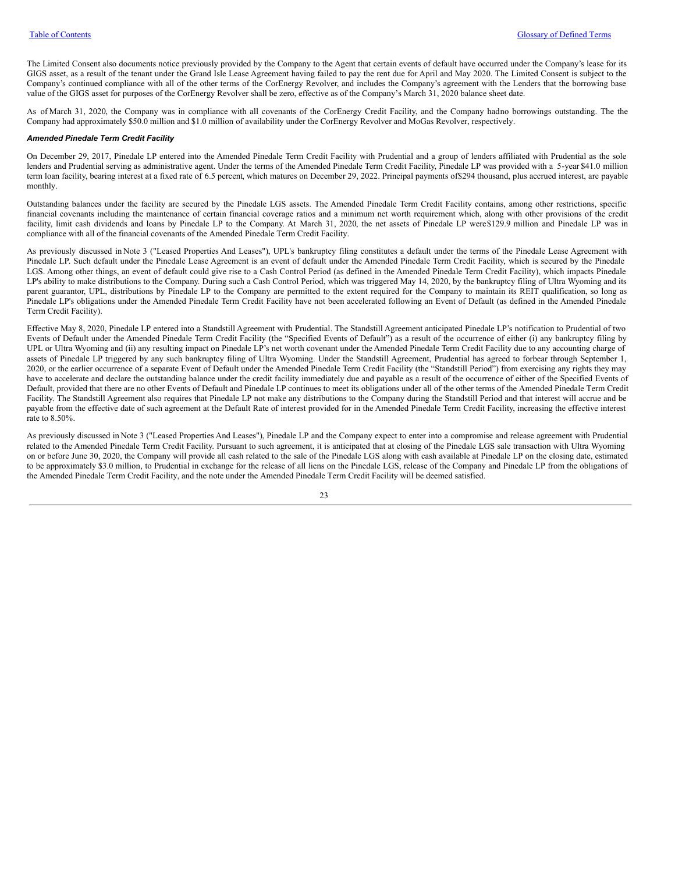The Limited Consent also documents notice previously provided by the Company to the Agent that certain events of default have occurred under the Company's lease for its GIGS asset, as a result of the tenant under the Grand Isle Lease Agreement having failed to pay the rent due for April and May 2020. The Limited Consent is subject to the Company's continued compliance with all of the other terms of the CorEnergy Revolver, and includes the Company's agreement with the Lenders that the borrowing base value of the GIGS asset for purposes of the CorEnergy Revolver shall be zero, effective as of the Company's March 31, 2020 balance sheet date.

As of March 31, 2020, the Company was in compliance with all covenants of the CorEnergy Credit Facility, and the Company hadno borrowings outstanding. The the Company had approximately \$50.0 million and \$1.0 million of availability under the CorEnergy Revolver and MoGas Revolver, respectively.

### *Amended Pinedale Term Credit Facility*

On December 29, 2017, Pinedale LP entered into the Amended Pinedale Term Credit Facility with Prudential and a group of lenders affiliated with Prudential as the sole lenders and Prudential serving as administrative agent. Under the terms of the Amended Pinedale Term Credit Facility, Pinedale LP was provided with a 5-year \$41.0 million term loan facility, bearing interest at a fixed rate of 6.5 percent, which matures on December 29, 2022. Principal payments of\$294 thousand, plus accrued interest, are payable monthly.

Outstanding balances under the facility are secured by the Pinedale LGS assets. The Amended Pinedale Term Credit Facility contains, among other restrictions, specific financial covenants including the maintenance of certain financial coverage ratios and a minimum net worth requirement which, along with other provisions of the credit facility, limit cash dividends and loans by Pinedale LP to the Company. At March 31, 2020, the net assets of Pinedale LP were\$129.9 million and Pinedale LP was in compliance with all of the financial covenants of the Amended Pinedale Term Credit Facility.

As previously discussed in Note 3 ("Leased Properties And Leases"), UPL's bankruptcy filing constitutes a default under the terms of the Pinedale Lease Agreement with Pinedale LP. Such default under the Pinedale Lease Agreement is an event of default under the Amended Pinedale Term Credit Facility, which is secured by the Pinedale LGS. Among other things, an event of default could give rise to a Cash Control Period (as defined in the Amended Pinedale Term Credit Facility), which impacts Pinedale LP's ability to make distributions to the Company. During such a Cash Control Period, which was triggered May 14, 2020, by the bankruptcy filing of Ultra Wyoming and its parent guarantor, UPL, distributions by Pinedale LP to the Company are permitted to the extent required for the Company to maintain its REIT qualification, so long as Pinedale LP's obligations under the Amended Pinedale Term Credit Facility have not been accelerated following an Event of Default (as defined in the Amended Pinedale Term Credit Facility).

Effective May 8, 2020, Pinedale LP entered into a Standstill Agreement with Prudential. The Standstill Agreement anticipated Pinedale LP's notification to Prudential of two Events of Default under the Amended Pinedale Term Credit Facility (the "Specified Events of Default") as a result of the occurrence of either (i) any bankruptcy filing by UPL or Ultra Wyoming and (ii) any resulting impact on Pinedale LP's net worth covenant under the Amended Pinedale Term Credit Facility due to any accounting charge of assets of Pinedale LP triggered by any such bankruptcy filing of Ultra Wyoming. Under the Standstill Agreement, Prudential has agreed to forbear through September 1, 2020, or the earlier occurrence of a separate Event of Default under the Amended Pinedale Term Credit Facility (the "Standstill Period") from exercising any rights they may have to accelerate and declare the outstanding balance under the credit facility immediately due and payable as a result of the occurrence of either of the Specified Events of Default, provided that there are no other Events of Default and Pinedale LP continues to meet its obligations under all of the other terms of the Amended Pinedale Term Credit Facility. The Standstill Agreement also requires that Pinedale LP not make any distributions to the Company during the Standstill Period and that interest will accrue and be payable from the effective date of such agreement at the Default Rate of interest provided for in the Amended Pinedale Term Credit Facility, increasing the effective interest rate to 8.50%.

As previously discussed in Note 3 ("Leased Properties And Leases"), Pinedale LP and the Company expect to enter into a compromise and release agreement with Prudential related to the Amended Pinedale Term Credit Facility. Pursuant to such agreement, it is anticipated that at closing of the Pinedale LGS sale transaction with Ultra Wyoming on or before June 30, 2020, the Company will provide all cash related to the sale of the Pinedale LGS along with cash available at Pinedale LP on the closing date, estimated to be approximately \$3.0 million, to Prudential in exchange for the release of all liens on the Pinedale LGS, release of the Company and Pinedale LP from the obligations of the Amended Pinedale Term Credit Facility, and the note under the Amended Pinedale Term Credit Facility will be deemed satisfied.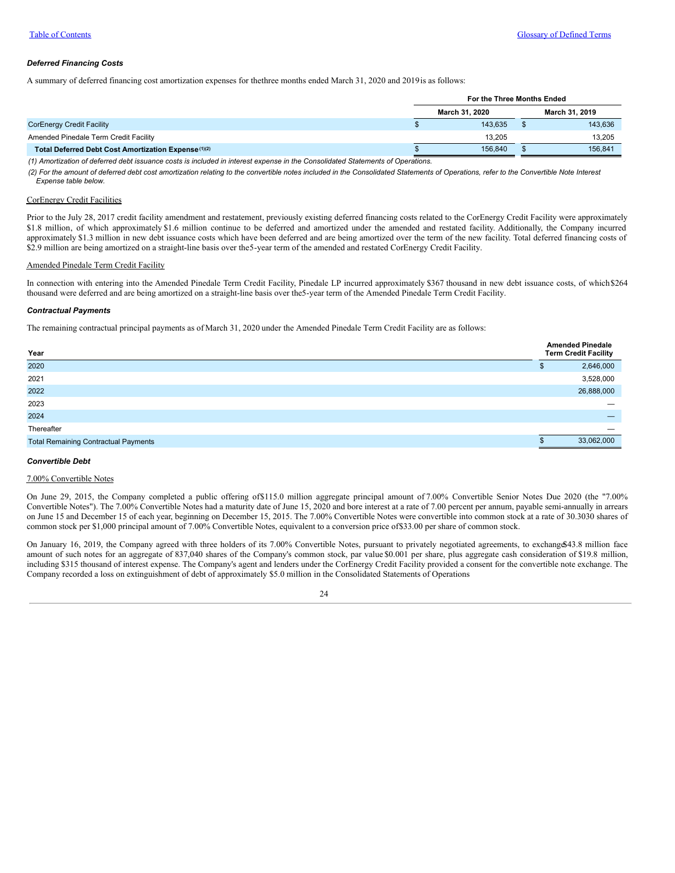#### *Deferred Financing Costs*

A summary of deferred financing cost amortization expenses for thethree months ended March 31, 2020 and 2019is as follows:

|                                                      | For the Three Months Ended |  |                |  |
|------------------------------------------------------|----------------------------|--|----------------|--|
|                                                      | March 31, 2020             |  | March 31, 2019 |  |
| <b>CorEnergy Credit Facility</b>                     | 143.635                    |  | 143,636        |  |
| Amended Pinedale Term Credit Facility                | 13.205                     |  | 13,205         |  |
| Total Deferred Debt Cost Amortization Expense (1)(2) | 156,840                    |  | 156.841        |  |

(1) Amortization of deferred debt issuance costs is included in interest expense in the Consolidated Statements of Operations.

(2) For the amount of deferred debt cost amortization relating to the convertible notes included in the Consolidated Statements of Operations, refer to the Convertible Note Interest *Expense table below.*

#### CorEnergy Credit Facilities

Prior to the July 28, 2017 credit facility amendment and restatement, previously existing deferred financing costs related to the CorEnergy Credit Facility were approximately \$1.8 million, of which approximately \$1.6 million continue to be deferred and amortized under the amended and restated facility. Additionally, the Company incurred approximately \$1.3 million in new debt issuance costs which have been deferred and are being amortized over the term of the new facility. Total deferred financing costs of \$2.9 million are being amortized on a straight-line basis over the5-year term of the amended and restated CorEnergy Credit Facility.

### Amended Pinedale Term Credit Facility

In connection with entering into the Amended Pinedale Term Credit Facility, Pinedale LP incurred approximately \$367 thousand in new debt issuance costs, of which\$264 thousand were deferred and are being amortized on a straight-line basis over the5-year term of the Amended Pinedale Term Credit Facility.

#### *Contractual Payments*

The remaining contractual principal payments as of March 31, 2020 under the Amended Pinedale Term Credit Facility are as follows:

| Year                                        |          | <b>Amended Pinedale</b><br><b>Term Credit Facility</b> |
|---------------------------------------------|----------|--------------------------------------------------------|
| 2020                                        | <b>D</b> | 2,646,000                                              |
| 2021                                        |          | 3,528,000                                              |
| 2022                                        |          | 26,888,000                                             |
| 2023                                        |          |                                                        |
| 2024                                        |          |                                                        |
| Thereafter                                  |          |                                                        |
| <b>Total Remaining Contractual Payments</b> |          | 33,062,000                                             |

### *Convertible Debt*

#### 7.00% Convertible Notes

On June 29, 2015, the Company completed a public offering of\$115.0 million aggregate principal amount of 7.00% Convertible Senior Notes Due 2020 (the "7.00% Convertible Notes"). The 7.00% Convertible Notes had a maturity date of June 15, 2020 and bore interest at a rate of 7.00 percent per annum, payable semi-annually in arrears on June 15 and December 15 of each year, beginning on December 15, 2015. The 7.00% Convertible Notes were convertible into common stock at a rate of 30.3030 shares of common stock per \$1,000 principal amount of 7.00% Convertible Notes, equivalent to a conversion price of\$33.00 per share of common stock.

On January 16, 2019, the Company agreed with three holders of its 7.00% Convertible Notes, pursuant to privately negotiated agreements, to exchange\$43.8 million face amount of such notes for an aggregate of 837,040 shares of the Company's common stock, par value \$0.001 per share, plus aggregate cash consideration of \$19.8 million, including \$315 thousand of interest expense. The Company's agent and lenders under the CorEnergy Credit Facility provided a consent for the convertible note exchange. The Company recorded a loss on extinguishment of debt of approximately \$5.0 million in the Consolidated Statements of Operations

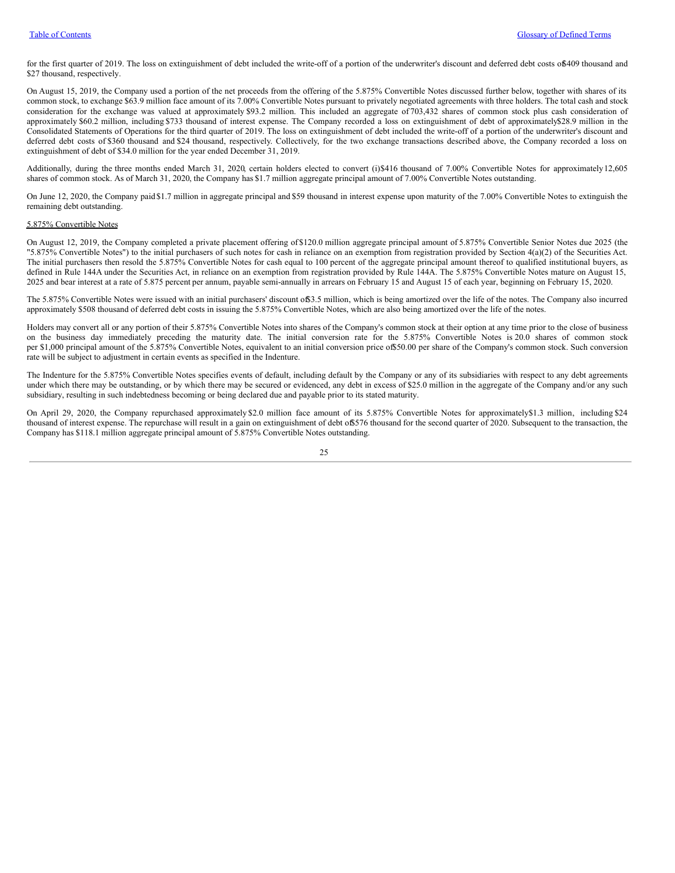for the first quarter of 2019. The loss on extinguishment of debt included the write-off of a portion of the underwriter's discount and deferred debt costs of 409 thousand and \$27 thousand, respectively.

On August 15, 2019, the Company used a portion of the net proceeds from the offering of the 5.875% Convertible Notes discussed further below, together with shares of its common stock, to exchange \$63.9 million face amount of its 7.00% Convertible Notes pursuant to privately negotiated agreements with three holders. The total cash and stock consideration for the exchange was valued at approximately \$93.2 million. This included an aggregate of 703,432 shares of common stock plus cash consideration of approximately \$60.2 million, including \$733 thousand of interest expense. The Company recorded a loss on extinguishment of debt of approximately\$28.9 million in the Consolidated Statements of Operations for the third quarter of 2019. The loss on extinguishment of debt included the write-off of a portion of the underwriter's discount and deferred debt costs of \$360 thousand and \$24 thousand, respectively. Collectively, for the two exchange transactions described above, the Company recorded a loss on extinguishment of debt of \$34.0 million for the year ended December 31, 2019.

Additionally, during the three months ended March 31, 2020, certain holders elected to convert (i)\$416 thousand of 7.00% Convertible Notes for approximately12,605 shares of common stock. As of March 31, 2020, the Company has \$1.7 million aggregate principal amount of 7.00% Convertible Notes outstanding.

On June 12, 2020, the Company paid\$1.7 million in aggregate principal and \$59 thousand in interest expense upon maturity of the 7.00% Convertible Notes to extinguish the remaining debt outstanding.

#### 5.875% Convertible Notes

On August 12, 2019, the Company completed a private placement offering of \$120.0 million aggregate principal amount of 5.875% Convertible Senior Notes due 2025 (the "5.875% Convertible Notes") to the initial purchasers of such notes for cash in reliance on an exemption from registration provided by Section 4(a)(2) of the Securities Act. The initial purchasers then resold the 5.875% Convertible Notes for cash equal to 100 percent of the aggregate principal amount thereof to qualified institutional buyers, as defined in Rule 144A under the Securities Act, in reliance on an exemption from registration provided by Rule 144A. The 5.875% Convertible Notes mature on August 15, 2025 and bear interest at a rate of 5.875 percent per annum, payable semi-annually in arrears on February 15 and August 15 of each year, beginning on February 15, 2020.

The 5.875% Convertible Notes were issued with an initial purchasers' discount of\$3.5 million, which is being amortized over the life of the notes. The Company also incurred approximately \$508 thousand of deferred debt costs in issuing the 5.875% Convertible Notes, which are also being amortized over the life of the notes.

Holders may convert all or any portion of their 5.875% Convertible Notes into shares of the Company's common stock at their option at any time prior to the close of business on the business day immediately preceding the maturity date. The initial conversion rate for the 5.875% Convertible Notes is 20.0 shares of common stock per \$1,000 principal amount of the 5.875% Convertible Notes, equivalent to an initial conversion price of 50.00 per share of the Company's common stock. Such conversion rate will be subject to adjustment in certain events as specified in the Indenture.

The Indenture for the 5.875% Convertible Notes specifies events of default, including default by the Company or any of its subsidiaries with respect to any debt agreements under which there may be outstanding, or by which there may be secured or evidenced, any debt in excess of \$25.0 million in the aggregate of the Company and/or any such subsidiary, resulting in such indebtedness becoming or being declared due and payable prior to its stated maturity.

On April 29, 2020, the Company repurchased approximately \$2.0 million face amount of its 5.875% Convertible Notes for approximately\$1.3 million, including \$24 thousand of interest expense. The repurchase will result in a gain on extinguishment of debt of\$576 thousand for the second quarter of 2020. Subsequent to the transaction, the Company has \$118.1 million aggregate principal amount of 5.875% Convertible Notes outstanding.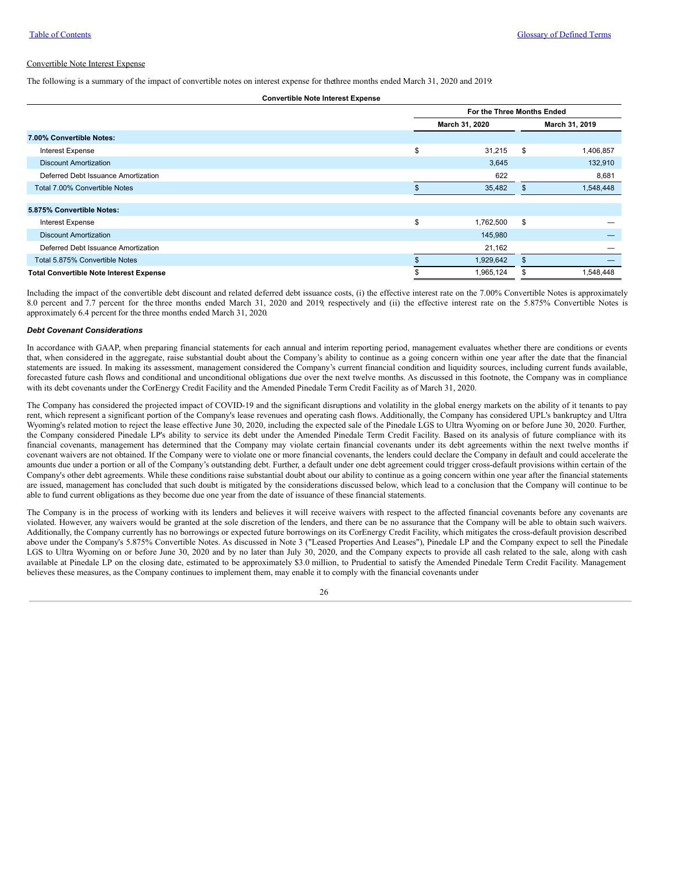#### Convertible Note Interest Expense

The following is a summary of the impact of convertible notes on interest expense for thethree months ended March 31, 2020 and 2019:

|                                                | CONVEILIDIE NOTE INTEREST EXPENSE |                            |                |  |  |  |
|------------------------------------------------|-----------------------------------|----------------------------|----------------|--|--|--|
|                                                |                                   | For the Three Months Ended |                |  |  |  |
|                                                | March 31, 2020                    |                            | March 31, 2019 |  |  |  |
| 7.00% Convertible Notes:                       |                                   |                            |                |  |  |  |
| Interest Expense                               | \$                                | \$<br>31,215               | 1,406,857      |  |  |  |
| <b>Discount Amortization</b>                   |                                   | 3,645                      | 132,910        |  |  |  |
| Deferred Debt Issuance Amortization            |                                   | 622                        | 8,681          |  |  |  |
| Total 7.00% Convertible Notes                  |                                   | 35,482<br>\$               | 1,548,448      |  |  |  |
| 5.875% Convertible Notes:                      |                                   |                            |                |  |  |  |
| Interest Expense                               | \$                                | \$<br>1,762,500            |                |  |  |  |
| <b>Discount Amortization</b>                   |                                   | 145,980                    |                |  |  |  |
| Deferred Debt Issuance Amortization            |                                   | 21,162                     |                |  |  |  |
| Total 5.875% Convertible Notes                 |                                   | 1,929,642<br>\$            |                |  |  |  |
| <b>Total Convertible Note Interest Expense</b> |                                   | 1,965,124<br>S             | 1,548,448      |  |  |  |
|                                                |                                   |                            |                |  |  |  |

**Convertible Note Interest Expense**

Including the impact of the convertible debt discount and related deferred debt issuance costs, (i) the effective interest rate on the 7.00% Convertible Notes is approximately 8.0 percent and 7.7 percent for the three months ended March 31, 2020 and 2019, respectively and (ii) the effective interest rate on the 5.875% Convertible Notes is approximately 6.4 percent for the three months ended March 31, 2020.

#### *Debt Covenant Considerations*

In accordance with GAAP, when preparing financial statements for each annual and interim reporting period, management evaluates whether there are conditions or events that, when considered in the aggregate, raise substantial doubt about the Company's ability to continue as a going concern within one year after the date that the financial statements are issued. In making its assessment, management considered the Company's current financial condition and liquidity sources, including current funds available, forecasted future cash flows and conditional and unconditional obligations due over the next twelve months. As discussed in this footnote, the Company was in compliance with its debt covenants under the CorEnergy Credit Facility and the Amended Pinedale Term Credit Facility as of March 31, 2020.

The Company has considered the projected impact of COVID-19 and the significant disruptions and volatility in the global energy markets on the ability of it tenants to pay rent, which represent a significant portion of the Company's lease revenues and operating cash flows. Additionally, the Company has considered UPL's bankruptcy and Ultra Wyoming's related motion to reject the lease effective June 30, 2020, including the expected sale of the Pinedale LGS to Ultra Wyoming on or before June 30, 2020. Further, the Company considered Pinedale LP's ability to service its debt under the Amended Pinedale Term Credit Facility. Based on its analysis of future compliance with its financial covenants, management has determined that the Company may violate certain financial covenants under its debt agreements within the next twelve months if covenant waivers are not obtained. If the Company were to violate one or more financial covenants, the lenders could declare the Company in default and could accelerate the amounts due under a portion or all of the Company's outstanding debt. Further, a default under one debt agreement could trigger cross-default provisions within certain of the Company's other debt agreements. While these conditions raise substantial doubt about our ability to continue as a going concern within one year after the financial statements are issued, management has concluded that such doubt is mitigated by the considerations discussed below, which lead to a conclusion that the Company will continue to be able to fund current obligations as they become due one year from the date of issuance of these financial statements.

The Company is in the process of working with its lenders and believes it will receive waivers with respect to the affected financial covenants before any covenants are violated. However, any waivers would be granted at the sole discretion of the lenders, and there can be no assurance that the Company will be able to obtain such waivers. Additionally, the Company currently has no borrowings or expected future borrowings on its CorEnergy Credit Facility, which mitigates the cross-default provision described above under the Company's 5.875% Convertible Notes. As discussed in Note 3 ("Leased Properties And Leases"), Pinedale LP and the Company expect to sell the Pinedale LGS to Ultra Wyoming on or before June 30, 2020 and by no later than July 30, 2020, and the Company expects to provide all cash related to the sale, along with cash available at Pinedale LP on the closing date, estimated to be approximately \$3.0 million, to Prudential to satisfy the Amended Pinedale Term Credit Facility. Management believes these measures, as the Company continues to implement them, may enable it to comply with the financial covenants under

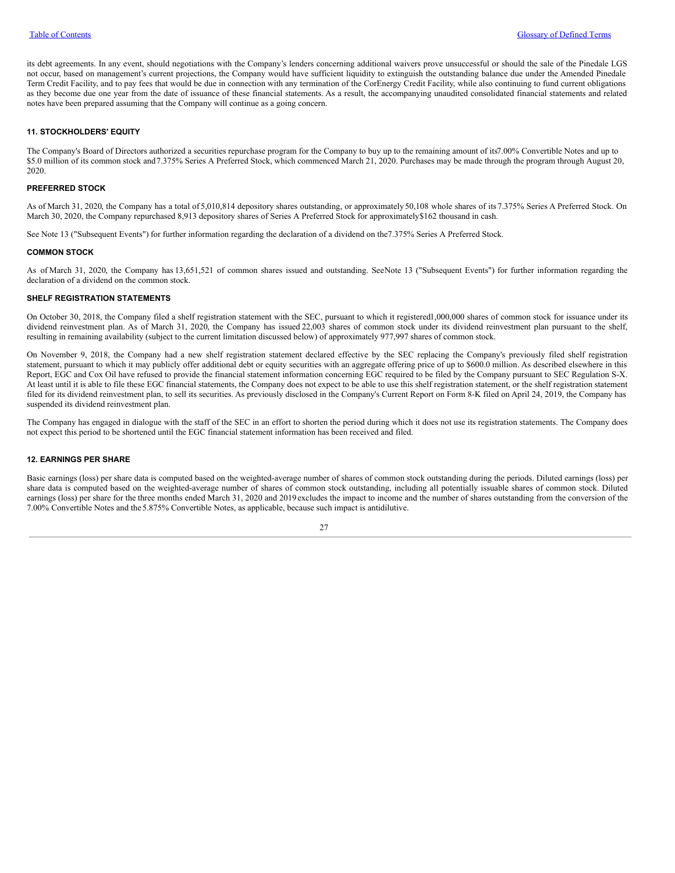its debt agreements. In any event, should negotiations with the Company's lenders concerning additional waivers prove unsuccessful or should the sale of the Pinedale LGS not occur, based on management's current projections, the Company would have sufficient liquidity to extinguish the outstanding balance due under the Amended Pinedale Term Credit Facility, and to pay fees that would be due in connection with any termination of the CorEnergy Credit Facility, while also continuing to fund current obligations as they become due one year from the date of issuance of these financial statements. As a result, the accompanying unaudited consolidated financial statements and related notes have been prepared assuming that the Company will continue as a going concern.

#### <span id="page-29-0"></span>**11. STOCKHOLDERS' EQUITY**

The Company's Board of Directors authorized a securities repurchase program for the Company to buy up to the remaining amount of its7.00% Convertible Notes and up to \$5.0 million of its common stock and7.375% Series A Preferred Stock, which commenced March 21, 2020. Purchases may be made through the program through August 20, 2020.

#### **PREFERRED STOCK**

As of March 31, 2020, the Company has a total of 5,010,814 depository shares outstanding, or approximately 50,108 whole shares of its 7.375% Series A Preferred Stock. On March 30, 2020, the Company repurchased 8,913 depository shares of Series A Preferred Stock for approximately\$162 thousand in cash.

See Note 13 ("Subsequent Events") for further information regarding the declaration of a dividend on the7.375% Series A Preferred Stock.

#### **COMMON STOCK**

As of March 31, 2020, the Company has 13,651,521 of common shares issued and outstanding. SeeNote 13 ("Subsequent Events") for further information regarding the declaration of a dividend on the common stock.

#### **SHELF REGISTRATION STATEMENTS**

On October 30, 2018, the Company filed a shelf registration statement with the SEC, pursuant to which it registered1,000,000 shares of common stock for issuance under its dividend reinvestment plan. As of March 31, 2020, the Company has issued 22,003 shares of common stock under its dividend reinvestment plan pursuant to the shelf, resulting in remaining availability (subject to the current limitation discussed below) of approximately 977,997 shares of common stock.

On November 9, 2018, the Company had a new shelf registration statement declared effective by the SEC replacing the Company's previously filed shelf registration statement, pursuant to which it may publicly offer additional debt or equity securities with an aggregate offering price of up to \$600.0 million. As described elsewhere in this Report, EGC and Cox Oil have refused to provide the financial statement information concerning EGC required to be filed by the Company pursuant to SEC Regulation S-X. At least until it is able to file these EGC financial statements, the Company does not expect to be able to use this shelf registration statement, or the shelf registration statement filed for its dividend reinvestment plan, to sell its securities. As previously disclosed in the Company's Current Report on Form 8-K filed on April 24, 2019, the Company has suspended its dividend reinvestment plan.

<span id="page-29-1"></span>The Company has engaged in dialogue with the staff of the SEC in an effort to shorten the period during which it does not use its registration statements. The Company does not expect this period to be shortened until the EGC financial statement information has been received and filed.

#### **12. EARNINGS PER SHARE**

Basic earnings (loss) per share data is computed based on the weighted-average number of shares of common stock outstanding during the periods. Diluted earnings (loss) per share data is computed based on the weighted-average number of shares of common stock outstanding, including all potentially issuable shares of common stock. Diluted earnings (loss) per share for the three months ended March 31, 2020 and 2019 excludes the impact to income and the number of shares outstanding from the conversion of the 7.00% Convertible Notes and the 5.875% Convertible Notes, as applicable, because such impact is antidilutive.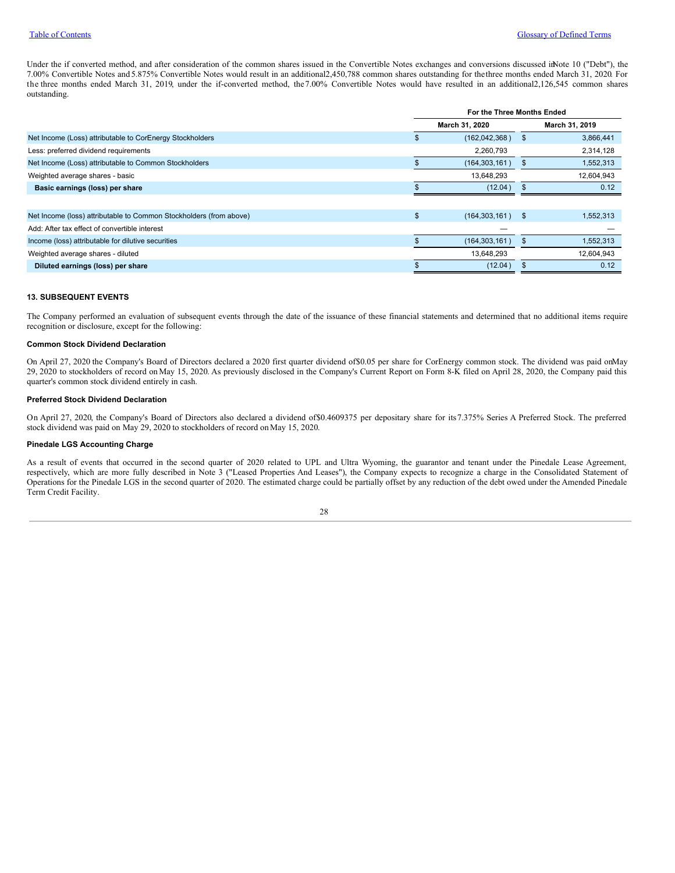Under the if converted method, and after consideration of the common shares issued in the Convertible Notes exchanges and conversions discussed inNote 10 ("Debt"), the 7.00% Convertible Notes and 5.875% Convertible Notes would result in an additional2,450,788 common shares outstanding for thethree months ended March 31, 2020. For the three months ended March 31, 2019, under the if-converted method, the7.00% Convertible Notes would have resulted in an additional2,126,545 common shares outstanding.

|                                                                    | For the Three Months Ended |                      |     |                |
|--------------------------------------------------------------------|----------------------------|----------------------|-----|----------------|
|                                                                    | March 31, 2020             |                      |     | March 31, 2019 |
| Net Income (Loss) attributable to CorEnergy Stockholders           | ৬                          | (162, 042, 368)      | - 5 | 3,866,441      |
| Less: preferred dividend requirements                              |                            | 2,260,793            |     | 2,314,128      |
| Net Income (Loss) attributable to Common Stockholders              |                            | (164, 303, 161)      |     | 1,552,313      |
| Weighted average shares - basic                                    |                            | 13.648.293           |     | 12,604,943     |
| Basic earnings (loss) per share                                    |                            | (12.04)              |     | 0.12           |
|                                                                    |                            |                      |     |                |
| Net Income (loss) attributable to Common Stockholders (from above) | $\mathfrak{S}$             | $(164, 303, 161)$ \$ |     | 1,552,313      |
| Add: After tax effect of convertible interest                      |                            |                      |     |                |
| Income (loss) attributable for dilutive securities                 |                            | (164, 303, 161)      | - 5 | 1,552,313      |
| Weighted average shares - diluted                                  |                            | 13.648.293           |     | 12,604,943     |
| Diluted earnings (loss) per share                                  |                            | (12.04)              |     | 0.12           |

# <span id="page-30-0"></span>**13. SUBSEQUENT EVENTS**

The Company performed an evaluation of subsequent events through the date of the issuance of these financial statements and determined that no additional items require recognition or disclosure, except for the following:

### **Common Stock Dividend Declaration**

On April 27, 2020 the Company's Board of Directors declared a 2020 first quarter dividend of\$0.05 per share for CorEnergy common stock. The dividend was paid onMay 29, 2020 to stockholders of record on May 15, 2020. As previously disclosed in the Company's Current Report on Form 8-K filed on April 28, 2020, the Company paid this quarter's common stock dividend entirely in cash.

### **Preferred Stock Dividend Declaration**

On April 27, 2020, the Company's Board of Directors also declared a dividend of\$0.4609375 per depositary share for its7.375% Series A Preferred Stock. The preferred stock dividend was paid on May 29, 2020 to stockholders of record on May 15, 2020.

#### **Pinedale LGS Accounting Charge**

As a result of events that occurred in the second quarter of 2020 related to UPL and Ultra Wyoming, the guarantor and tenant under the Pinedale Lease Agreement, respectively, which are more fully described in Note 3 ("Leased Properties And Leases"), the Company expects to recognize a charge in the Consolidated Statement of Operations for the Pinedale LGS in the second quarter of 2020. The estimated charge could be partially offset by any reduction of the debt owed under the Amended Pinedale Term Credit Facility.

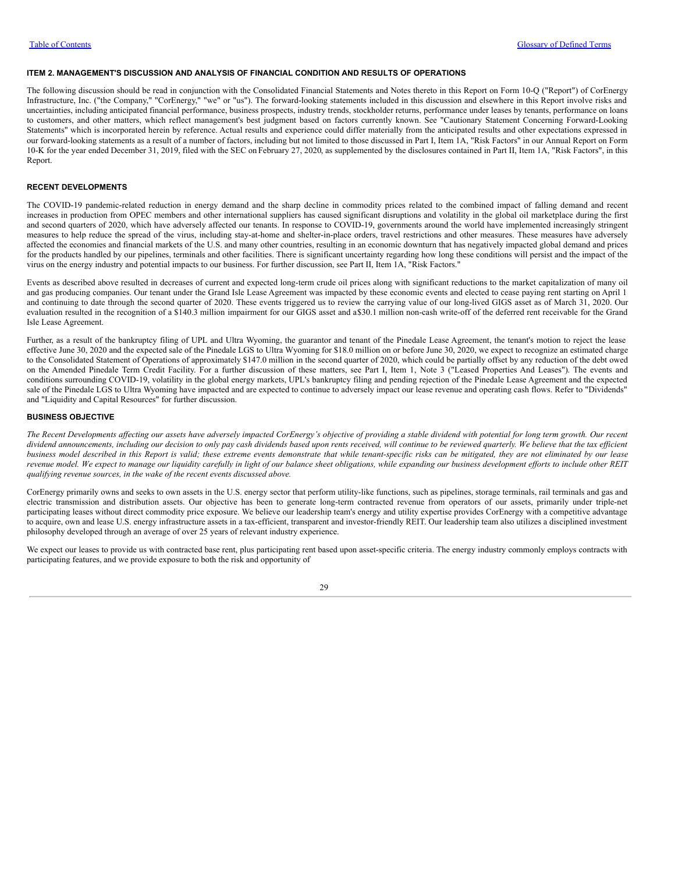#### <span id="page-31-0"></span>**ITEM 2. MANAGEMENT'S DISCUSSION AND ANALYSIS OF FINANCIAL CONDITION AND RESULTS OF OPERATIONS**

The following discussion should be read in conjunction with the Consolidated Financial Statements and Notes thereto in this Report on Form 10-Q ("Report") of CorEnergy Infrastructure, Inc. ("the Company," "CorEnergy," "we" or "us"). The forward-looking statements included in this discussion and elsewhere in this Report involve risks and uncertainties, including anticipated financial performance, business prospects, industry trends, stockholder returns, performance under leases by tenants, performance on loans to customers, and other matters, which reflect management's best judgment based on factors currently known. See "Cautionary Statement Concerning Forward-Looking Statements" which is incorporated herein by reference. Actual results and experience could differ materially from the anticipated results and other expectations expressed in our forward-looking statements as a result of a number of factors, including but not limited to those discussed in Part I, Item 1A, "Risk Factors" in our Annual Report on Form 10-K for the year ended December 31, 2019, filed with the SEC on February 27, 2020, as supplemented by the disclosures contained in Part II, Item 1A, "Risk Factors", in this Report.

## **RECENT DEVELOPMENTS**

The COVID-19 pandemic-related reduction in energy demand and the sharp decline in commodity prices related to the combined impact of falling demand and recent increases in production from OPEC members and other international suppliers has caused significant disruptions and volatility in the global oil marketplace during the first and second quarters of 2020, which have adversely affected our tenants. In response to COVID-19, governments around the world have implemented increasingly stringent measures to help reduce the spread of the virus, including stay-at-home and shelter-in-place orders, travel restrictions and other measures. These measures have adversely affected the economies and financial markets of the U.S. and many other countries, resulting in an economic downturn that has negatively impacted global demand and prices for the products handled by our pipelines, terminals and other facilities. There is significant uncertainty regarding how long these conditions will persist and the impact of the virus on the energy industry and potential impacts to our business. For further discussion, see Part II, Item 1A, "Risk Factors."

Events as described above resulted in decreases of current and expected long-term crude oil prices along with significant reductions to the market capitalization of many oil and gas producing companies. Our tenant under the Grand Isle Lease Agreement was impacted by these economic events and elected to cease paying rent starting on April 1 and continuing to date through the second quarter of 2020. These events triggered us to review the carrying value of our long-lived GIGS asset as of March 31, 2020. Our evaluation resulted in the recognition of a \$140.3 million impairment for our GIGS asset and a\$30.1 million non-cash write-off of the deferred rent receivable for the Grand Isle Lease Agreement.

Further, as a result of the bankruptcy filing of UPL and Ultra Wyoming, the guarantor and tenant of the Pinedale Lease Agreement, the tenant's motion to reject the lease effective June 30, 2020 and the expected sale of the Pinedale LGS to Ultra Wyoming for \$18.0 million on or before June 30, 2020, we expect to recognize an estimated charge to the Consolidated Statement of Operations of approximately \$147.0 million in the second quarter of 2020, which could be partially offset by any reduction of the debt owed on the Amended Pinedale Term Credit Facility. For a further discussion of these matters, see Part I, Item 1, Note 3 ("Leased Properties And Leases"). The events and conditions surrounding COVID-19, volatility in the global energy markets, UPL's bankruptcy filing and pending rejection of the Pinedale Lease Agreement and the expected sale of the Pinedale LGS to Ultra Wyoming have impacted and are expected to continue to adversely impact our lease revenue and operating cash flows. Refer to "Dividends" and "Liquidity and Capital Resources" for further discussion.

### **BUSINESS OBJECTIVE**

The Recent Developments affecting our assets have adversely impacted CorEnergy's objective of providing a stable dividend with potential for long term growth. Our recent dividend announcements, including our decision to only pay cash dividends based upon rents received, will continue to be reviewed quarterly. We believe that the tax efficient business model described in this Report is valid; these extreme events demonstrate that while tenant-specific risks can be mitigated, they are not eliminated by our lease revenue model. We expect to manage our liquidity carefully in light of our balance sheet obligations, while expanding our business development efforts to include other REIT *qualifying revenue sources, in the wake of the recent events discussed above.*

CorEnergy primarily owns and seeks to own assets in the U.S. energy sector that perform utility-like functions, such as pipelines, storage terminals, rail terminals and gas and electric transmission and distribution assets. Our objective has been to generate long-term contracted revenue from operators of our assets, primarily under triple-net participating leases without direct commodity price exposure. We believe our leadership team's energy and utility expertise provides CorEnergy with a competitive advantage to acquire, own and lease U.S. energy infrastructure assets in a tax-efficient, transparent and investor-friendly REIT. Our leadership team also utilizes a disciplined investment philosophy developed through an average of over 25 years of relevant industry experience.

We expect our leases to provide us with contracted base rent, plus participating rent based upon asset-specific criteria. The energy industry commonly employs contracts with participating features, and we provide exposure to both the risk and opportunity of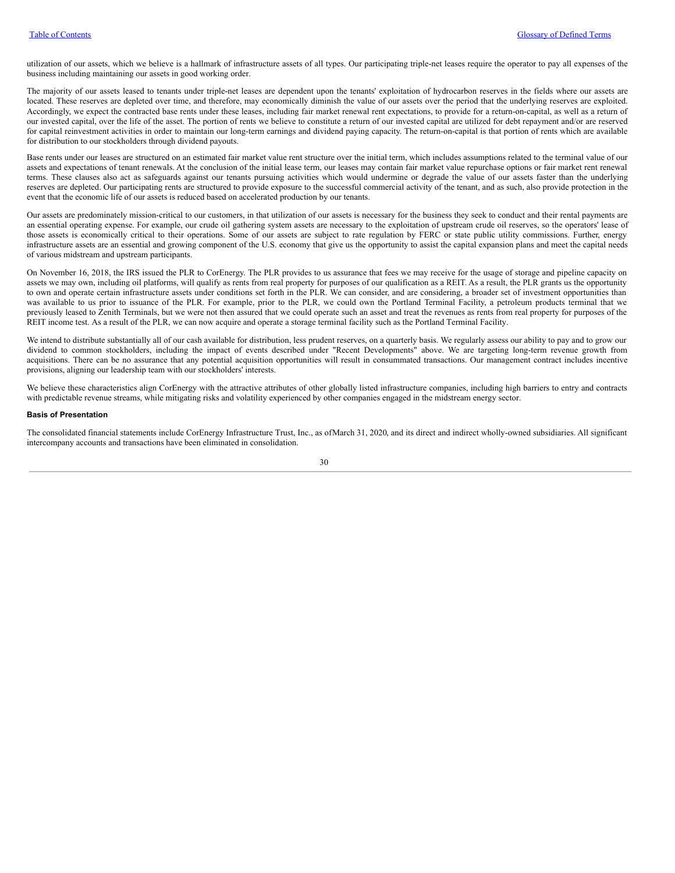utilization of our assets, which we believe is a hallmark of infrastructure assets of all types. Our participating triple-net leases require the operator to pay all expenses of the business including maintaining our assets in good working order.

The majority of our assets leased to tenants under triple-net leases are dependent upon the tenants' exploitation of hydrocarbon reserves in the fields where our assets are located. These reserves are depleted over time, and therefore, may economically diminish the value of our assets over the period that the underlying reserves are exploited. Accordingly, we expect the contracted base rents under these leases, including fair market renewal rent expectations, to provide for a return-on-capital, as well as a return of our invested capital, over the life of the asset. The portion of rents we believe to constitute a return of our invested capital are utilized for debt repayment and/or are reserved for capital reinvestment activities in order to maintain our long-term earnings and dividend paying capacity. The return-on-capital is that portion of rents which are available for distribution to our stockholders through dividend payouts.

Base rents under our leases are structured on an estimated fair market value rent structure over the initial term, which includes assumptions related to the terminal value of our assets and expectations of tenant renewals. At the conclusion of the initial lease term, our leases may contain fair market value repurchase options or fair market rent renewal terms. These clauses also act as safeguards against our tenants pursuing activities which would undermine or degrade the value of our assets faster than the underlying reserves are depleted. Our participating rents are structured to provide exposure to the successful commercial activity of the tenant, and as such, also provide protection in the event that the economic life of our assets is reduced based on accelerated production by our tenants.

Our assets are predominately mission-critical to our customers, in that utilization of our assets is necessary for the business they seek to conduct and their rental payments are an essential operating expense. For example, our crude oil gathering system assets are necessary to the exploitation of upstream crude oil reserves, so the operators' lease of those assets is economically critical to their operations. Some of our assets are subject to rate regulation by FERC or state public utility commissions. Further, energy infrastructure assets are an essential and growing component of the U.S. economy that give us the opportunity to assist the capital expansion plans and meet the capital needs of various midstream and upstream participants.

On November 16, 2018, the IRS issued the PLR to CorEnergy. The PLR provides to us assurance that fees we may receive for the usage of storage and pipeline capacity on assets we may own, including oil platforms, will qualify as rents from real property for purposes of our qualification as a REIT. As a result, the PLR grants us the opportunity to own and operate certain infrastructure assets under conditions set forth in the PLR. We can consider, and are considering, a broader set of investment opportunities than was available to us prior to issuance of the PLR. For example, prior to the PLR, we could own the Portland Terminal Facility, a petroleum products terminal that we previously leased to Zenith Terminals, but we were not then assured that we could operate such an asset and treat the revenues as rents from real property for purposes of the REIT income test. As a result of the PLR, we can now acquire and operate a storage terminal facility such as the Portland Terminal Facility.

We intend to distribute substantially all of our cash available for distribution, less prudent reserves, on a quarterly basis. We regularly assess our ability to pay and to grow our dividend to common stockholders, including the impact of events described under "Recent Developments" above. We are targeting long-term revenue growth from acquisitions. There can be no assurance that any potential acquisition opportunities will result in consummated transactions. Our management contract includes incentive provisions, aligning our leadership team with our stockholders' interests.

We believe these characteristics align CorEnergy with the attractive attributes of other globally listed infrastructure companies, including high barriers to entry and contracts with predictable revenue streams, while mitigating risks and volatility experienced by other companies engaged in the midstream energy sector.

#### **Basis of Presentation**

The consolidated financial statements include CorEnergy Infrastructure Trust, Inc., as ofMarch 31, 2020, and its direct and indirect wholly-owned subsidiaries. All significant intercompany accounts and transactions have been eliminated in consolidation.

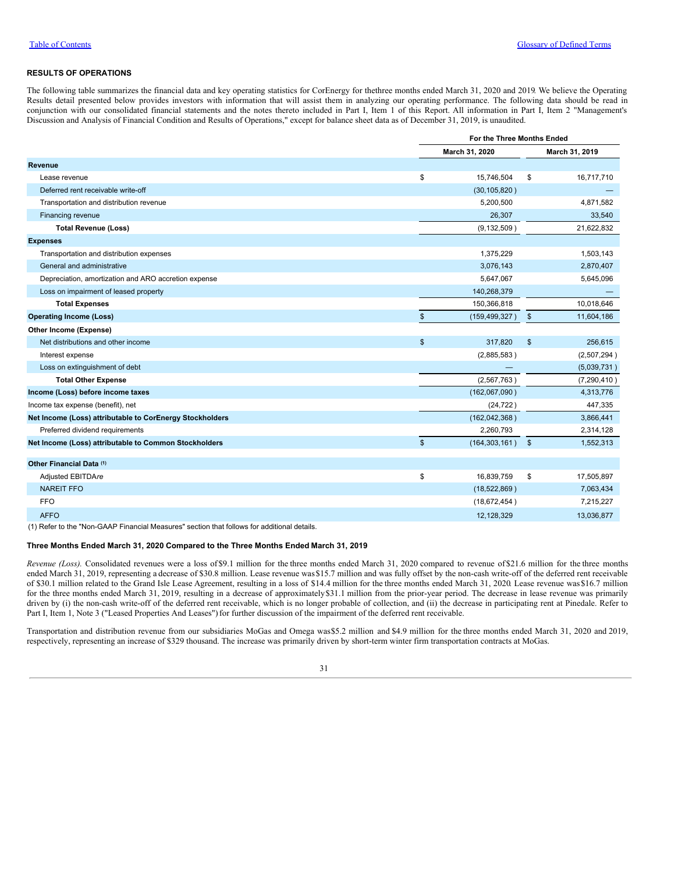# **RESULTS OF OPERATIONS**

The following table summarizes the financial data and key operating statistics for CorEnergy for thethree months ended March 31, 2020 and 2019. We believe the Operating Results detail presented below provides investors with information that will assist them in analyzing our operating performance. The following data should be read in conjunction with our consolidated financial statements and the notes thereto included in Part I, Item 1 of this Report. All information in Part I, Item 2 "Management's Discussion and Analysis of Financial Condition and Results of Operations," except for balance sheet data as of December 31, 2019, is unaudited.

|                                                          |                | For the Three Months Ended |                |                |  |
|----------------------------------------------------------|----------------|----------------------------|----------------|----------------|--|
|                                                          |                | March 31, 2020             |                | March 31, 2019 |  |
| <b>Revenue</b>                                           |                |                            |                |                |  |
| Lease revenue                                            | \$             | 15,746,504                 | \$             | 16,717,710     |  |
| Deferred rent receivable write-off                       |                | (30, 105, 820)             |                |                |  |
| Transportation and distribution revenue                  |                | 5,200,500                  |                | 4,871,582      |  |
| Financing revenue                                        |                | 26,307                     |                | 33,540         |  |
| <b>Total Revenue (Loss)</b>                              |                | (9, 132, 509)              |                | 21,622,832     |  |
| <b>Expenses</b>                                          |                |                            |                |                |  |
| Transportation and distribution expenses                 |                | 1,375,229                  |                | 1,503,143      |  |
| General and administrative                               |                | 3,076,143                  |                | 2,870,407      |  |
| Depreciation, amortization and ARO accretion expense     |                | 5,647,067                  |                | 5,645,096      |  |
| Loss on impairment of leased property                    |                | 140,268,379                |                |                |  |
| <b>Total Expenses</b>                                    |                | 150,366,818                |                | 10,018,646     |  |
| <b>Operating Income (Loss)</b>                           | $\sqrt[6]{3}$  | (159, 499, 327)            | $\mathfrak{s}$ | 11,604,186     |  |
| Other Income (Expense)                                   |                |                            |                |                |  |
| Net distributions and other income                       | \$             | 317,820                    | \$             | 256,615        |  |
| Interest expense                                         |                | (2,885,583)                |                | (2,507,294)    |  |
| Loss on extinguishment of debt                           |                |                            |                | (5,039,731)    |  |
| <b>Total Other Expense</b>                               |                | (2,567,763)                |                | (7, 290, 410)  |  |
| Income (Loss) before income taxes                        |                | (162,067,090)              |                | 4,313,776      |  |
| Income tax expense (benefit), net                        |                | (24, 722)                  |                | 447,335        |  |
| Net Income (Loss) attributable to CorEnergy Stockholders |                | (162, 042, 368)            |                | 3,866,441      |  |
| Preferred dividend requirements                          |                | 2,260,793                  |                | 2,314,128      |  |
| Net Income (Loss) attributable to Common Stockholders    | $\mathfrak{S}$ | (164, 303, 161)            | $\mathfrak{s}$ | 1,552,313      |  |
|                                                          |                |                            |                |                |  |
| Other Financial Data (1)                                 |                |                            |                |                |  |
| Adjusted EBITDAre                                        | \$             | 16,839,759                 | \$             | 17,505,897     |  |
| <b>NAREIT FFO</b>                                        |                | (18,522,869)               |                | 7,063,434      |  |
| <b>FFO</b>                                               |                | (18, 672, 454)             |                | 7,215,227      |  |
| <b>AFFO</b>                                              |                | 12,128,329                 |                | 13,036,877     |  |

(1) Refer to the "Non-GAAP Financial Measures" section that follows for additional details.

#### **Three Months Ended March 31, 2020 Compared to the Three Months Ended March 31, 2019**

*Revenue (Loss).* Consolidated revenues were a loss of \$9.1 million for the three months ended March 31, 2020 compared to revenue of \$21.6 million for the three months ended March 31, 2019, representing a decrease of \$30.8 million. Lease revenue was \$15.7 million and was fully offset by the non-cash write-off of the deferred rent receivable of \$30.1 million related to the Grand Isle Lease Agreement, resulting in a loss of \$14.4 million for the three months ended March 31, 2020. Lease revenue was\$16.7 million for the three months ended March 31, 2019, resulting in a decrease of approximately \$31.1 million from the prior-year period. The decrease in lease revenue was primarily driven by (i) the non-cash write-off of the deferred rent receivable, which is no longer probable of collection, and (ii) the decrease in participating rent at Pinedale. Refer to Part I, Item 1, Note 3 ("Leased Properties And Leases") for further discussion of the impairment of the deferred rent receivable.

Transportation and distribution revenue from our subsidiaries MoGas and Omega was\$5.2 million and \$4.9 million for the three months ended March 31, 2020 and 2019, respectively, representing an increase of \$329 thousand. The increase was primarily driven by short-term winter firm transportation contracts at MoGas.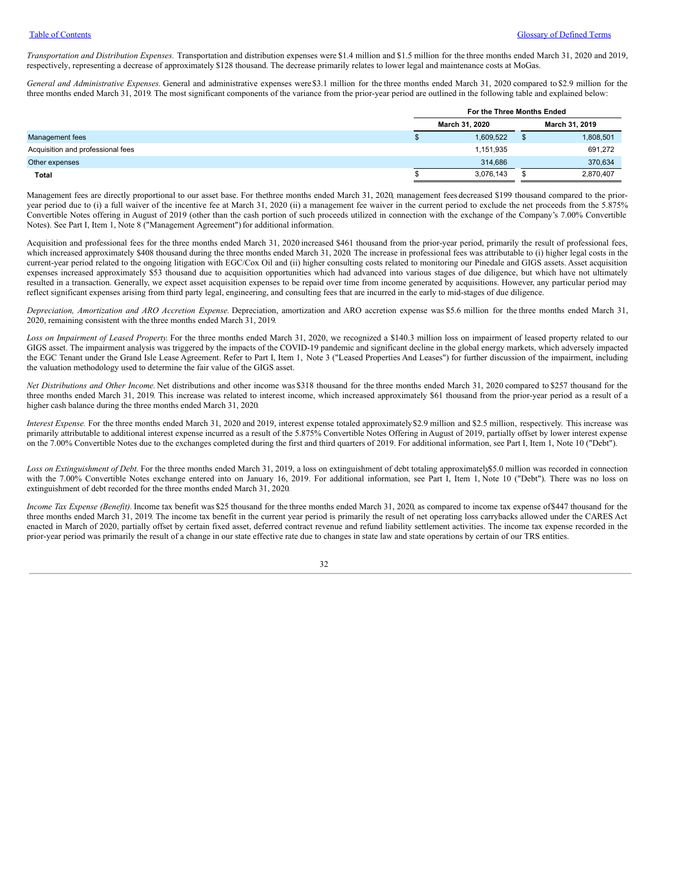*Transportation and Distribution Expenses.* Transportation and distribution expenses were \$1.4 million and \$1.5 million for the three months ended March 31, 2020 and 2019, respectively, representing a decrease of approximately \$128 thousand. The decrease primarily relates to lower legal and maintenance costs at MoGas.

*General and Administrative Expenses.* General and administrative expenses were \$3.1 million for the three months ended March 31, 2020 compared to \$2.9 million for the three months ended March 31, 2019. The most significant components of the variance from the prior-year period are outlined in the following table and explained below:

|                                   | For the Three Months Ended |                |  |                |  |
|-----------------------------------|----------------------------|----------------|--|----------------|--|
|                                   |                            | March 31, 2020 |  | March 31, 2019 |  |
| Management fees                   |                            | 1,609,522      |  | 1,808,501      |  |
| Acquisition and professional fees |                            | 1,151,935      |  | 691,272        |  |
| Other expenses                    |                            | 314,686        |  | 370,634        |  |
| <b>Total</b>                      |                            | 3.076.143      |  | 2,870,407      |  |

Management fees are directly proportional to our asset base. For thethree months ended March 31, 2020, management fees decreased \$199 thousand compared to the prioryear period due to (i) a full waiver of the incentive fee at March 31, 2020 (ii) a management fee waiver in the current period to exclude the net proceeds from the 5.875% Convertible Notes offering in August of 2019 (other than the cash portion of such proceeds utilized in connection with the exchange of the Company's 7.00% Convertible Notes). See Part I, Item 1, Note 8 ("Management Agreement") for additional information.

Acquisition and professional fees for the three months ended March 31, 2020 increased \$461 thousand from the prior-year period, primarily the result of professional fees, which increased approximately \$408 thousand during the three months ended March 31, 2020. The increase in professional fees was attributable to (i) higher legal costs in the current-year period related to the ongoing litigation with EGC/Cox Oil and (ii) higher consulting costs related to monitoring our Pinedale and GIGS assets. Asset acquisition expenses increased approximately \$53 thousand due to acquisition opportunities which had advanced into various stages of due diligence, but which have not ultimately resulted in a transaction. Generally, we expect asset acquisition expenses to be repaid over time from income generated by acquisitions. However, any particular period may reflect significant expenses arising from third party legal, engineering, and consulting fees that are incurred in the early to mid-stages of due diligence.

*Depreciation, Amortization and ARO Accretion Expense.* Depreciation, amortization and ARO accretion expense was \$5.6 million for the three months ended March 31, 2020, remaining consistent with the three months ended March 31, 2019.

*Loss on Impairment of Leased Property.* For the three months ended March 31, 2020, we recognized a \$140.3 million loss on impairment of leased property related to our GIGS asset. The impairment analysis was triggered by the impacts of the COVID-19 pandemic and significant decline in the global energy markets, which adversely impacted the EGC Tenant under the Grand Isle Lease Agreement. Refer to Part I, Item 1, Note 3 ("Leased Properties And Leases") for further discussion of the impairment, including the valuation methodology used to determine the fair value of the GIGS asset.

*Net Distributions and Other Income.* Net distributions and other income was \$318 thousand for the three months ended March 31, 2020 compared to \$257 thousand for the three months ended March 31, 2019. This increase was related to interest income, which increased approximately \$61 thousand from the prior-year period as a result of a higher cash balance during the three months ended March 31, 2020.

*Interest Expense.* For the three months ended March 31, 2020 and 2019, interest expense totaled approximately\$2.9 million and \$2.5 million, respectively. This increase was primarily attributable to additional interest expense incurred as a result of the 5.875% Convertible Notes Offering in August of 2019, partially offset by lower interest expense on the 7.00% Convertible Notes due to the exchanges completed during the first and third quarters of 2019. For additional information, see Part I, Item 1, Note 10 ("Debt").

Loss on *Extinguishment* of *Debt*. For the three months ended March 31, 2019, a loss on extinguishment of debt totaling approximately\$5.0 million was recorded in connection with the 7.00% Convertible Notes exchange entered into on January 16, 2019. For additional information, see Part I, Item 1, Note 10 ("Debt"). There was no loss on extinguishment of debt recorded for the three months ended March 31, 2020.

*Income Tax Expense (Benefit)*. Income tax benefit was \$25 thousand for the three months ended March 31, 2020, as compared to income tax expense of \$447 thousand for the three months ended March 31, 2019. The income tax benefit in the current year period is primarily the result of net operating loss carrybacks allowed under the CARES Act enacted in March of 2020, partially offset by certain fixed asset, deferred contract revenue and refund liability settlement activities. The income tax expense recorded in the prior-year period was primarily the result of a change in our state effective rate due to changes in state law and state operations by certain of our TRS entities.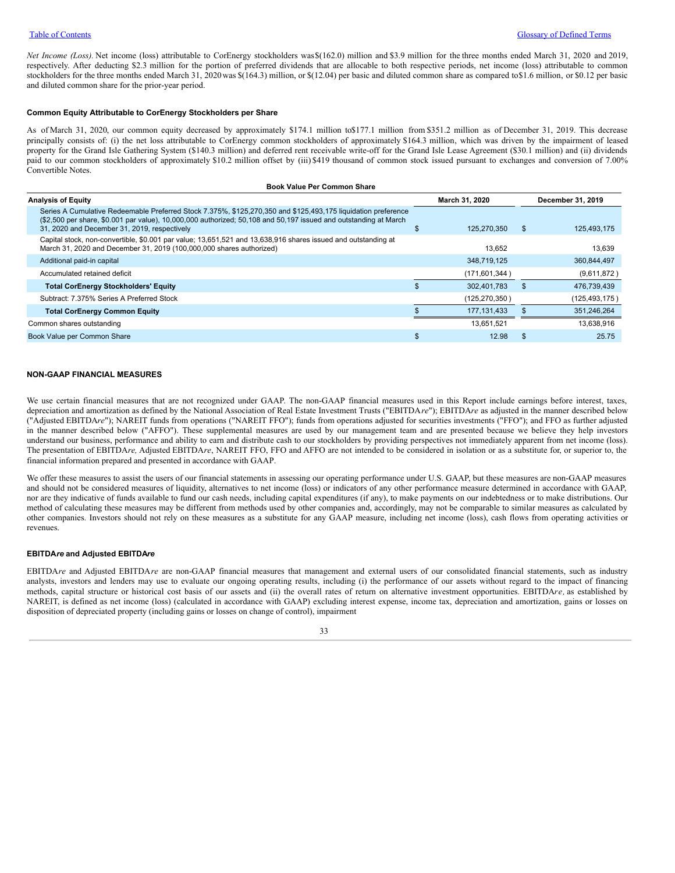*Net Income (Loss).* Net income (loss) attributable to CorEnergy stockholders was\$(162.0) million and \$3.9 million for the three months ended March 31, 2020 and 2019, respectively. After deducting \$2.3 million for the portion of preferred dividends that are allocable to both respective periods, net income (loss) attributable to common stockholders for the three months ended March 31, 2020 was  $\frac{\mathcal{S}(164.3)}{\mathcal{S}(164.3)}$  million, or  $\frac{\mathcal{S}(12.04)}{\mathcal{S}(12.04)}$  per basic and diluted common share as compared to\$1.6 million, or \$0.12 per basic and diluted common share for the prior-year period.

#### **Common Equity Attributable to CorEnergy Stockholders per Share**

As of March 31, 2020, our common equity decreased by approximately \$174.1 million to\$177.1 million from \$351.2 million as of December 31, 2019. This decrease principally consists of: (i) the net loss attributable to CorEnergy common stockholders of approximately \$164.3 million, which was driven by the impairment of leased property for the Grand Isle Gathering System (\$140.3 million) and deferred rent receivable write-off for the Grand Isle Lease Agreement (\$30.1 million) and (ii) dividends paid to our common stockholders of approximately \$10.2 million offset by (iii) \$419 thousand of common stock issued pursuant to exchanges and conversion of 7.00% Convertible Notes.

| <b>Book Value Per Common Share</b>                                                                                                                                                                                                                                                |    |                 |                   |
|-----------------------------------------------------------------------------------------------------------------------------------------------------------------------------------------------------------------------------------------------------------------------------------|----|-----------------|-------------------|
| <b>Analysis of Equity</b>                                                                                                                                                                                                                                                         |    | March 31, 2020  | December 31, 2019 |
| Series A Cumulative Redeemable Preferred Stock 7.375%, \$125,270,350 and \$125,493,175 liquidation preference<br>(\$2,500 per share, \$0.001 par value), 10,000,000 authorized; 50,108 and 50,197 issued and outstanding at March<br>31, 2020 and December 31, 2019, respectively | æ. | 125.270.350     | \$<br>125.493.175 |
| Capital stock, non-convertible, \$0.001 par value; 13,651,521 and 13,638,916 shares issued and outstanding at<br>March 31, 2020 and December 31, 2019 (100,000,000 shares authorized)                                                                                             |    | 13.652          | 13,639            |
| Additional paid-in capital                                                                                                                                                                                                                                                        |    | 348,719,125     | 360,844,497       |
| Accumulated retained deficit                                                                                                                                                                                                                                                      |    | (171,601,344)   | (9,611,872)       |
| <b>Total CorEnergy Stockholders' Equity</b>                                                                                                                                                                                                                                       |    | 302.401.783     | 476,739,439       |
| Subtract: 7.375% Series A Preferred Stock                                                                                                                                                                                                                                         |    | (125, 270, 350) | (125, 493, 175)   |
| <b>Total CorEnergy Common Equity</b>                                                                                                                                                                                                                                              |    | 177, 131, 433   | 351,246,264       |
| Common shares outstanding                                                                                                                                                                                                                                                         |    | 13.651.521      | 13,638,916        |
| Book Value per Common Share                                                                                                                                                                                                                                                       |    | 12.98           | 25.75             |

#### **NON-GAAP FINANCIAL MEASURES**

We use certain financial measures that are not recognized under GAAP. The non-GAAP financial measures used in this Report include earnings before interest, taxes, depreciation and amortization as defined by the National Association of Real Estate Investment Trusts ("EBITDA*re*"); EBITDA*re* as adjusted in the manner described below ("Adjusted EBITDA*re*"); NAREIT funds from operations ("NAREIT FFO"); funds from operations adjusted for securities investments ("FFO"); and FFO as further adjusted in the manner described below ("AFFO"). These supplemental measures are used by our management team and are presented because we believe they help investors understand our business, performance and ability to earn and distribute cash to our stockholders by providing perspectives not immediately apparent from net income (loss). The presentation of EBITDA*re,* Adjusted EBITDA*re*, NAREIT FFO, FFO and AFFO are not intended to be considered in isolation or as a substitute for, or superior to, the financial information prepared and presented in accordance with GAAP.

We offer these measures to assist the users of our financial statements in assessing our operating performance under U.S. GAAP, but these measures are non-GAAP measures and should not be considered measures of liquidity, alternatives to net income (loss) or indicators of any other performance measure determined in accordance with GAAP, nor are they indicative of funds available to fund our cash needs, including capital expenditures (if any), to make payments on our indebtedness or to make distributions. Our method of calculating these measures may be different from methods used by other companies and, accordingly, may not be comparable to similar measures as calculated by other companies. Investors should not rely on these measures as a substitute for any GAAP measure, including net income (loss), cash flows from operating activities or revenues.

#### **EBITDA***re* **and Adjusted EBITDA***re*

EBITDA*re* and Adjusted EBITDA*re* are non-GAAP financial measures that management and external users of our consolidated financial statements, such as industry analysts, investors and lenders may use to evaluate our ongoing operating results, including (i) the performance of our assets without regard to the impact of financing methods, capital structure or historical cost basis of our assets and (ii) the overall rates of return on alternative investment opportunities. EBITDA*re,* as established by NAREIT, is defined as net income (loss) (calculated in accordance with GAAP) excluding interest expense, income tax, depreciation and amortization, gains or losses on disposition of depreciated property (including gains or losses on change of control), impairment

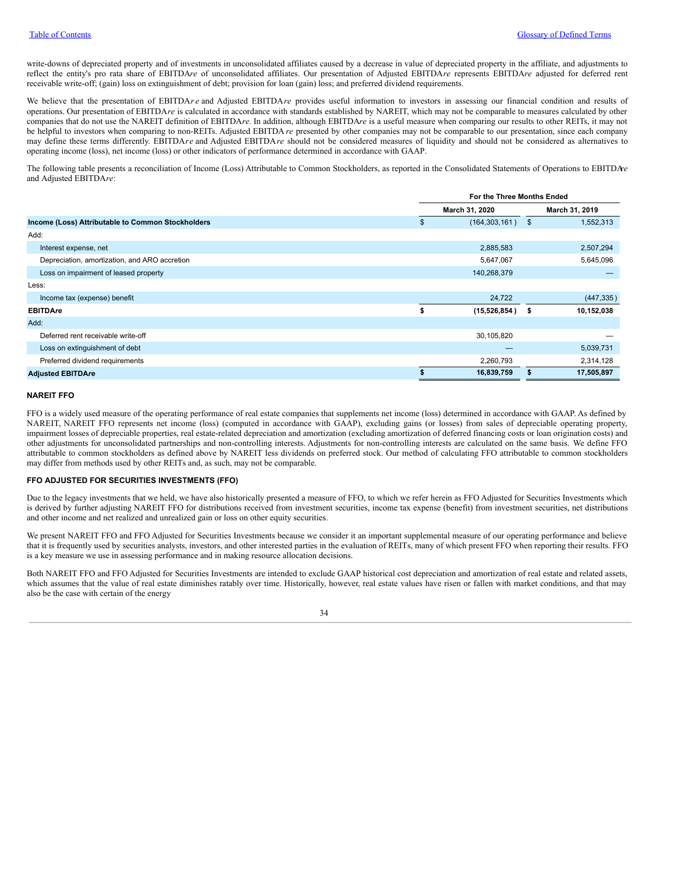write-downs of depreciated property and of investments in unconsolidated affiliates caused by a decrease in value of depreciated property in the affiliate, and adjustments to reflect the entity's pro rata share of EBITDA*re* of unconsolidated affiliates. Our presentation of Adjusted EBITDA*re* represents EBITDA*re* adjusted for deferred rent receivable write-off; (gain) loss on extinguishment of debt; provision for loan (gain) loss; and preferred dividend requirements.

We believe that the presentation of EBITDA*re* and Adjusted EBITDA*re* provides useful information to investors in assessing our financial condition and results of operations. Our presentation of EBITDA*re* is calculated in accordance with standards established by NAREIT, which may not be comparable to measures calculated by other companies that do not use the NAREIT definition of EBITDA*re.* In addition, although EBITDA*re* is a useful measure when comparing our results to other REITs, it may not be helpful to investors when comparing to non-REITs. Adjusted EBITDA *re* presented by other companies may not be comparable to our presentation, since each company may define these terms differently. EBITDA*re* and Adjusted EBITDA*re* should not be considered measures of liquidity and should not be considered as alternatives to operating income (loss), net income (loss) or other indicators of performance determined in accordance with GAAP.

The following table presents a reconciliation of Income (Loss) Attributable to Common Stockholders, as reported in the Consolidated Statements of Operations to EBITDA*re* and Adjusted EBITDA*re*:

|                                                   | For the Three Months Ended |                                  |   |            |
|---------------------------------------------------|----------------------------|----------------------------------|---|------------|
|                                                   |                            | March 31, 2020<br>March 31, 2019 |   |            |
| Income (Loss) Attributable to Common Stockholders | \$                         | $(164, 303, 161)$ \$             |   | 1,552,313  |
| Add:                                              |                            |                                  |   |            |
| Interest expense, net                             |                            | 2,885,583                        |   | 2,507,294  |
| Depreciation, amortization, and ARO accretion     |                            | 5,647,067                        |   | 5,645,096  |
| Loss on impairment of leased property             |                            | 140,268,379                      |   |            |
| Less:                                             |                            |                                  |   |            |
| Income tax (expense) benefit                      |                            | 24,722                           |   | (447, 335) |
| <b>EBITDAre</b>                                   | \$                         | (15, 526, 854)                   | S | 10,152,038 |
| Add:                                              |                            |                                  |   |            |
| Deferred rent receivable write-off                |                            | 30,105,820                       |   |            |
| Loss on extinguishment of debt                    |                            |                                  |   | 5,039,731  |
| Preferred dividend requirements                   |                            | 2,260,793                        |   | 2,314,128  |
| <b>Adjusted EBITDAre</b>                          |                            | 16,839,759                       |   | 17,505,897 |

#### **NAREIT FFO**

FFO is a widely used measure of the operating performance of real estate companies that supplements net income (loss) determined in accordance with GAAP. As defined by NAREIT, NAREIT FFO represents net income (loss) (computed in accordance with GAAP), excluding gains (or losses) from sales of depreciable operating property, impairment losses of depreciable properties, real estate-related depreciation and amortization (excluding amortization of deferred financing costs or loan origination costs) and other adjustments for unconsolidated partnerships and non-controlling interests. Adjustments for non-controlling interests are calculated on the same basis. We define FFO attributable to common stockholders as defined above by NAREIT less dividends on preferred stock. Our method of calculating FFO attributable to common stockholders may differ from methods used by other REITs and, as such, may not be comparable.

#### **FFO ADJUSTED FOR SECURITIES INVESTMENTS (FFO)**

Due to the legacy investments that we held, we have also historically presented a measure of FFO, to which we refer herein as FFO Adjusted for Securities Investments which is derived by further adjusting NAREIT FFO for distributions received from investment securities, income tax expense (benefit) from investment securities, net distributions and other income and net realized and unrealized gain or loss on other equity securities.

We present NAREIT FFO and FFO Adjusted for Securities Investments because we consider it an important supplemental measure of our operating performance and believe that it is frequently used by securities analysts, investors, and other interested parties in the evaluation of REITs, many of which present FFO when reporting their results. FFO is a key measure we use in assessing performance and in making resource allocation decisions.

Both NAREIT FFO and FFO Adjusted for Securities Investments are intended to exclude GAAP historical cost depreciation and amortization of real estate and related assets, which assumes that the value of real estate diminishes ratably over time. Historically, however, real estate values have risen or fallen with market conditions, and that may also be the case with certain of the energy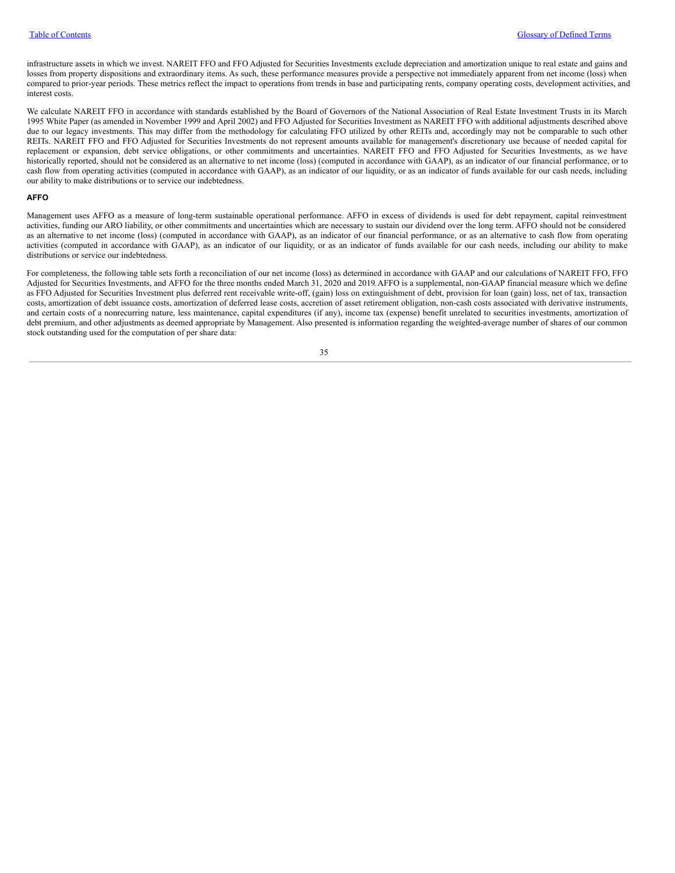infrastructure assets in which we invest. NAREIT FFO and FFO Adjusted for Securities Investments exclude depreciation and amortization unique to real estate and gains and losses from property dispositions and extraordinary items. As such, these performance measures provide a perspective not immediately apparent from net income (loss) when compared to prior-year periods. These metrics reflect the impact to operations from trends in base and participating rents, company operating costs, development activities, and interest costs.

We calculate NAREIT FFO in accordance with standards established by the Board of Governors of the National Association of Real Estate Investment Trusts in its March 1995 White Paper (as amended in November 1999 and April 2002) and FFO Adjusted for Securities Investment as NAREIT FFO with additional adjustments described above due to our legacy investments. This may differ from the methodology for calculating FFO utilized by other REITs and, accordingly may not be comparable to such other REITs. NAREIT FFO and FFO Adjusted for Securities Investments do not represent amounts available for management's discretionary use because of needed capital for replacement or expansion, debt service obligations, or other commitments and uncertainties. NAREIT FFO and FFO Adjusted for Securities Investments, as we have historically reported, should not be considered as an alternative to net income (loss) (computed in accordance with GAAP), as an indicator of our financial performance, or to cash flow from operating activities (computed in accordance with GAAP), as an indicator of our liquidity, or as an indicator of funds available for our cash needs, including our ability to make distributions or to service our indebtedness.

#### **AFFO**

Management uses AFFO as a measure of long-term sustainable operational performance. AFFO in excess of dividends is used for debt repayment, capital reinvestment activities, funding our ARO liability, or other commitments and uncertainties which are necessary to sustain our dividend over the long term. AFFO should not be considered as an alternative to net income (loss) (computed in accordance with GAAP), as an indicator of our financial performance, or as an alternative to cash flow from operating activities (computed in accordance with GAAP), as an indicator of our liquidity, or as an indicator of funds available for our cash needs, including our ability to make distributions or service our indebtedness.

For completeness, the following table sets forth a reconciliation of our net income (loss) as determined in accordance with GAAP and our calculations of NAREIT FFO, FFO Adjusted for Securities Investments, and AFFO for the three months ended March 31, 2020 and 2019. AFFO is a supplemental, non-GAAP financial measure which we define as FFO Adjusted for Securities Investment plus deferred rent receivable write-off, (gain) loss on extinguishment of debt, provision for loan (gain) loss, net of tax, transaction costs, amortization of debt issuance costs, amortization of deferred lease costs, accretion of asset retirement obligation, non-cash costs associated with derivative instruments, and certain costs of a nonrecurring nature, less maintenance, capital expenditures (if any), income tax (expense) benefit unrelated to securities investments, amortization of debt premium, and other adjustments as deemed appropriate by Management. Also presented is information regarding the weighted-average number of shares of our common stock outstanding used for the computation of per share data:

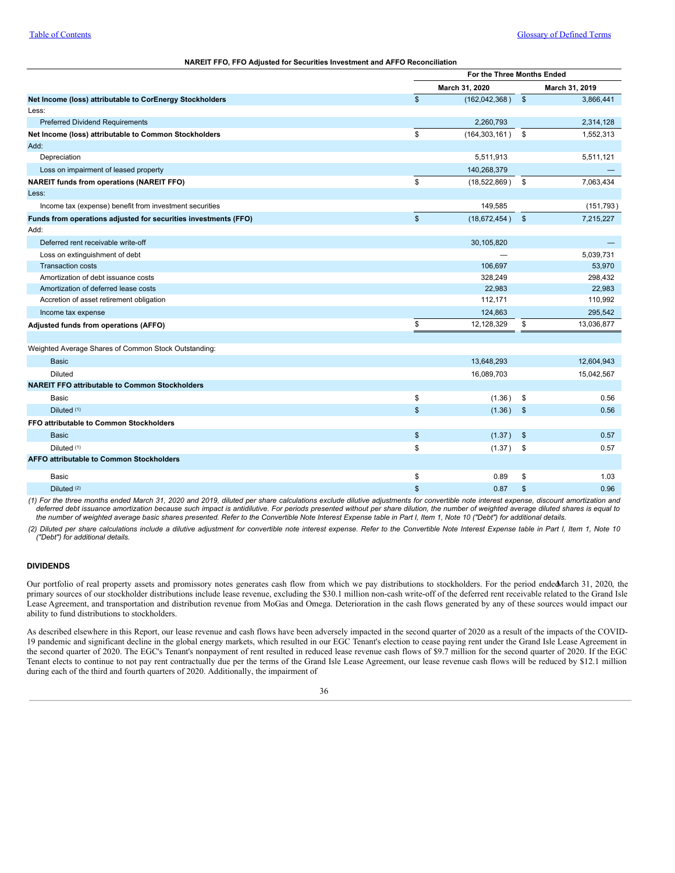|                                                                 |              | For the Three Months Ended |                |            |  |  |
|-----------------------------------------------------------------|--------------|----------------------------|----------------|------------|--|--|
|                                                                 |              | March 31, 2020             | March 31, 2019 |            |  |  |
| Net Income (loss) attributable to CorEnergy Stockholders        | $\mathbb{S}$ | (162, 042, 368)            | $\sqrt{3}$     | 3,866,441  |  |  |
| Less:                                                           |              |                            |                |            |  |  |
| <b>Preferred Dividend Requirements</b>                          |              | 2,260,793                  |                | 2,314,128  |  |  |
| Net Income (loss) attributable to Common Stockholders           | \$           | (164, 303, 161)            | - \$           | 1,552,313  |  |  |
| Add:                                                            |              |                            |                |            |  |  |
| Depreciation                                                    |              | 5,511,913                  |                | 5,511,121  |  |  |
| Loss on impairment of leased property                           |              | 140,268,379                |                |            |  |  |
| <b>NAREIT funds from operations (NAREIT FFO)</b>                | \$           | (18,522,869)               | \$             | 7,063,434  |  |  |
| Less:                                                           |              |                            |                |            |  |  |
| Income tax (expense) benefit from investment securities         |              | 149,585                    |                | (151, 793) |  |  |
| Funds from operations adjusted for securities investments (FFO) | $\sqrt{2}$   | (18,672,454)               | \$             | 7,215,227  |  |  |
| Add:                                                            |              |                            |                |            |  |  |
| Deferred rent receivable write-off                              |              | 30,105,820                 |                |            |  |  |
| Loss on extinguishment of debt                                  |              |                            |                | 5,039,731  |  |  |
| <b>Transaction costs</b>                                        |              | 106,697                    |                | 53,970     |  |  |
| Amortization of debt issuance costs                             |              | 328,249                    |                | 298,432    |  |  |
| Amortization of deferred lease costs                            |              | 22,983                     |                | 22,983     |  |  |
| Accretion of asset retirement obligation                        |              | 112,171                    |                | 110,992    |  |  |
| Income tax expense                                              |              | 124,863                    |                | 295,542    |  |  |
| Adjusted funds from operations (AFFO)                           | \$           | 12,128,329                 | \$             | 13,036,877 |  |  |
|                                                                 |              |                            |                |            |  |  |
| Weighted Average Shares of Common Stock Outstanding:            |              |                            |                |            |  |  |
| Basic                                                           |              | 13,648,293                 |                | 12,604,943 |  |  |
| <b>Diluted</b>                                                  |              | 16,089,703                 |                | 15,042,567 |  |  |
| <b>NAREIT FFO attributable to Common Stockholders</b>           |              |                            |                |            |  |  |
| Basic                                                           | \$           | (1.36)                     | -\$            | 0.56       |  |  |
| Diluted $(1)$                                                   | \$           | (1.36)                     | -\$            | 0.56       |  |  |
| FFO attributable to Common Stockholders                         |              |                            |                |            |  |  |
| Basic                                                           | \$           | (1.37)                     | \$             | 0.57       |  |  |
| Diluted (1)                                                     | \$           | (1.37)                     | -\$            | 0.57       |  |  |
| <b>AFFO attributable to Common Stockholders</b>                 |              |                            |                |            |  |  |
| Basic                                                           | \$           | 0.89                       | \$             | 1.03       |  |  |
| Diluted $(2)$                                                   | \$           | 0.87                       | \$             | 0.96       |  |  |

**NAREIT FFO, FFO Adjusted for Securities Investment and AFFO Reconciliation**

(1) For the three months ended March 31, 2020 and 2019, diluted per share calculations exclude dilutive adjustments for convertible note interest expense, discount amortization and deferred debt issuance amortization because such impact is antidilutive. For periods presented without per share dilution, the number of weighted average diluted shares is equal to the number of weighted average basic shares presented. Refer to the Convertible Note Interest Expense table in Part I, Item 1, Note 10 ("Debt") for additional details.

(2) Diluted per share calculations include a dilutive adjustment for convertible note interest expense. Refer to the Convertible Note Interest Expense table in Part I, Item 1, Note 10 *("Debt") for additional details.*

# **DIVIDENDS**

Our portfolio of real property assets and promissory notes generates cash flow from which we pay distributions to stockholders. For the period endedMarch 31, 2020, the primary sources of our stockholder distributions include lease revenue, excluding the \$30.1 million non-cash write-off of the deferred rent receivable related to the Grand Isle Lease Agreement, and transportation and distribution revenue from MoGas and Omega. Deterioration in the cash flows generated by any of these sources would impact our ability to fund distributions to stockholders.

As described elsewhere in this Report, our lease revenue and cash flows have been adversely impacted in the second quarter of 2020 as a result of the impacts of the COVID-19 pandemic and significant decline in the global energy markets, which resulted in our EGC Tenant's election to cease paying rent under the Grand Isle Lease Agreement in the second quarter of 2020. The EGC's Tenant's nonpayment of rent resulted in reduced lease revenue cash flows of \$9.7 million for the second quarter of 2020. If the EGC Tenant elects to continue to not pay rent contractually due per the terms of the Grand Isle Lease Agreement, our lease revenue cash flows will be reduced by \$12.1 million during each of the third and fourth quarters of 2020. Additionally, the impairment of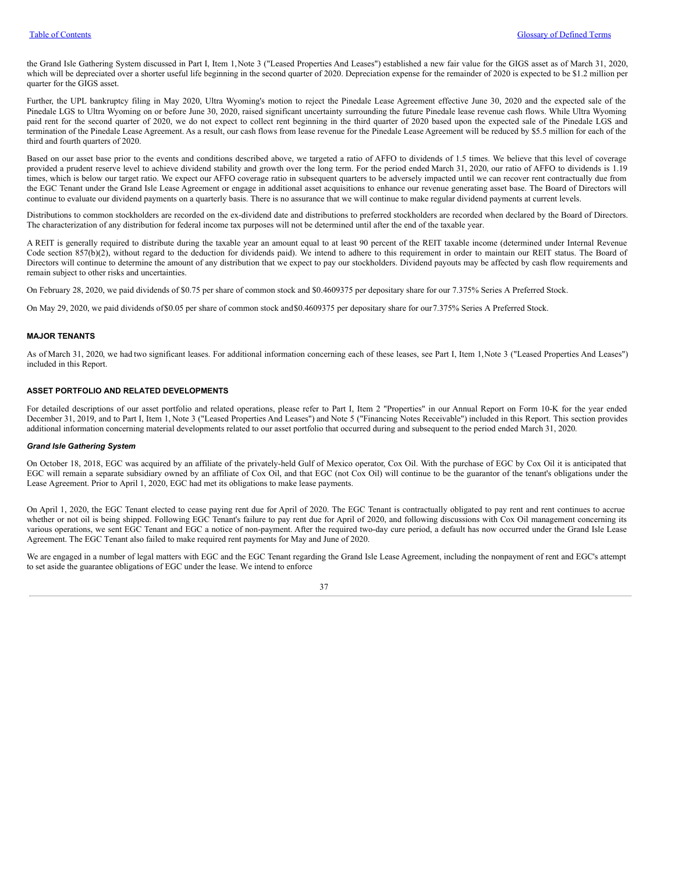the Grand Isle Gathering System discussed in Part I, Item 1,Note 3 ("Leased Properties And Leases") established a new fair value for the GIGS asset as of March 31, 2020, which will be depreciated over a shorter useful life beginning in the second quarter of 2020. Depreciation expense for the remainder of 2020 is expected to be \$1.2 million per quarter for the GIGS asset.

Further, the UPL bankruptcy filing in May 2020, Ultra Wyoming's motion to reject the Pinedale Lease Agreement effective June 30, 2020 and the expected sale of the Pinedale LGS to Ultra Wyoming on or before June 30, 2020, raised significant uncertainty surrounding the future Pinedale lease revenue cash flows. While Ultra Wyoming paid rent for the second quarter of 2020, we do not expect to collect rent beginning in the third quarter of 2020 based upon the expected sale of the Pinedale LGS and termination of the Pinedale Lease Agreement. As a result, our cash flows from lease revenue for the Pinedale Lease Agreement will be reduced by \$5.5 million for each of the third and fourth quarters of 2020.

Based on our asset base prior to the events and conditions described above, we targeted a ratio of AFFO to dividends of 1.5 times. We believe that this level of coverage provided a prudent reserve level to achieve dividend stability and growth over the long term. For the period ended March 31, 2020, our ratio of AFFO to dividends is 1.19 times, which is below our target ratio. We expect our AFFO coverage ratio in subsequent quarters to be adversely impacted until we can recover rent contractually due from the EGC Tenant under the Grand Isle Lease Agreement or engage in additional asset acquisitions to enhance our revenue generating asset base. The Board of Directors will continue to evaluate our dividend payments on a quarterly basis. There is no assurance that we will continue to make regular dividend payments at current levels.

Distributions to common stockholders are recorded on the ex-dividend date and distributions to preferred stockholders are recorded when declared by the Board of Directors. The characterization of any distribution for federal income tax purposes will not be determined until after the end of the taxable year.

A REIT is generally required to distribute during the taxable year an amount equal to at least 90 percent of the REIT taxable income (determined under Internal Revenue Code section 857(b)(2), without regard to the deduction for dividends paid). We intend to adhere to this requirement in order to maintain our REIT status. The Board of Directors will continue to determine the amount of any distribution that we expect to pay our stockholders. Dividend payouts may be affected by cash flow requirements and remain subject to other risks and uncertainties.

On February 28, 2020, we paid dividends of \$0.75 per share of common stock and \$0.4609375 per depositary share for our 7.375% Series A Preferred Stock.

On May 29, 2020, we paid dividends of\$0.05 per share of common stock and\$0.4609375 per depositary share for our7.375% Series A Preferred Stock.

#### **MAJOR TENANTS**

As of March 31, 2020, we had two significant leases. For additional information concerning each of these leases, see Part I, Item 1,Note 3 ("Leased Properties And Leases") included in this Report.

#### **ASSET PORTFOLIO AND RELATED DEVELOPMENTS**

For detailed descriptions of our asset portfolio and related operations, please refer to Part I, Item 2 "Properties" in our Annual Report on Form 10-K for the year ended December 31, 2019, and to Part I, Item 1, Note 3 ("Leased Properties And Leases") and Note 5 ("Financing Notes Receivable") included in this Report. This section provides additional information concerning material developments related to our asset portfolio that occurred during and subsequent to the period ended March 31, 2020.

#### *Grand Isle Gathering System*

On October 18, 2018, EGC was acquired by an affiliate of the privately-held Gulf of Mexico operator, Cox Oil. With the purchase of EGC by Cox Oil it is anticipated that EGC will remain a separate subsidiary owned by an affiliate of Cox Oil, and that EGC (not Cox Oil) will continue to be the guarantor of the tenant's obligations under the Lease Agreement. Prior to April 1, 2020, EGC had met its obligations to make lease payments.

On April 1, 2020, the EGC Tenant elected to cease paying rent due for April of 2020. The EGC Tenant is contractually obligated to pay rent and rent continues to accrue whether or not oil is being shipped. Following EGC Tenant's failure to pay rent due for April of 2020, and following discussions with Cox Oil management concerning its various operations, we sent EGC Tenant and EGC a notice of non-payment. After the required two-day cure period, a default has now occurred under the Grand Isle Lease Agreement. The EGC Tenant also failed to make required rent payments for May and June of 2020.

We are engaged in a number of legal matters with EGC and the EGC Tenant regarding the Grand Isle Lease Agreement, including the nonpayment of rent and EGC's attempt to set aside the guarantee obligations of EGC under the lease. We intend to enforce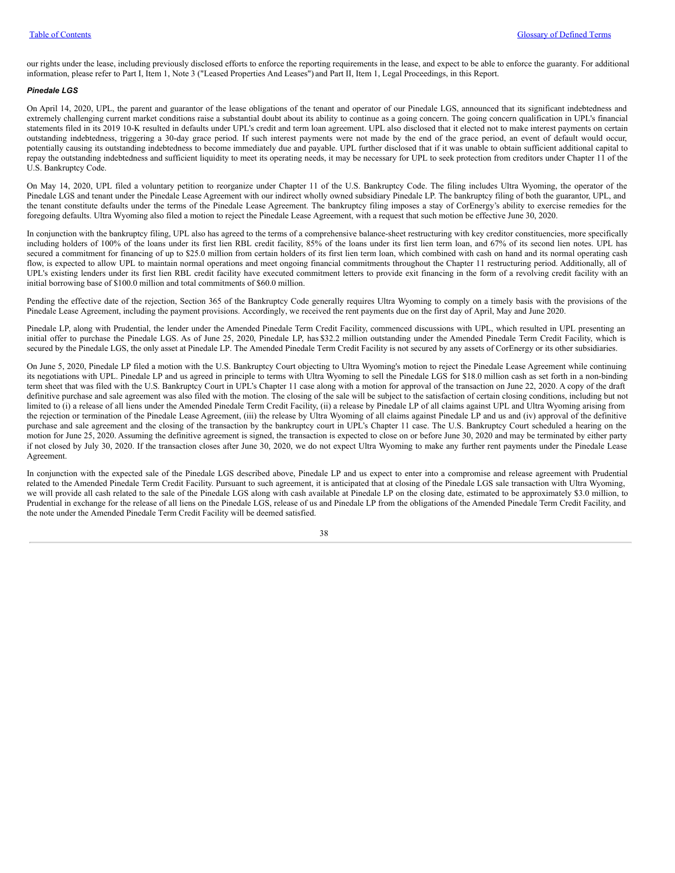our rights under the lease, including previously disclosed efforts to enforce the reporting requirements in the lease, and expect to be able to enforce the guaranty. For additional information, please refer to Part I, Item 1, Note 3 ("Leased Properties And Leases") and Part II, Item 1, Legal Proceedings, in this Report.

#### *Pinedale LGS*

On April 14, 2020, UPL, the parent and guarantor of the lease obligations of the tenant and operator of our Pinedale LGS, announced that its significant indebtedness and extremely challenging current market conditions raise a substantial doubt about its ability to continue as a going concern. The going concern qualification in UPL's financial statements filed in its 2019 10-K resulted in defaults under UPL's credit and term loan agreement. UPL also disclosed that it elected not to make interest payments on certain outstanding indebtedness, triggering a 30-day grace period. If such interest payments were not made by the end of the grace period, an event of default would occur, potentially causing its outstanding indebtedness to become immediately due and payable. UPL further disclosed that if it was unable to obtain sufficient additional capital to repay the outstanding indebtedness and sufficient liquidity to meet its operating needs, it may be necessary for UPL to seek protection from creditors under Chapter 11 of the U.S. Bankruptcy Code.

On May 14, 2020, UPL filed a voluntary petition to reorganize under Chapter 11 of the U.S. Bankruptcy Code. The filing includes Ultra Wyoming, the operator of the Pinedale LGS and tenant under the Pinedale Lease Agreement with our indirect wholly owned subsidiary Pinedale LP. The bankruptcy filing of both the guarantor, UPL, and the tenant constitute defaults under the terms of the Pinedale Lease Agreement. The bankruptcy filing imposes a stay of CorEnergy's ability to exercise remedies for the foregoing defaults. Ultra Wyoming also filed a motion to reject the Pinedale Lease Agreement, with a request that such motion be effective June 30, 2020.

In conjunction with the bankruptcy filing, UPL also has agreed to the terms of a comprehensive balance-sheet restructuring with key creditor constituencies, more specifically including holders of 100% of the loans under its first lien RBL credit facility, 85% of the loans under its first lien term loan, and 67% of its second lien notes. UPL has secured a commitment for financing of up to \$25.0 million from certain holders of its first lien term loan, which combined with cash on hand and its normal operating cash flow, is expected to allow UPL to maintain normal operations and meet ongoing financial commitments throughout the Chapter 11 restructuring period. Additionally, all of UPL's existing lenders under its first lien RBL credit facility have executed commitment letters to provide exit financing in the form of a revolving credit facility with an initial borrowing base of \$100.0 million and total commitments of \$60.0 million.

Pending the effective date of the rejection, Section 365 of the Bankruptcy Code generally requires Ultra Wyoming to comply on a timely basis with the provisions of the Pinedale Lease Agreement, including the payment provisions. Accordingly, we received the rent payments due on the first day of April, May and June 2020.

Pinedale LP, along with Prudential, the lender under the Amended Pinedale Term Credit Facility, commenced discussions with UPL, which resulted in UPL presenting an initial offer to purchase the Pinedale LGS. As of June 25, 2020, Pinedale LP, has \$32.2 million outstanding under the Amended Pinedale Term Credit Facility, which is secured by the Pinedale LGS, the only asset at Pinedale LP. The Amended Pinedale Term Credit Facility is not secured by any assets of CorEnergy or its other subsidiaries.

On June 5, 2020, Pinedale LP filed a motion with the U.S. Bankruptcy Court objecting to Ultra Wyoming's motion to reject the Pinedale Lease Agreement while continuing its negotiations with UPL. Pinedale LP and us agreed in principle to terms with Ultra Wyoming to sell the Pinedale LGS for \$18.0 million cash as set forth in a non-binding term sheet that was filed with the U.S. Bankruptcy Court in UPL's Chapter 11 case along with a motion for approval of the transaction on June 22, 2020. A copy of the draft definitive purchase and sale agreement was also filed with the motion. The closing of the sale will be subject to the satisfaction of certain closing conditions, including but not limited to (i) a release of all liens under the Amended Pinedale Term Credit Facility, (ii) a release by Pinedale LP of all claims against UPL and Ultra Wyoming arising from the rejection or termination of the Pinedale Lease Agreement, (iii) the release by Ultra Wyoming of all claims against Pinedale LP and us and (iv) approval of the definitive purchase and sale agreement and the closing of the transaction by the bankruptcy court in UPL's Chapter 11 case. The U.S. Bankruptcy Court scheduled a hearing on the motion for June 25, 2020. Assuming the definitive agreement is signed, the transaction is expected to close on or before June 30, 2020 and may be terminated by either party if not closed by July 30, 2020. If the transaction closes after June 30, 2020, we do not expect Ultra Wyoming to make any further rent payments under the Pinedale Lease Agreement.

In conjunction with the expected sale of the Pinedale LGS described above, Pinedale LP and us expect to enter into a compromise and release agreement with Prudential related to the Amended Pinedale Term Credit Facility. Pursuant to such agreement, it is anticipated that at closing of the Pinedale LGS sale transaction with Ultra Wyoming, we will provide all cash related to the sale of the Pinedale LGS along with cash available at Pinedale LP on the closing date, estimated to be approximately \$3.0 million, to Prudential in exchange for the release of all liens on the Pinedale LGS, release of us and Pinedale LP from the obligations of the Amended Pinedale Term Credit Facility, and the note under the Amended Pinedale Term Credit Facility will be deemed satisfied.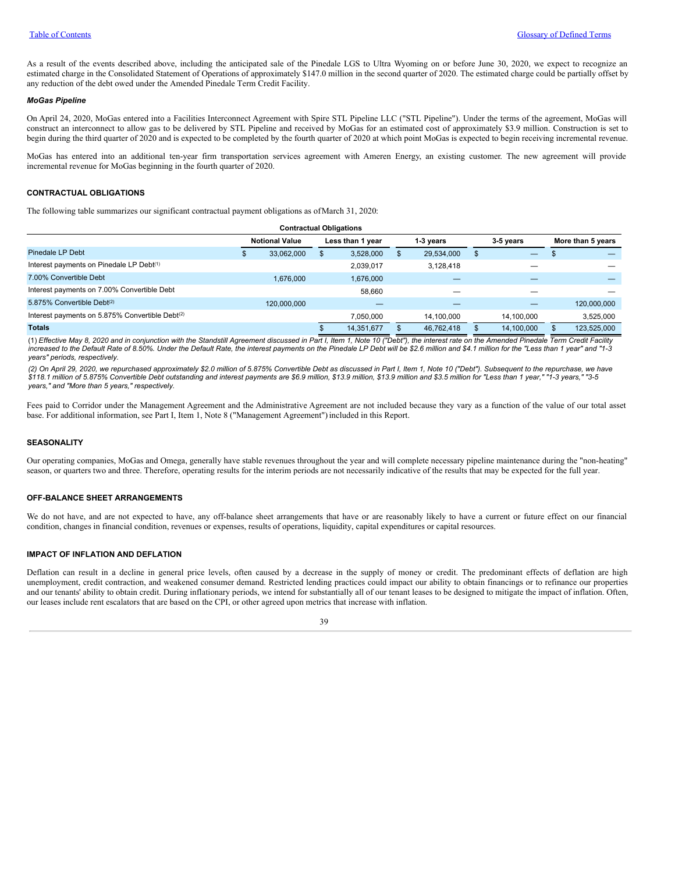As a result of the events described above, including the anticipated sale of the Pinedale LGS to Ultra Wyoming on or before June 30, 2020, we expect to recognize an estimated charge in the Consolidated Statement of Operations of approximately \$147.0 million in the second quarter of 2020. The estimated charge could be partially offset by any reduction of the debt owed under the Amended Pinedale Term Credit Facility.

#### *MoGas Pipeline*

On April 24, 2020, MoGas entered into a Facilities Interconnect Agreement with Spire STL Pipeline LLC ("STL Pipeline"). Under the terms of the agreement, MoGas will construct an interconnect to allow gas to be delivered by STL Pipeline and received by MoGas for an estimated cost of approximately \$3.9 million. Construction is set to begin during the third quarter of 2020 and is expected to be completed by the fourth quarter of 2020 at which point MoGas is expected to begin receiving incremental revenue.

MoGas has entered into an additional ten-year firm transportation services agreement with Ameren Energy, an existing customer. The new agreement will provide incremental revenue for MoGas beginning in the fourth quarter of 2020.

#### **CONTRACTUAL OBLIGATIONS**

The following table summarizes our significant contractual payment obligations as ofMarch 31, 2020:

| <b>Contractual Obligations</b>                                                           |  |             |  |            |  |            |   |                          |             |
|------------------------------------------------------------------------------------------|--|-------------|--|------------|--|------------|---|--------------------------|-------------|
| <b>Notional Value</b><br>3-5 years<br>More than 5 years<br>Less than 1 year<br>1-3 years |  |             |  |            |  |            |   |                          |             |
| Pinedale LP Debt                                                                         |  | 33.062.000  |  | 3.528.000  |  | 29,534,000 | Ъ | $\overline{\phantom{m}}$ |             |
| Interest payments on Pinedale LP Debt(1)                                                 |  |             |  | 2,039,017  |  | 3,128,418  |   |                          |             |
| 7.00% Convertible Debt                                                                   |  | 1.676.000   |  | 1.676.000  |  |            |   |                          |             |
| Interest payments on 7.00% Convertible Debt                                              |  |             |  | 58.660     |  |            |   |                          |             |
| 5.875% Convertible Debt <sup>(2)</sup>                                                   |  | 120.000.000 |  |            |  |            |   |                          | 120,000,000 |
| Interest payments on 5.875% Convertible Debt <sup>(2)</sup>                              |  |             |  | 7,050,000  |  | 14,100,000 |   | 14.100.000               | 3,525,000   |
| <b>Totals</b>                                                                            |  |             |  | 14,351,677 |  | 46.762.418 |   | 14.100.000               | 123,525,000 |

(1) Effective May 8, 2020 and in conjunction with the Standstill Agreement discussed in Part I, Item 1, Note 10 ("Debt"), the interest rate on the Amended Pinedale Term Credit Facility increased to the Default Rate of 8.50%. Under the Default Rate, the interest payments on the Pinedale LP Debt will be \$2.6 million and \$4.1 million for the "Less than 1 year" and "1-3 *years" periods, respectively.*

(2) On April 29, 2020, we repurchased approximately \$2.0 million of 5.875% Convertible Debt as discussed in Part I, Item 1, Note 10 ("Debt"). Subsequent to the repurchase, we have \$178.1 million of 5.875% Convertible Debt outstanding and interest payments are \$6.9 million, \$13.9 million, \$13.9 million and \$3.5 million for "Less than 1 year," "1-3 years," "3-5 *years," and "More than 5 years," respectively.*

Fees paid to Corridor under the Management Agreement and the Administrative Agreement are not included because they vary as a function of the value of our total asset base. For additional information, see Part I, Item 1, Note 8 ("Management Agreement") included in this Report.

#### **SEASONALITY**

Our operating companies, MoGas and Omega, generally have stable revenues throughout the year and will complete necessary pipeline maintenance during the "non-heating" season, or quarters two and three. Therefore, operating results for the interim periods are not necessarily indicative of the results that may be expected for the full year.

#### **OFF-BALANCE SHEET ARRANGEMENTS**

We do not have, and are not expected to have, any off-balance sheet arrangements that have or are reasonably likely to have a current or future effect on our financial condition, changes in financial condition, revenues or expenses, results of operations, liquidity, capital expenditures or capital resources.

#### **IMPACT OF INFLATION AND DEFLATION**

Deflation can result in a decline in general price levels, often caused by a decrease in the supply of money or credit. The predominant effects of deflation are high unemployment, credit contraction, and weakened consumer demand. Restricted lending practices could impact our ability to obtain financings or to refinance our properties and our tenants' ability to obtain credit. During inflationary periods, we intend for substantially all of our tenant leases to be designed to mitigate the impact of inflation. Often, our leases include rent escalators that are based on the CPI, or other agreed upon metrics that increase with inflation.

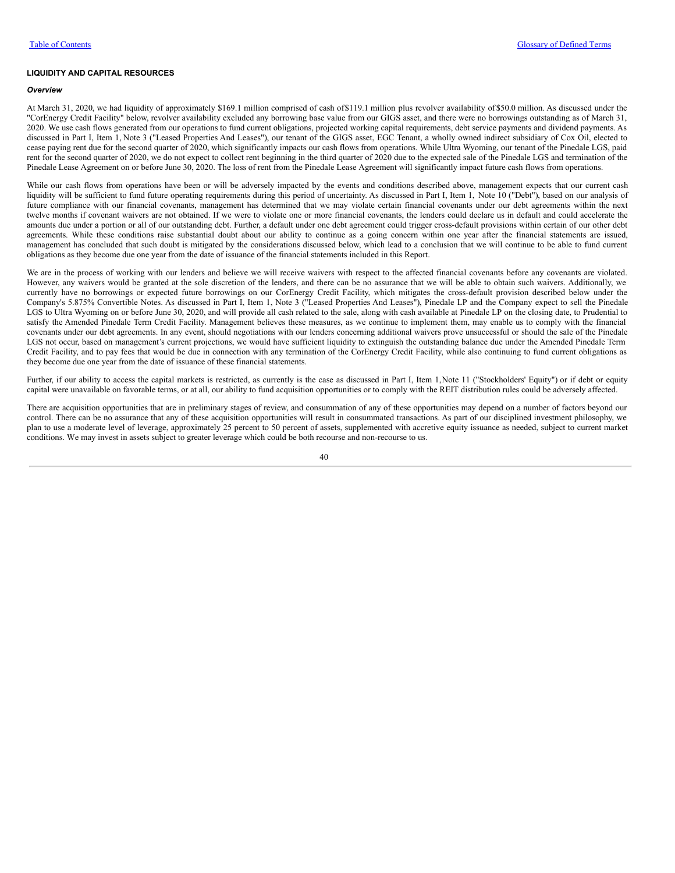# **LIQUIDITY AND CAPITAL RESOURCES**

#### *Overview*

At March 31, 2020, we had liquidity of approximately \$169.1 million comprised of cash of\$119.1 million plus revolver availability of \$50.0 million. As discussed under the "CorEnergy Credit Facility" below, revolver availability excluded any borrowing base value from our GIGS asset, and there were no borrowings outstanding as of March 31, 2020. We use cash flows generated from our operations to fund current obligations, projected working capital requirements, debt service payments and dividend payments. As discussed in Part I, Item 1, Note 3 ("Leased Properties And Leases"), our tenant of the GIGS asset, EGC Tenant, a wholly owned indirect subsidiary of Cox Oil, elected to cease paying rent due for the second quarter of 2020, which significantly impacts our cash flows from operations. While Ultra Wyoming, our tenant of the Pinedale LGS, paid rent for the second quarter of 2020, we do not expect to collect rent beginning in the third quarter of 2020 due to the expected sale of the Pinedale LGS and termination of the Pinedale Lease Agreement on or before June 30, 2020. The loss of rent from the Pinedale Lease Agreement will significantly impact future cash flows from operations.

While our cash flows from operations have been or will be adversely impacted by the events and conditions described above, management expects that our current cash liquidity will be sufficient to fund future operating requirements during this period of uncertainty. As discussed in Part I, Item 1, Note 10 ("Debt"), based on our analysis of future compliance with our financial covenants, management has determined that we may violate certain financial covenants under our debt agreements within the next twelve months if covenant waivers are not obtained. If we were to violate one or more financial covenants, the lenders could declare us in default and could accelerate the amounts due under a portion or all of our outstanding debt. Further, a default under one debt agreement could trigger cross-default provisions within certain of our other debt agreements. While these conditions raise substantial doubt about our ability to continue as a going concern within one year after the financial statements are issued, management has concluded that such doubt is mitigated by the considerations discussed below, which lead to a conclusion that we will continue to be able to fund current obligations as they become due one year from the date of issuance of the financial statements included in this Report.

We are in the process of working with our lenders and believe we will receive waivers with respect to the affected financial covenants before any covenants are violated. However, any waivers would be granted at the sole discretion of the lenders, and there can be no assurance that we will be able to obtain such waivers. Additionally, we currently have no borrowings or expected future borrowings on our CorEnergy Credit Facility, which mitigates the cross-default provision described below under the Company's 5.875% Convertible Notes. As discussed in Part I, Item 1, Note 3 ("Leased Properties And Leases"), Pinedale LP and the Company expect to sell the Pinedale LGS to Ultra Wyoming on or before June 30, 2020, and will provide all cash related to the sale, along with cash available at Pinedale LP on the closing date, to Prudential to satisfy the Amended Pinedale Term Credit Facility. Management believes these measures, as we continue to implement them, may enable us to comply with the financial covenants under our debt agreements. In any event, should negotiations with our lenders concerning additional waivers prove unsuccessful or should the sale of the Pinedale LGS not occur, based on management's current projections, we would have sufficient liquidity to extinguish the outstanding balance due under the Amended Pinedale Term Credit Facility, and to pay fees that would be due in connection with any termination of the CorEnergy Credit Facility, while also continuing to fund current obligations as they become due one year from the date of issuance of these financial statements.

Further, if our ability to access the capital markets is restricted, as currently is the case as discussed in Part I, Item 1, Note 11 ("Stockholders' Equity") or if debt or equity capital were unavailable on favorable terms, or at all, our ability to fund acquisition opportunities or to comply with the REIT distribution rules could be adversely affected.

There are acquisition opportunities that are in preliminary stages of review, and consummation of any of these opportunities may depend on a number of factors beyond our control. There can be no assurance that any of these acquisition opportunities will result in consummated transactions. As part of our disciplined investment philosophy, we plan to use a moderate level of leverage, approximately 25 percent to 50 percent of assets, supplemented with accretive equity issuance as needed, subject to current market conditions. We may invest in assets subject to greater leverage which could be both recourse and non-recourse to us.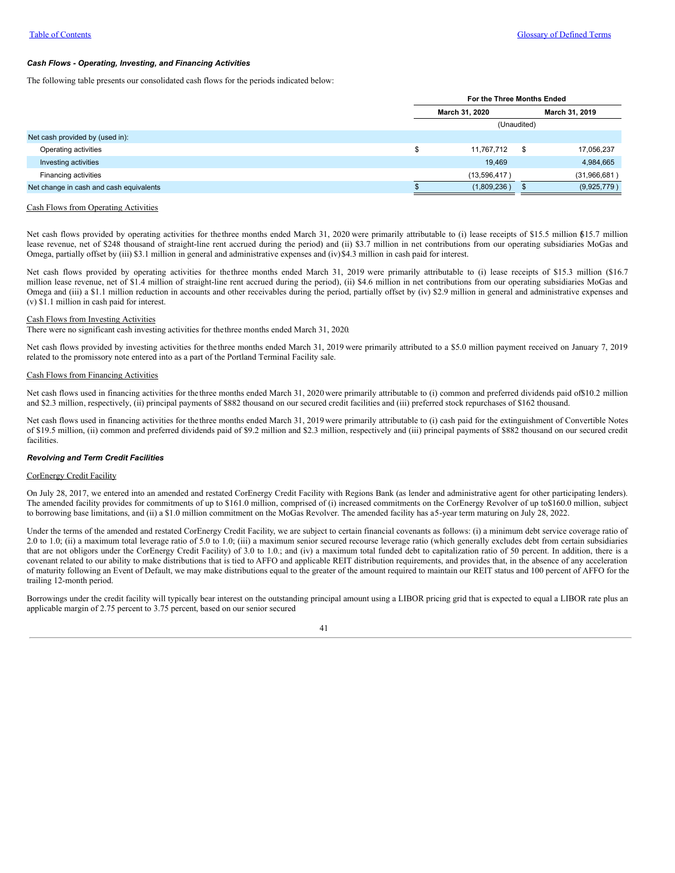#### *Cash Flows - Operating, Investing, and Financing Activities*

The following table presents our consolidated cash flows for the periods indicated below:

|                                         | For the Three Months Ended       |  |              |  |  |
|-----------------------------------------|----------------------------------|--|--------------|--|--|
|                                         | March 31, 2019<br>March 31, 2020 |  |              |  |  |
|                                         | (Unaudited)                      |  |              |  |  |
| Net cash provided by (used in):         |                                  |  |              |  |  |
| Operating activities                    | 11,767,712                       |  | 17,056,237   |  |  |
| Investing activities                    | 19.469                           |  | 4,984,665    |  |  |
| Financing activities                    | (13,596,417)                     |  | (31,966,681) |  |  |
| Net change in cash and cash equivalents | (1,809,236)                      |  | (9,925,779)  |  |  |

#### Cash Flows from Operating Activities

Net cash flows provided by operating activities for the three months ended March 31, 2020 were primarily attributable to (i) lease receipts of \$15.5 million \$15.7 million lease revenue, net of \$248 thousand of straight-line rent accrued during the period) and (ii) \$3.7 million in net contributions from our operating subsidiaries MoGas and Omega, partially offset by (iii) \$3.1 million in general and administrative expenses and (iv)\$4.3 million in cash paid for interest.

Net cash flows provided by operating activities for the three months ended March 31, 2019 were primarily attributable to (i) lease receipts of \$15.3 million (\$16.7) million lease revenue, net of \$1.4 million of straight-line rent accrued during the period), (ii) \$4.6 million in net contributions from our operating subsidiaries MoGas and Omega and (iii) a \$1.1 million reduction in accounts and other receivables during the period, partially offset by (iv) \$2.9 million in general and administrative expenses and (v) \$1.1 million in cash paid for interest.

#### Cash Flows from Investing Activities

There were no significant cash investing activities for thethree months ended March 31, 2020.

Net cash flows provided by investing activities for the three months ended March 31, 2019 were primarily attributed to a \$5.0 million payment received on January 7, 2019 related to the promissory note entered into as a part of the Portland Terminal Facility sale.

#### Cash Flows from Financing Activities

Net cash flows used in financing activities for the three months ended March 31, 2020 were primarily attributable to (i) common and preferred dividends paid of\$10.2 million and \$2.3 million, respectively, (ii) principal payments of \$882 thousand on our secured credit facilities and (iii) preferred stock repurchases of \$162 thousand.

Net cash flows used in financing activities for the three months ended March 31, 2019 were primarily attributable to (i) cash paid for the extinguishment of Convertible Notes of \$19.5 million, (ii) common and preferred dividends paid of \$9.2 million and \$2.3 million, respectively and (iii) principal payments of \$882 thousand on our secured credit facilities.

#### *Revolving and Term Credit Facilities*

#### CorEnergy Credit Facility

On July 28, 2017, we entered into an amended and restated CorEnergy Credit Facility with Regions Bank (as lender and administrative agent for other participating lenders). The amended facility provides for commitments of up to \$161.0 million, comprised of (i) increased commitments on the CorEnergy Revolver of up to\$160.0 million, subject to borrowing base limitations, and (ii) a \$1.0 million commitment on the MoGas Revolver. The amended facility has a5-year term maturing on July 28, 2022.

Under the terms of the amended and restated CorEnergy Credit Facility, we are subject to certain financial covenants as follows: (i) a minimum debt service coverage ratio of 2.0 to 1.0; (ii) a maximum total leverage ratio of 5.0 to 1.0; (iii) a maximum senior secured recourse leverage ratio (which generally excludes debt from certain subsidiaries that are not obligors under the CorEnergy Credit Facility) of 3.0 to 1.0.; and (iv) a maximum total funded debt to capitalization ratio of 50 percent. In addition, there is a covenant related to our ability to make distributions that is tied to AFFO and applicable REIT distribution requirements, and provides that, in the absence of any acceleration of maturity following an Event of Default, we may make distributions equal to the greater of the amount required to maintain our REIT status and 100 percent of AFFO for the trailing 12-month period.

Borrowings under the credit facility will typically bear interest on the outstanding principal amount using a LIBOR pricing grid that is expected to equal a LIBOR rate plus an applicable margin of 2.75 percent to 3.75 percent, based on our senior secured

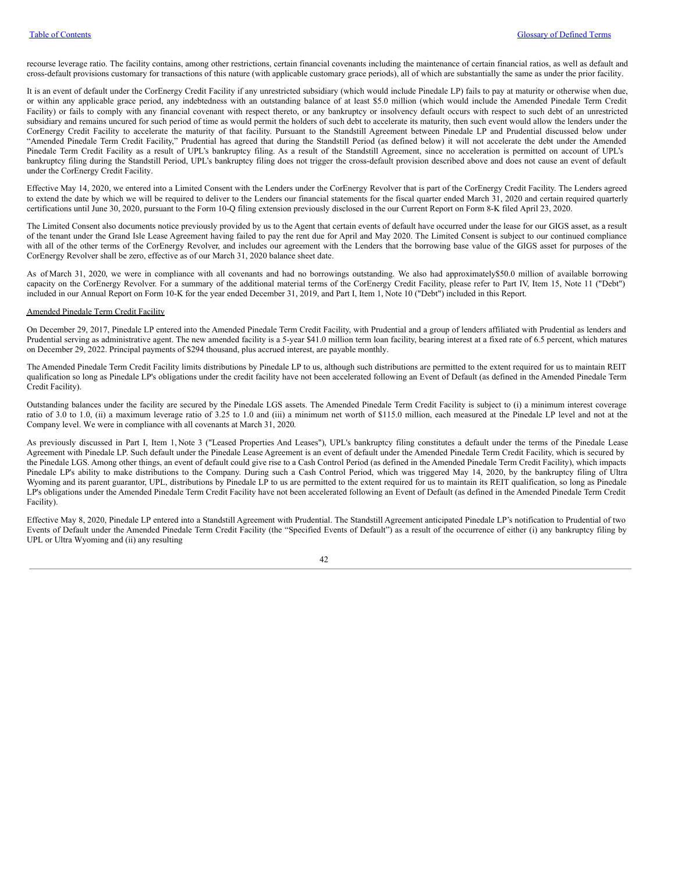recourse leverage ratio. The facility contains, among other restrictions, certain financial covenants including the maintenance of certain financial ratios, as well as default and cross-default provisions customary for transactions of this nature (with applicable customary grace periods), all of which are substantially the same as under the prior facility.

It is an event of default under the CorEnergy Credit Facility if any unrestricted subsidiary (which would include Pinedale LP) fails to pay at maturity or otherwise when due, or within any applicable grace period, any indebtedness with an outstanding balance of at least \$5.0 million (which would include the Amended Pinedale Term Credit Facility) or fails to comply with any financial covenant with respect thereto, or any bankruptcy or insolvency default occurs with respect to such debt of an unrestricted subsidiary and remains uncured for such period of time as would permit the holders of such debt to accelerate its maturity, then such event would allow the lenders under the CorEnergy Credit Facility to accelerate the maturity of that facility. Pursuant to the Standstill Agreement between Pinedale LP and Prudential discussed below under "Amended Pinedale Term Credit Facility," Prudential has agreed that during the Standstill Period (as defined below) it will not accelerate the debt under the Amended Pinedale Term Credit Facility as a result of UPL's bankruptcy filing. As a result of the Standstill Agreement, since no acceleration is permitted on account of UPL's bankruptcy filing during the Standstill Period, UPL's bankruptcy filing does not trigger the cross-default provision described above and does not cause an event of default under the CorEnergy Credit Facility.

Effective May 14, 2020, we entered into a Limited Consent with the Lenders under the CorEnergy Revolver that is part of the CorEnergy Credit Facility. The Lenders agreed to extend the date by which we will be required to deliver to the Lenders our financial statements for the fiscal quarter ended March 31, 2020 and certain required quarterly certifications until June 30, 2020, pursuant to the Form 10‑Q filing extension previously disclosed in the our Current Report on Form 8-K filed April 23, 2020.

The Limited Consent also documents notice previously provided by us to the Agent that certain events of default have occurred under the lease for our GIGS asset, as a result of the tenant under the Grand Isle Lease Agreement having failed to pay the rent due for April and May 2020. The Limited Consent is subject to our continued compliance with all of the other terms of the CorEnergy Revolver, and includes our agreement with the Lenders that the borrowing base value of the GIGS asset for purposes of the CorEnergy Revolver shall be zero, effective as of our March 31, 2020 balance sheet date.

As of March 31, 2020, we were in compliance with all covenants and had no borrowings outstanding. We also had approximately\$50.0 million of available borrowing capacity on the CorEnergy Revolver. For a summary of the additional material terms of the CorEnergy Credit Facility, please refer to Part IV, Item 15, Note 11 ("Debt") included in our Annual Report on Form 10-K for the year ended December 31, 2019, and Part I, Item 1, Note 10 ("Debt") included in this Report.

# Amended Pinedale Term Credit Facility

On December 29, 2017, Pinedale LP entered into the Amended Pinedale Term Credit Facility, with Prudential and a group of lenders affiliated with Prudential as lenders and Prudential serving as administrative agent. The new amended facility is a 5-year \$41.0 million term loan facility, bearing interest at a fixed rate of 6.5 percent, which matures on December 29, 2022. Principal payments of \$294 thousand, plus accrued interest, are payable monthly.

The Amended Pinedale Term Credit Facility limits distributions by Pinedale LP to us, although such distributions are permitted to the extent required for us to maintain REIT qualification so long as Pinedale LP's obligations under the credit facility have not been accelerated following an Event of Default (as defined in the Amended Pinedale Term Credit Facility).

Outstanding balances under the facility are secured by the Pinedale LGS assets. The Amended Pinedale Term Credit Facility is subject to (i) a minimum interest coverage ratio of 3.0 to 1.0, (ii) a maximum leverage ratio of 3.25 to 1.0 and (iii) a minimum net worth of \$115.0 million, each measured at the Pinedale LP level and not at the Company level. We were in compliance with all covenants at March 31, 2020.

As previously discussed in Part I, Item 1, Note 3 ("Leased Properties And Leases"), UPL's bankruptcy filing constitutes a default under the terms of the Pinedale Lease Agreement with Pinedale LP. Such default under the Pinedale Lease Agreement is an event of default under the Amended Pinedale Term Credit Facility, which is secured by the Pinedale LGS. Among other things, an event of default could give rise to a Cash Control Period (as defined in the Amended Pinedale Term Credit Facility), which impacts Pinedale LP's ability to make distributions to the Company. During such a Cash Control Period, which was triggered May 14, 2020, by the bankruptcy filing of Ultra Wyoming and its parent guarantor, UPL, distributions by Pinedale LP to us are permitted to the extent required for us to maintain its REIT qualification, so long as Pinedale LP's obligations under the Amended Pinedale Term Credit Facility have not been accelerated following an Event of Default (as defined in the Amended Pinedale Term Credit Facility).

Effective May 8, 2020, Pinedale LP entered into a Standstill Agreement with Prudential. The Standstill Agreement anticipated Pinedale LP's notification to Prudential of two Events of Default under the Amended Pinedale Term Credit Facility (the "Specified Events of Default") as a result of the occurrence of either (i) any bankruptcy filing by UPL or Ultra Wyoming and (ii) any resulting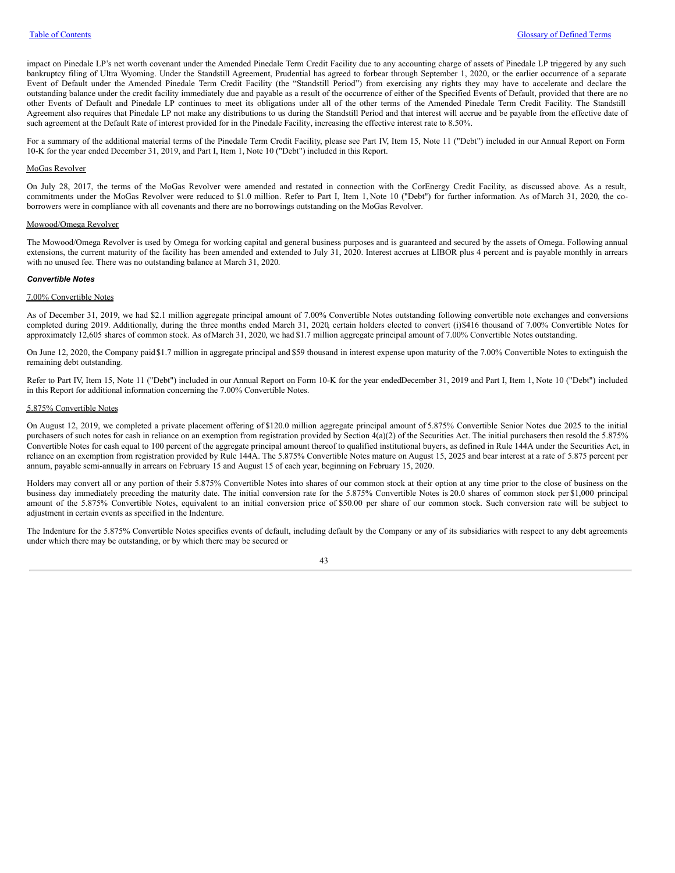impact on Pinedale LP's net worth covenant under the Amended Pinedale Term Credit Facility due to any accounting charge of assets of Pinedale LP triggered by any such bankruptcy filing of Ultra Wyoming. Under the Standstill Agreement, Prudential has agreed to forbear through September 1, 2020, or the earlier occurrence of a separate Event of Default under the Amended Pinedale Term Credit Facility (the "Standstill Period") from exercising any rights they may have to accelerate and declare the outstanding balance under the credit facility immediately due and payable as a result of the occurrence of either of the Specified Events of Default, provided that there are no other Events of Default and Pinedale LP continues to meet its obligations under all of the other terms of the Amended Pinedale Term Credit Facility. The Standstill Agreement also requires that Pinedale LP not make any distributions to us during the Standstill Period and that interest will accrue and be payable from the effective date of such agreement at the Default Rate of interest provided for in the Pinedale Facility, increasing the effective interest rate to 8.50%.

For a summary of the additional material terms of the Pinedale Term Credit Facility, please see Part IV, Item 15, Note 11 ("Debt") included in our Annual Report on Form 10-K for the year ended December 31, 2019, and Part I, Item 1, Note 10 ("Debt") included in this Report.

#### MoGas Revolver

On July 28, 2017, the terms of the MoGas Revolver were amended and restated in connection with the CorEnergy Credit Facility, as discussed above. As a result, commitments under the MoGas Revolver were reduced to \$1.0 million. Refer to Part I, Item 1, Note 10 ("Debt") for further information. As of March 31, 2020, the coborrowers were in compliance with all covenants and there are no borrowings outstanding on the MoGas Revolver.

#### Mowood/Omega Revolver

The Mowood/Omega Revolver is used by Omega for working capital and general business purposes and is guaranteed and secured by the assets of Omega. Following annual extensions, the current maturity of the facility has been amended and extended to July 31, 2020. Interest accrues at LIBOR plus 4 percent and is payable monthly in arrears with no unused fee. There was no outstanding balance at March 31, 2020.

#### *Convertible Notes*

#### 7.00% Convertible Notes

As of December 31, 2019, we had \$2.1 million aggregate principal amount of 7.00% Convertible Notes outstanding following convertible note exchanges and conversions completed during 2019. Additionally, during the three months ended March 31, 2020, certain holders elected to convert (i)\$416 thousand of 7.00% Convertible Notes for approximately 12,605 shares of common stock. As ofMarch 31, 2020, we had \$1.7 million aggregate principal amount of 7.00% Convertible Notes outstanding.

On June 12, 2020, the Company paid \$1.7 million in aggregate principal and \$59 thousand in interest expense upon maturity of the 7.00% Convertible Notes to extinguish the remaining debt outstanding.

Refer to Part IV, Item 15, Note 11 ("Debt") included in our Annual Report on Form 10-K for the year endedDecember 31, 2019 and Part I, Item 1, Note 10 ("Debt") included in this Report for additional information concerning the 7.00% Convertible Notes.

#### 5.875% Convertible Notes

On August 12, 2019, we completed a private placement offering of \$120.0 million aggregate principal amount of 5.875% Convertible Senior Notes due 2025 to the initial purchasers of such notes for cash in reliance on an exemption from registration provided by Section 4(a)(2) of the Securities Act. The initial purchasers then resold the 5.875% Convertible Notes for cash equal to 100 percent of the aggregate principal amount thereof to qualified institutional buyers, as defined in Rule 144A under the Securities Act, in reliance on an exemption from registration provided by Rule 144A. The 5.875% Convertible Notes mature on August 15, 2025 and bear interest at a rate of 5.875 percent per annum, payable semi-annually in arrears on February 15 and August 15 of each year, beginning on February 15, 2020.

Holders may convert all or any portion of their 5.875% Convertible Notes into shares of our common stock at their option at any time prior to the close of business on the business day immediately preceding the maturity date. The initial conversion rate for the 5.875% Convertible Notes is 20.0 shares of common stock per \$1,000 principal amount of the 5.875% Convertible Notes, equivalent to an initial conversion price of \$50.00 per share of our common stock. Such conversion rate will be subject to adjustment in certain events as specified in the Indenture.

The Indenture for the 5.875% Convertible Notes specifies events of default, including default by the Company or any of its subsidiaries with respect to any debt agreements under which there may be outstanding, or by which there may be secured or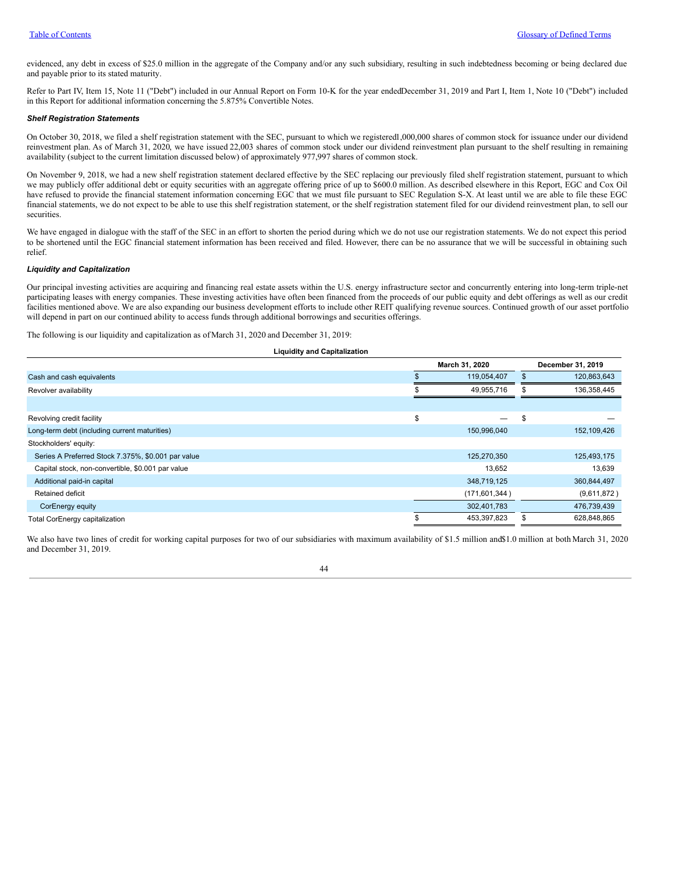evidenced, any debt in excess of \$25.0 million in the aggregate of the Company and/or any such subsidiary, resulting in such indebtedness becoming or being declared due and payable prior to its stated maturity.

Refer to Part IV, Item 15, Note 11 ("Debt") included in our Annual Report on Form 10-K for the year endedDecember 31, 2019 and Part I, Item 1, Note 10 ("Debt") included in this Report for additional information concerning the 5.875% Convertible Notes.

#### *Shelf Registration Statements*

On October 30, 2018, we filed a shelf registration statement with the SEC, pursuant to which we registered1,000,000 shares of common stock for issuance under our dividend reinvestment plan. As of March 31, 2020, we have issued 22,003 shares of common stock under our dividend reinvestment plan pursuant to the shelf resulting in remaining availability (subject to the current limitation discussed below) of approximately 977,997 shares of common stock.

On November 9, 2018, we had a new shelf registration statement declared effective by the SEC replacing our previously filed shelf registration statement, pursuant to which we may publicly offer additional debt or equity securities with an aggregate offering price of up to \$600.0 million. As described elsewhere in this Report, EGC and Cox Oil have refused to provide the financial statement information concerning EGC that we must file pursuant to SEC Regulation S-X. At least until we are able to file these EGC financial statements, we do not expect to be able to use this shelf registration statement, or the shelf registration statement filed for our dividend reinvestment plan, to sell our securities.

We have engaged in dialogue with the staff of the SEC in an effort to shorten the period during which we do not use our registration statements. We do not expect this period to be shortened until the EGC financial statement information has been received and filed. However, there can be no assurance that we will be successful in obtaining such relief.

#### *Liquidity and Capitalization*

Our principal investing activities are acquiring and financing real estate assets within the U.S. energy infrastructure sector and concurrently entering into long-term triple-net participating leases with energy companies. These investing activities have often been financed from the proceeds of our public equity and debt offerings as well as our credit facilities mentioned above. We are also expanding our business development efforts to include other REIT qualifying revenue sources. Continued growth of our asset portfolio will depend in part on our continued ability to access funds through additional borrowings and securities offerings.

The following is our liquidity and capitalization as of March 31, 2020 and December 31, 2019:

| <b>Liquidity and Capitalization</b>                |                 |                   |
|----------------------------------------------------|-----------------|-------------------|
|                                                    | March 31, 2020  | December 31, 2019 |
| Cash and cash equivalents                          | 119,054,407     | 120,863,643       |
| Revolver availability                              | 49,955,716      | 136,358,445       |
|                                                    |                 |                   |
| Revolving credit facility                          | \$              | \$                |
| Long-term debt (including current maturities)      | 150,996,040     | 152,109,426       |
| Stockholders' equity:                              |                 |                   |
| Series A Preferred Stock 7.375%, \$0.001 par value | 125,270,350     | 125,493,175       |
| Capital stock, non-convertible, \$0.001 par value  | 13,652          | 13,639            |
| Additional paid-in capital                         | 348,719,125     | 360,844,497       |
| <b>Retained deficit</b>                            | (171, 601, 344) | (9,611,872)       |
| CorEnergy equity                                   | 302,401,783     | 476,739,439       |
| Total CorEnergy capitalization                     | 453,397,823     | 628,848,865       |

We also have two lines of credit for working capital purposes for two of our subsidiaries with maximum availability of \$1.5 million and\$1.0 million at both March 31, 2020 and December 31, 2019.

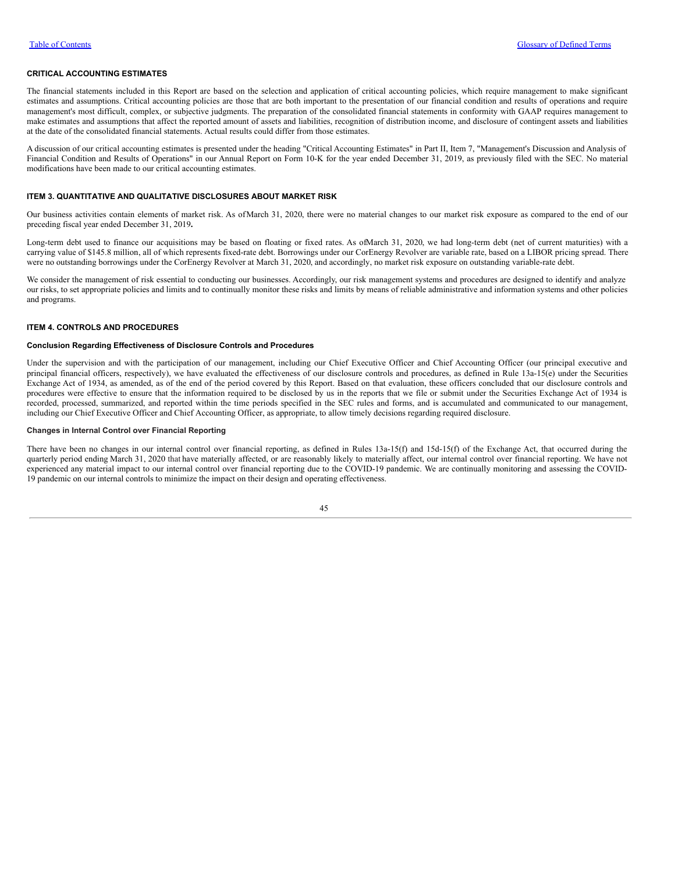## **CRITICAL ACCOUNTING ESTIMATES**

The financial statements included in this Report are based on the selection and application of critical accounting policies, which require management to make significant estimates and assumptions. Critical accounting policies are those that are both important to the presentation of our financial condition and results of operations and require management's most difficult, complex, or subjective judgments. The preparation of the consolidated financial statements in conformity with GAAP requires management to make estimates and assumptions that affect the reported amount of assets and liabilities, recognition of distribution income, and disclosure of contingent assets and liabilities at the date of the consolidated financial statements. Actual results could differ from those estimates.

A discussion of our critical accounting estimates is presented under the heading "Critical Accounting Estimates" in Part II, Item 7, "Management's Discussion and Analysis of Financial Condition and Results of Operations" in our Annual Report on Form 10-K for the year ended December 31, 2019, as previously filed with the SEC. No material modifications have been made to our critical accounting estimates.

### <span id="page-47-0"></span>**ITEM 3. QUANTITATIVE AND QUALITATIVE DISCLOSURES ABOUT MARKET RISK**

Our business activities contain elements of market risk. As ofMarch 31, 2020, there were no material changes to our market risk exposure as compared to the end of our preceding fiscal year ended December 31, 2019**.**

Long-term debt used to finance our acquisitions may be based on floating or fixed rates. As ofMarch 31, 2020, we had long-term debt (net of current maturities) with a carrying value of \$145.8 million, all of which represents fixed-rate debt. Borrowings under our CorEnergy Revolver are variable rate, based on a LIBOR pricing spread. There were no outstanding borrowings under the CorEnergy Revolver at March 31, 2020, and accordingly, no market risk exposure on outstanding variable-rate debt.

We consider the management of risk essential to conducting our businesses. Accordingly, our risk management systems and procedures are designed to identify and analyze our risks, to set appropriate policies and limits and to continually monitor these risks and limits by means of reliable administrative and information systems and other policies and programs.

#### <span id="page-47-1"></span>**ITEM 4. CONTROLS AND PROCEDURES**

#### **Conclusion Regarding Effectiveness of Disclosure Controls and Procedures**

Under the supervision and with the participation of our management, including our Chief Executive Officer and Chief Accounting Officer (our principal executive and principal financial officers, respectively), we have evaluated the effectiveness of our disclosure controls and procedures, as defined in Rule 13a-15(e) under the Securities Exchange Act of 1934, as amended, as of the end of the period covered by this Report. Based on that evaluation, these officers concluded that our disclosure controls and procedures were effective to ensure that the information required to be disclosed by us in the reports that we file or submit under the Securities Exchange Act of 1934 is recorded, processed, summarized, and reported within the time periods specified in the SEC rules and forms, and is accumulated and communicated to our management, including our Chief Executive Officer and Chief Accounting Officer, as appropriate, to allow timely decisions regarding required disclosure.

#### **Changes in Internal Control over Financial Reporting**

There have been no changes in our internal control over financial reporting, as defined in Rules 13a-15(f) and 15d-15(f) of the Exchange Act, that occurred during the quarterly period ending March 31, 2020 that have materially affected, or are reasonably likely to materially affect, our internal control over financial reporting. We have not experienced any material impact to our internal control over financial reporting due to the COVID-19 pandemic. We are continually monitoring and assessing the COVID-19 pandemic on our internal controls to minimize the impact on their design and operating effectiveness.

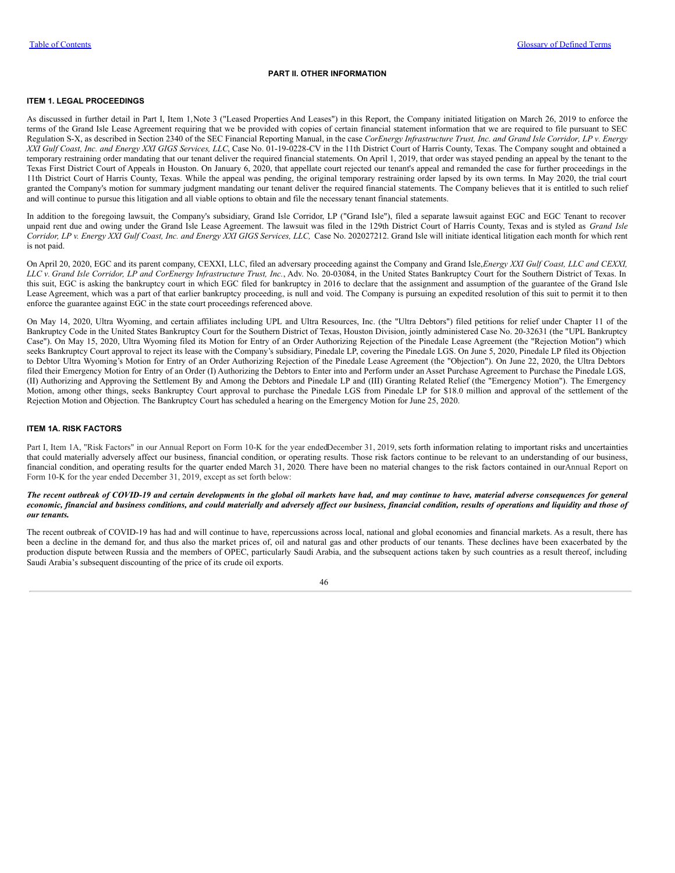#### **PART II. OTHER INFORMATION**

#### <span id="page-48-1"></span><span id="page-48-0"></span>**ITEM 1. LEGAL PROCEEDINGS**

As discussed in further detail in Part I, Item 1,Note 3 ("Leased Properties And Leases") in this Report, the Company initiated litigation on March 26, 2019 to enforce the terms of the Grand Isle Lease Agreement requiring that we be provided with copies of certain financial statement information that we are required to file pursuant to SEC Regulation S-X, as described in Section 2340 of the SEC Financial Reporting Manual, in the case CorEnergy Infrastructure Trust, Inc. and Grand Isle Corridor, LP v. Energy XXI Gulf Coast, Inc. and Energy XXI GIGS Services, LLC, Case No. 01-19-0228-CV in the 11th District Court of Harris County, Texas. The Company sought and obtained a temporary restraining order mandating that our tenant deliver the required financial statements. On April 1, 2019, that order was stayed pending an appeal by the tenant to the Texas First District Court of Appeals in Houston. On January 6, 2020, that appellate court rejected our tenant's appeal and remanded the case for further proceedings in the 11th District Court of Harris County, Texas. While the appeal was pending, the original temporary restraining order lapsed by its own terms. In May 2020, the trial court granted the Company's motion for summary judgment mandating our tenant deliver the required financial statements. The Company believes that it is entitled to such relief and will continue to pursue this litigation and all viable options to obtain and file the necessary tenant financial statements.

In addition to the foregoing lawsuit, the Company's subsidiary, Grand Isle Corridor, LP ("Grand Isle"), filed a separate lawsuit against EGC and EGC Tenant to recover unpaid rent due and owing under the Grand Isle Lease Agreement. The lawsuit was filed in the 129th District Court of Harris County, Texas and is styled as *Grand Isle* Corridor, LP v. Energy XXI Gulf Coast, Inc. and Energy XXI GIGS Services, LLC, Case No. 202027212. Grand Isle will initiate identical litigation each month for which rent is not paid.

On April 20, 2020, EGC and its parent company, CEXXI, LLC, filed an adversary proceeding against the Company and Grand Isle,*Energy XXI Gulf Coast, LLC and CEXXI,* LLC v. Grand Isle Corridor, LP and CorEnergy Infrastructure Trust, Inc., Adv. No. 20-03084, in the United States Bankruptcy Court for the Southern District of Texas. In this suit, EGC is asking the bankruptcy court in which EGC filed for bankruptcy in 2016 to declare that the assignment and assumption of the guarantee of the Grand Isle Lease Agreement, which was a part of that earlier bankruptcy proceeding, is null and void. The Company is pursuing an expedited resolution of this suit to permit it to then enforce the guarantee against EGC in the state court proceedings referenced above.

On May 14, 2020, Ultra Wyoming, and certain affiliates including UPL and Ultra Resources, Inc. (the "Ultra Debtors") filed petitions for relief under Chapter 11 of the Bankruptcy Code in the United States Bankruptcy Court for the Southern District of Texas, Houston Division, jointly administered Case No. 20-32631 (the "UPL Bankruptcy Case"). On May 15, 2020, Ultra Wyoming filed its Motion for Entry of an Order Authorizing Rejection of the Pinedale Lease Agreement (the "Rejection Motion") which seeks Bankruptcy Court approval to reject its lease with the Company's subsidiary, Pinedale LP, covering the Pinedale LGS. On June 5, 2020, Pinedale LP filed its Objection to Debtor Ultra Wyoming's Motion for Entry of an Order Authorizing Rejection of the Pinedale Lease Agreement (the "Objection"). On June 22, 2020, the Ultra Debtors filed their Emergency Motion for Entry of an Order (I) Authorizing the Debtors to Enter into and Perform under an Asset Purchase Agreement to Purchase the Pinedale LGS, (II) Authorizing and Approving the Settlement By and Among the Debtors and Pinedale LP and (III) Granting Related Relief (the "Emergency Motion"). The Emergency Motion, among other things, seeks Bankruptcy Court approval to purchase the Pinedale LGS from Pinedale LP for \$18.0 million and approval of the settlement of the Rejection Motion and Objection. The Bankruptcy Court has scheduled a hearing on the Emergency Motion for June 25, 2020.

#### <span id="page-48-2"></span>**ITEM 1A. RISK FACTORS**

Part I, Item 1A, "Risk Factors" in our Annual Report on Form 10-K for the year endedDecember 31, 2019, sets forth information relating to important risks and uncertainties that could materially adversely affect our business, financial condition, or operating results. Those risk factors continue to be relevant to an understanding of our business, financial condition, and operating results for the quarter ended March 31, 2020. There have been no material changes to the risk factors contained in ourAnnual Report on Form 10-K for the year ended December 31, 2019, except as set forth below:

#### The recent outbreak of COVID-19 and certain developments in the global oil markets have had, and may continue to have, material adverse consequences for general economic, financial and business conditions, and could materially and adversely affect our business, financial condition, results of operations and liquidity and those of *our tenants.*

The recent outbreak of COVID-19 has had and will continue to have, repercussions across local, national and global economies and financial markets. As a result, there has been a decline in the demand for, and thus also the market prices of, oil and natural gas and other products of our tenants. These declines have been exacerbated by the production dispute between Russia and the members of OPEC, particularly Saudi Arabia, and the subsequent actions taken by such countries as a result thereof, including Saudi Arabia's subsequent discounting of the price of its crude oil exports.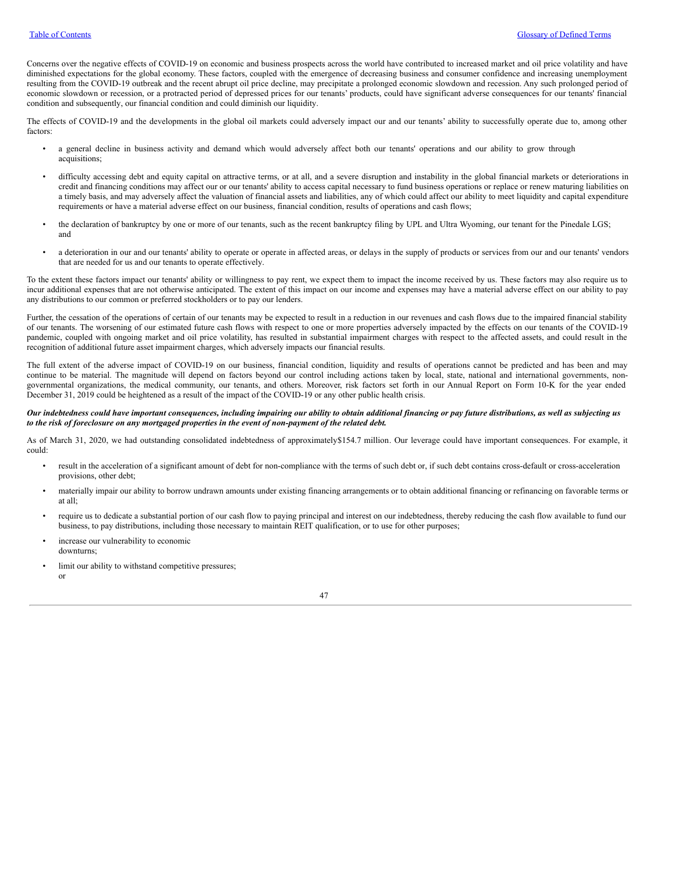Concerns over the negative effects of COVID-19 on economic and business prospects across the world have contributed to increased market and oil price volatility and have diminished expectations for the global economy. These factors, coupled with the emergence of decreasing business and consumer confidence and increasing unemployment resulting from the COVID-19 outbreak and the recent abrupt oil price decline, may precipitate a prolonged economic slowdown and recession. Any such prolonged period of economic slowdown or recession, or a protracted period of depressed prices for our tenants' products, could have significant adverse consequences for our tenants' financial condition and subsequently, our financial condition and could diminish our liquidity.

The effects of COVID-19 and the developments in the global oil markets could adversely impact our and our tenants' ability to successfully operate due to, among other factors:

- a general decline in business activity and demand which would adversely affect both our tenants' operations and our ability to grow through acquisitions;
- difficulty accessing debt and equity capital on attractive terms, or at all, and a severe disruption and instability in the global financial markets or deteriorations in credit and financing conditions may affect our or our tenants' ability to access capital necessary to fund business operations or replace or renew maturing liabilities on a timely basis, and may adversely affect the valuation of financial assets and liabilities, any of which could affect our ability to meet liquidity and capital expenditure requirements or have a material adverse effect on our business, financial condition, results of operations and cash flows;
- the declaration of bankruptcy by one or more of our tenants, such as the recent bankruptcy filing by UPL and Ultra Wyoming, our tenant for the Pinedale LGS; and
- a deterioration in our and our tenants' ability to operate or operate in affected areas, or delays in the supply of products or services from our and our tenants' vendors that are needed for us and our tenants to operate effectively.

To the extent these factors impact our tenants' ability or willingness to pay rent, we expect them to impact the income received by us. These factors may also require us to incur additional expenses that are not otherwise anticipated. The extent of this impact on our income and expenses may have a material adverse effect on our ability to pay any distributions to our common or preferred stockholders or to pay our lenders.

Further, the cessation of the operations of certain of our tenants may be expected to result in a reduction in our revenues and cash flows due to the impaired financial stability of our tenants. The worsening of our estimated future cash flows with respect to one or more properties adversely impacted by the effects on our tenants of the COVID-19 pandemic, coupled with ongoing market and oil price volatility, has resulted in substantial impairment charges with respect to the affected assets, and could result in the recognition of additional future asset impairment charges, which adversely impacts our financial results.

The full extent of the adverse impact of COVID-19 on our business, financial condition, liquidity and results of operations cannot be predicted and has been and may continue to be material. The magnitude will depend on factors beyond our control including actions taken by local, state, national and international governments, nongovernmental organizations, the medical community, our tenants, and others. Moreover, risk factors set forth in our Annual Report on Form 10-K for the year ended December 31, 2019 could be heightened as a result of the impact of the COVID-19 or any other public health crisis.

#### Our indebtedness could have important consequences, including impairing our ability to obtain additional financing or pay future distributions, as well as subjecting us to the risk of foreclosure on any mortgaged properties in the event of non-payment of the related debt.

As of March 31, 2020, we had outstanding consolidated indebtedness of approximately\$154.7 million. Our leverage could have important consequences. For example, it could:

- result in the acceleration of a significant amount of debt for non-compliance with the terms of such debt or, if such debt contains cross-default or cross-acceleration provisions, other debt;
- materially impair our ability to borrow undrawn amounts under existing financing arrangements or to obtain additional financing or refinancing on favorable terms or at all;
- require us to dedicate a substantial portion of our cash flow to paying principal and interest on our indebtedness, thereby reducing the cash flow available to fund our business, to pay distributions, including those necessary to maintain REIT qualification, or to use for other purposes;
- increase our vulnerability to economic downturns;
- limit our ability to withstand competitive pressures; or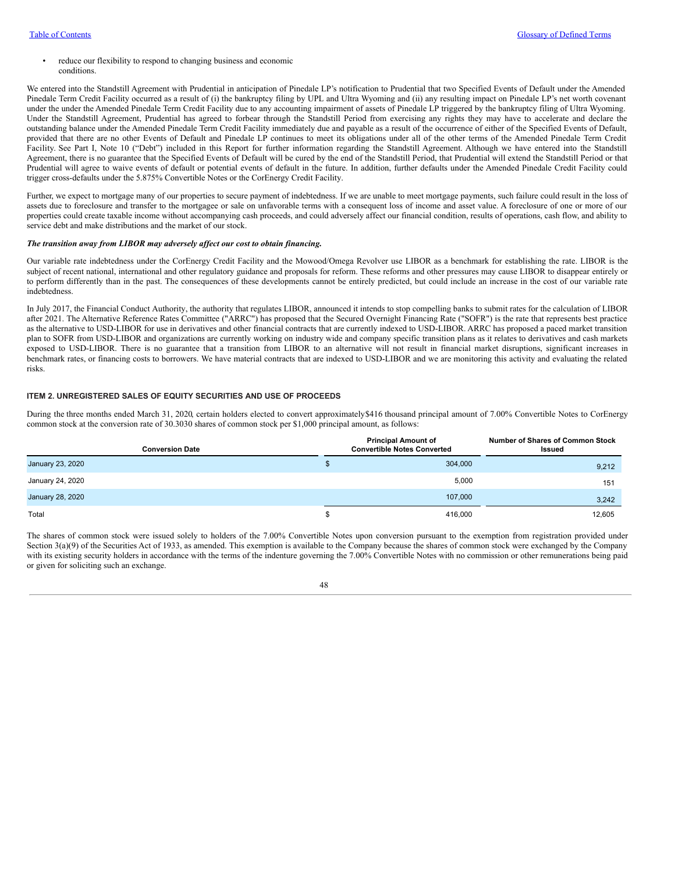reduce our flexibility to respond to changing business and economic conditions.

We entered into the Standstill Agreement with Prudential in anticipation of Pinedale LP's notification to Prudential that two Specified Events of Default under the Amended Pinedale Term Credit Facility occurred as a result of (i) the bankruptcy filing by UPL and Ultra Wyoming and (ii) any resulting impact on Pinedale LP's net worth covenant under the under the Amended Pinedale Term Credit Facility due to any accounting impairment of assets of Pinedale LP triggered by the bankruptcy filing of Ultra Wyoming. Under the Standstill Agreement, Prudential has agreed to forbear through the Standstill Period from exercising any rights they may have to accelerate and declare the outstanding balance under the Amended Pinedale Term Credit Facility immediately due and payable as a result of the occurrence of either of the Specified Events of Default, provided that there are no other Events of Default and Pinedale LP continues to meet its obligations under all of the other terms of the Amended Pinedale Term Credit Facility. See Part I, Note 10 ("Debt") included in this Report for further information regarding the Standstill Agreement. Although we have entered into the Standstill Agreement, there is no guarantee that the Specified Events of Default will be cured by the end of the Standstill Period, that Prudential will extend the Standstill Period or that Prudential will agree to waive events of default or potential events of default in the future. In addition, further defaults under the Amended Pinedale Credit Facility could trigger cross-defaults under the 5.875% Convertible Notes or the CorEnergy Credit Facility.

Further, we expect to mortgage many of our properties to secure payment of indebtedness. If we are unable to meet mortgage payments, such failure could result in the loss of assets due to foreclosure and transfer to the mortgagee or sale on unfavorable terms with a consequent loss of income and asset value. A foreclosure of one or more of our properties could create taxable income without accompanying cash proceeds, and could adversely affect our financial condition, results of operations, cash flow, and ability to service debt and make distributions and the market of our stock.

#### *The transition away from LIBOR may adversely af ect our cost to obtain financing.*

Our variable rate indebtedness under the CorEnergy Credit Facility and the Mowood/Omega Revolver use LIBOR as a benchmark for establishing the rate. LIBOR is the subject of recent national, international and other regulatory guidance and proposals for reform. These reforms and other pressures may cause LIBOR to disappear entirely or to perform differently than in the past. The consequences of these developments cannot be entirely predicted, but could include an increase in the cost of our variable rate indebtedness.

In July 2017, the Financial Conduct Authority, the authority that regulates LIBOR, announced it intends to stop compelling banks to submit rates for the calculation of LIBOR after 2021. The Alternative Reference Rates Committee ("ARRC") has proposed that the Secured Overnight Financing Rate ("SOFR") is the rate that represents best practice as the alternative to USD-LIBOR for use in derivatives and other financial contracts that are currently indexed to USD-LIBOR. ARRC has proposed a paced market transition plan to SOFR from USD-LIBOR and organizations are currently working on industry wide and company specific transition plans as it relates to derivatives and cash markets exposed to USD-LIBOR. There is no guarantee that a transition from LIBOR to an alternative will not result in financial market disruptions, significant increases in benchmark rates, or financing costs to borrowers. We have material contracts that are indexed to USD-LIBOR and we are monitoring this activity and evaluating the related risks.

#### <span id="page-50-0"></span>**ITEM 2. UNREGISTERED SALES OF EQUITY SECURITIES AND USE OF PROCEEDS**

During the three months ended March 31, 2020, certain holders elected to convert approximately\$416 thousand principal amount of 7.00% Convertible Notes to CorEnergy common stock at the conversion rate of 30.3030 shares of common stock per \$1,000 principal amount, as follows:

| <b>Conversion Date</b> |  | <b>Principal Amount of</b><br><b>Convertible Notes Converted</b> | <b>Number of Shares of Common Stock</b><br>Issued |  |  |
|------------------------|--|------------------------------------------------------------------|---------------------------------------------------|--|--|
| January 23, 2020       |  | 304,000                                                          | 9,212                                             |  |  |
| January 24, 2020       |  | 5,000                                                            | 151                                               |  |  |
| January 28, 2020       |  | 107.000                                                          | 3,242                                             |  |  |
| Total                  |  | 416.000                                                          | 12,605                                            |  |  |

The shares of common stock were issued solely to holders of the 7.00% Convertible Notes upon conversion pursuant to the exemption from registration provided under Section 3(a)(9) of the Securities Act of 1933, as amended. This exemption is available to the Company because the shares of common stock were exchanged by the Company with its existing security holders in accordance with the terms of the indenture governing the 7.00% Convertible Notes with no commission or other remunerations being paid or given for soliciting such an exchange.

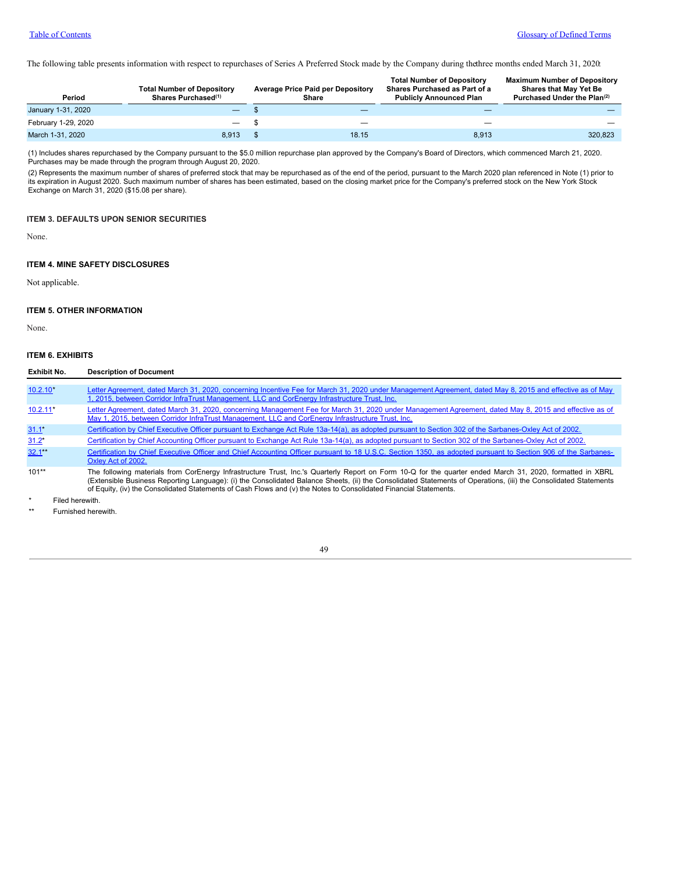The following table presents information with respect to repurchases of Series A Preferred Stock made by the Company during thethree months ended March 31, 2020:

| Period              | <b>Total Number of Depository</b><br>Shares Purchased <sup>(1)</sup> | <b>Average Price Paid per Depository</b><br>Share | <b>Total Number of Depository</b><br><b>Shares Purchased as Part of a</b><br><b>Publicly Announced Plan</b> | <b>Maximum Number of Depository</b><br><b>Shares that May Yet Be</b><br>Purchased Under the Plan(2) |
|---------------------|----------------------------------------------------------------------|---------------------------------------------------|-------------------------------------------------------------------------------------------------------------|-----------------------------------------------------------------------------------------------------|
| January 1-31, 2020  |                                                                      | –                                                 |                                                                                                             |                                                                                                     |
| February 1-29, 2020 | $\overline{\phantom{0}}$                                             |                                                   |                                                                                                             |                                                                                                     |
| March 1-31, 2020    | 8.913                                                                | 18.15                                             | 8.913                                                                                                       | 320,823                                                                                             |

(1) Includes shares repurchased by the Company pursuant to the \$5.0 million repurchase plan approved by the Company's Board of Directors, which commenced March 21, 2020. Purchases may be made through the program through August 20, 2020.

(2) Represents the maximum number of shares of preferred stock that may be repurchased as of the end of the period, pursuant to the March 2020 plan referenced in Note (1) prior to<br>its expiration in August 2020. Such maximu

#### <span id="page-51-0"></span>**ITEM 3. DEFAULTS UPON SENIOR SECURITIES**

<span id="page-51-1"></span>None.

#### **ITEM 4. MINE SAFETY DISCLOSURES**

<span id="page-51-2"></span>Not applicable.

### **ITEM 5. OTHER INFORMATION**

<span id="page-51-3"></span>None.

#### **ITEM 6. EXHIBITS**

| <b>Exhibit No.</b> | <b>Description of Document</b>                                                                                                                                                                                                                                                                                                                                                                                                                     |
|--------------------|----------------------------------------------------------------------------------------------------------------------------------------------------------------------------------------------------------------------------------------------------------------------------------------------------------------------------------------------------------------------------------------------------------------------------------------------------|
|                    |                                                                                                                                                                                                                                                                                                                                                                                                                                                    |
| $10.2.10*$         | Letter Agreement, dated March 31, 2020, concerning Incentive Fee for March 31, 2020 under Management Agreement, dated May 8, 2015 and effective as of May<br>1, 2015, between Corridor InfraTrust Management, LLC and CorEnergy Infrastructure Trust, Inc.                                                                                                                                                                                         |
| $10.2.11*$         | Letter Agreement, dated March 31, 2020, concerning Management Fee for March 31, 2020 under Management Agreement, dated May 8, 2015 and effective as of<br>May 1, 2015, between Corridor InfraTrust Management, LLC and CorEnergy Infrastructure Trust, Inc.                                                                                                                                                                                        |
| $31.1*$            | Certification by Chief Executive Officer pursuant to Exchange Act Rule 13a-14(a), as adopted pursuant to Section 302 of the Sarbanes-Oxley Act of 2002.                                                                                                                                                                                                                                                                                            |
| $31.2*$            | Certification by Chief Accounting Officer pursuant to Exchange Act Rule 13a-14(a), as adopted pursuant to Section 302 of the Sarbanes-Oxley Act of 2002.                                                                                                                                                                                                                                                                                           |
| $32.1***$          | Certification by Chief Executive Officer and Chief Accounting Officer pursuant to 18 U.S.C. Section 1350, as adopted pursuant to Section 906 of the Sarbanes-<br>Oxley Act of 2002.                                                                                                                                                                                                                                                                |
| $101**$            | The following materials from CorEnergy Infrastructure Trust, Inc.'s Quarterly Report on Form 10-Q for the quarter ended March 31, 2020, formatted in XBRL<br>(Extensible Business Reporting Language): (i) the Consolidated Balance Sheets, (ii) the Consolidated Statements of Operations, (iii) the Consolidated Statements<br>of Equity, (iv) the Consolidated Statements of Cash Flows and (v) the Notes to Consolidated Financial Statements. |
| $^\star$           | Filed herewith.                                                                                                                                                                                                                                                                                                                                                                                                                                    |
| $***$              | Furnished herewith.                                                                                                                                                                                                                                                                                                                                                                                                                                |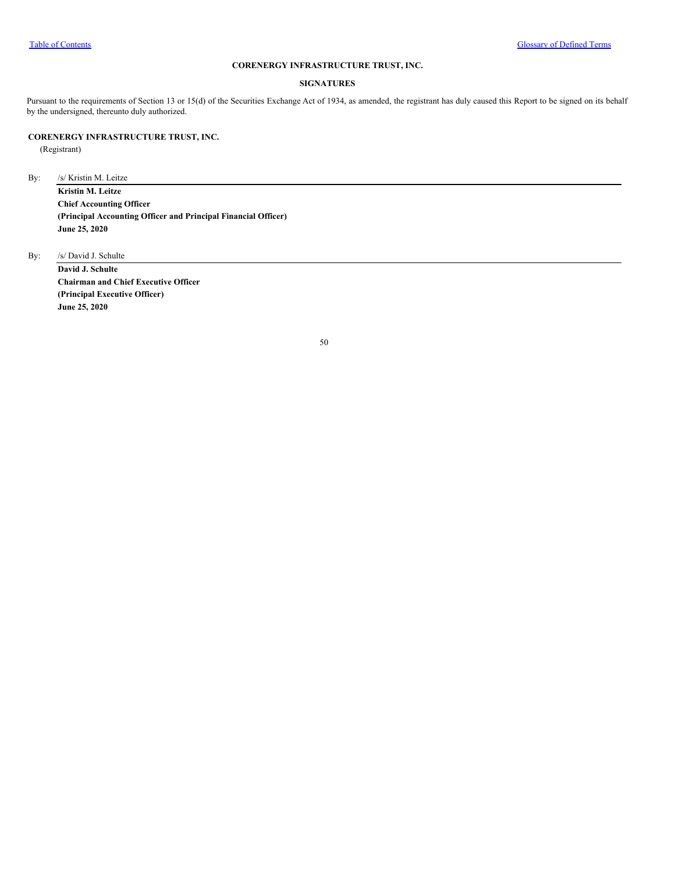# **CORENERGY INFRASTRUCTURE TRUST, INC.**

# **SIGNATURES**

<span id="page-52-0"></span>Pursuant to the requirements of Section 13 or 15(d) of the Securities Exchange Act of 1934, as amended, the registrant has duly caused this Report to be signed on its behalf by the undersigned, thereunto duly authorized.

# **CORENERGY INFRASTRUCTURE TRUST, INC.**

(Registrant)

By: /s/ Kristin M. Leitze

**June 25, 2020**

**Kristin M. Leitze Chief Accounting Officer (Principal Accounting Officer and Principal Financial Officer)**

By: /s/ David J. Schulte

**David J. Schulte Chairman and Chief Executive Officer (Principal Executive Officer) June 25, 2020**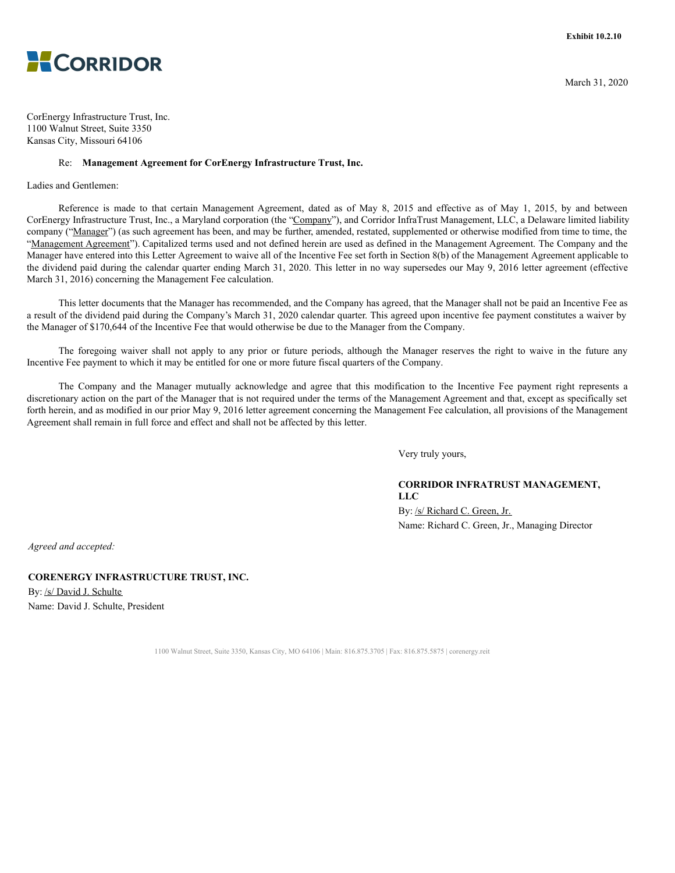<span id="page-53-0"></span>

March 31, 2020

CorEnergy Infrastructure Trust, Inc. 1100 Walnut Street, Suite 3350 Kansas City, Missouri 64106

# Re: **Management Agreement for CorEnergy Infrastructure Trust, Inc.**

Ladies and Gentlemen:

Reference is made to that certain Management Agreement, dated as of May 8, 2015 and effective as of May 1, 2015, by and between CorEnergy Infrastructure Trust, Inc., a Maryland corporation (the "Company"), and Corridor InfraTrust Management, LLC, a Delaware limited liability company ("Manager") (as such agreement has been, and may be further, amended, restated, supplemented or otherwise modified from time to time, the "Management Agreement"). Capitalized terms used and not defined herein are used as defined in the Management Agreement. The Company and the Manager have entered into this Letter Agreement to waive all of the Incentive Fee set forth in Section 8(b) of the Management Agreement applicable to the dividend paid during the calendar quarter ending March 31, 2020. This letter in no way supersedes our May 9, 2016 letter agreement (effective March 31, 2016) concerning the Management Fee calculation.

This letter documents that the Manager has recommended, and the Company has agreed, that the Manager shall not be paid an Incentive Fee as a result of the dividend paid during the Company's March 31, 2020 calendar quarter. This agreed upon incentive fee payment constitutes a waiver by the Manager of \$170,644 of the Incentive Fee that would otherwise be due to the Manager from the Company.

The foregoing waiver shall not apply to any prior or future periods, although the Manager reserves the right to waive in the future any Incentive Fee payment to which it may be entitled for one or more future fiscal quarters of the Company.

The Company and the Manager mutually acknowledge and agree that this modification to the Incentive Fee payment right represents a discretionary action on the part of the Manager that is not required under the terms of the Management Agreement and that, except as specifically set forth herein, and as modified in our prior May 9, 2016 letter agreement concerning the Management Fee calculation, all provisions of the Management Agreement shall remain in full force and effect and shall not be affected by this letter.

Very truly yours,

# **CORRIDOR INFRATRUST MANAGEMENT, LLC**

By: /s/ Richard C. Green, Jr. Name: Richard C. Green, Jr., Managing Director

*Agreed and accepted:*

# **CORENERGY INFRASTRUCTURE TRUST, INC.**

By: /s/ David J. Schulte Name: David J. Schulte, President

1100 Walnut Street, Suite 3350, Kansas City, MO 64106 | Main: 816.875.3705 | Fax: 816.875.5875 | corenergy.reit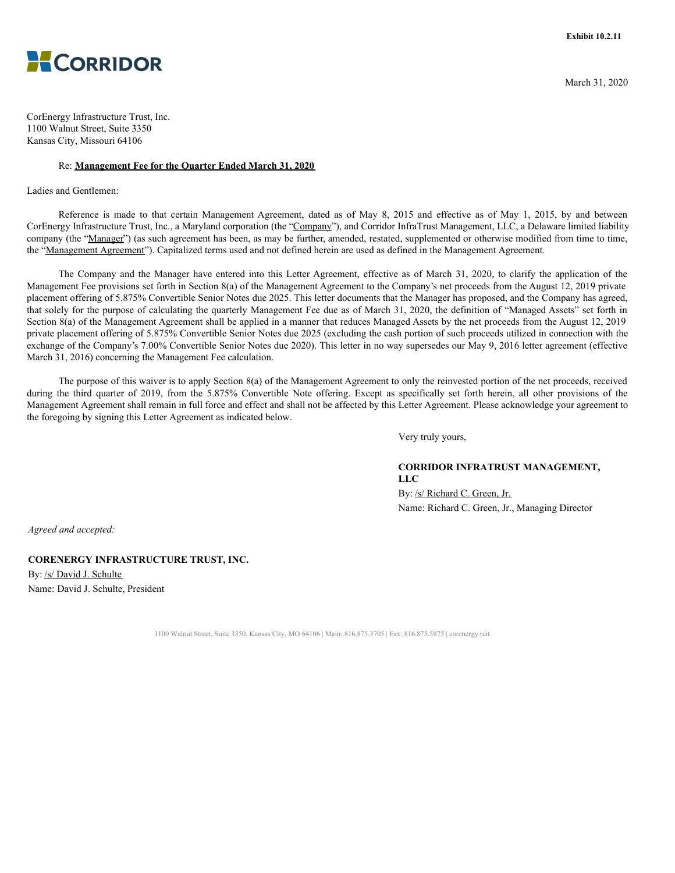<span id="page-54-0"></span>

March 31, 2020

CorEnergy Infrastructure Trust, Inc. 1100 Walnut Street, Suite 3350 Kansas City, Missouri 64106

# Re: **Management Fee for the Quarter Ended March 31, 2020**

Ladies and Gentlemen:

Reference is made to that certain Management Agreement, dated as of May 8, 2015 and effective as of May 1, 2015, by and between CorEnergy Infrastructure Trust, Inc., a Maryland corporation (the "Company"), and Corridor InfraTrust Management, LLC, a Delaware limited liability company (the "Manager") (as such agreement has been, as may be further, amended, restated, supplemented or otherwise modified from time to time, the "Management Agreement"). Capitalized terms used and not defined herein are used as defined in the Management Agreement.

The Company and the Manager have entered into this Letter Agreement, effective as of March 31, 2020, to clarify the application of the Management Fee provisions set forth in Section 8(a) of the Management Agreement to the Company's net proceeds from the August 12, 2019 private placement offering of 5.875% Convertible Senior Notes due 2025. This letter documents that the Manager has proposed, and the Company has agreed, that solely for the purpose of calculating the quarterly Management Fee due as of March 31, 2020, the definition of "Managed Assets" set forth in Section 8(a) of the Management Agreement shall be applied in a manner that reduces Managed Assets by the net proceeds from the August 12, 2019 private placement offering of 5.875% Convertible Senior Notes due 2025 (excluding the cash portion of such proceeds utilized in connection with the exchange of the Company's 7.00% Convertible Senior Notes due 2020). This letter in no way supersedes our May 9, 2016 letter agreement (effective March 31, 2016) concerning the Management Fee calculation.

The purpose of this waiver is to apply Section 8(a) of the Management Agreement to only the reinvested portion of the net proceeds, received during the third quarter of 2019, from the 5.875% Convertible Note offering. Except as specifically set forth herein, all other provisions of the Management Agreement shall remain in full force and effect and shall not be affected by this Letter Agreement. Please acknowledge your agreement to the foregoing by signing this Letter Agreement as indicated below.

Very truly yours,

**CORRIDOR INFRATRUST MANAGEMENT, LLC** By: /s/ Richard C. Green, Jr. Name: Richard C. Green, Jr., Managing Director

*Agreed and accepted:*

**CORENERGY INFRASTRUCTURE TRUST, INC.**

By: /s/ David J. Schulte Name: David J. Schulte, President

1100 Walnut Street, Suite 3350, Kansas City, MO 64106 | Main: 816.875.3705 | Fax: 816.875.5875 | corenergy.reit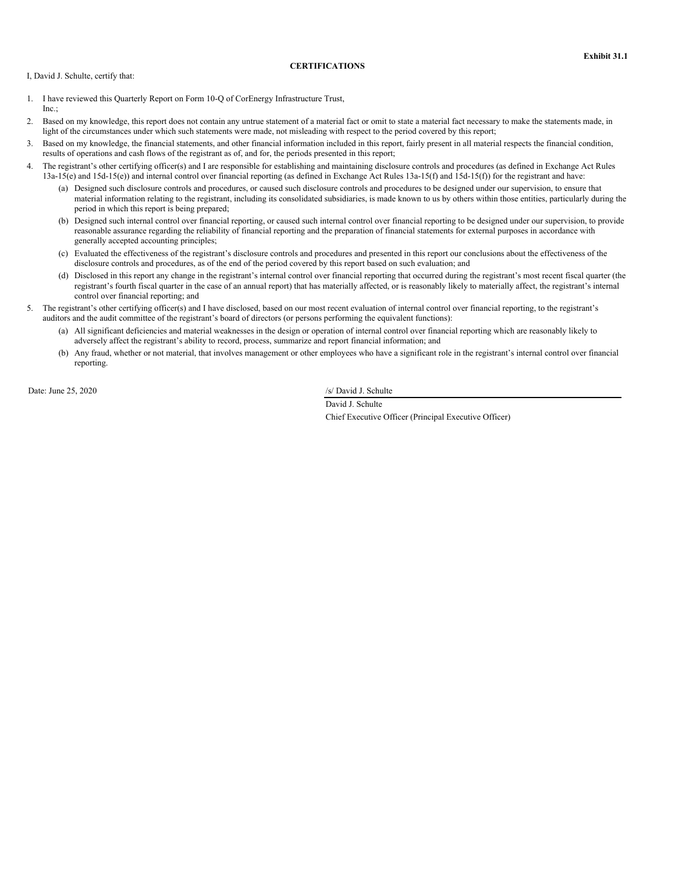### **CERTIFICATIONS**

<span id="page-55-0"></span>I, David J. Schulte, certify that:

- 1. I have reviewed this Quarterly Report on Form 10-Q of CorEnergy Infrastructure Trust, Inc.;
- 2. Based on my knowledge, this report does not contain any untrue statement of a material fact or omit to state a material fact necessary to make the statements made, in light of the circumstances under which such statements were made, not misleading with respect to the period covered by this report;
- 3. Based on my knowledge, the financial statements, and other financial information included in this report, fairly present in all material respects the financial condition, results of operations and cash flows of the registrant as of, and for, the periods presented in this report;
- 4. The registrant's other certifying officer(s) and I are responsible for establishing and maintaining disclosure controls and procedures (as defined in Exchange Act Rules 13a-15(e) and 15d-15(e)) and internal control over financial reporting (as defined in Exchange Act Rules 13a-15(f) and 15d-15(f)) for the registrant and have:
	- (a) Designed such disclosure controls and procedures, or caused such disclosure controls and procedures to be designed under our supervision, to ensure that material information relating to the registrant, including its consolidated subsidiaries, is made known to us by others within those entities, particularly during the period in which this report is being prepared;
	- (b) Designed such internal control over financial reporting, or caused such internal control over financial reporting to be designed under our supervision, to provide reasonable assurance regarding the reliability of financial reporting and the preparation of financial statements for external purposes in accordance with generally accepted accounting principles;
	- (c) Evaluated the effectiveness of the registrant's disclosure controls and procedures and presented in this report our conclusions about the effectiveness of the disclosure controls and procedures, as of the end of the period covered by this report based on such evaluation; and
	- (d) Disclosed in this report any change in the registrant's internal control over financial reporting that occurred during the registrant's most recent fiscal quarter (the registrant's fourth fiscal quarter in the case of an annual report) that has materially affected, or is reasonably likely to materially affect, the registrant's internal control over financial reporting; and
- 5. The registrant's other certifying officer(s) and I have disclosed, based on our most recent evaluation of internal control over financial reporting, to the registrant's auditors and the audit committee of the registrant's board of directors (or persons performing the equivalent functions):
	- (a) All significant deficiencies and material weaknesses in the design or operation of internal control over financial reporting which are reasonably likely to adversely affect the registrant's ability to record, process, summarize and report financial information; and
	- (b) Any fraud, whether or not material, that involves management or other employees who have a significant role in the registrant's internal control over financial reporting.

Date: June 25, 2020

David J. Schulte Chief Executive Officer (Principal Executive Officer)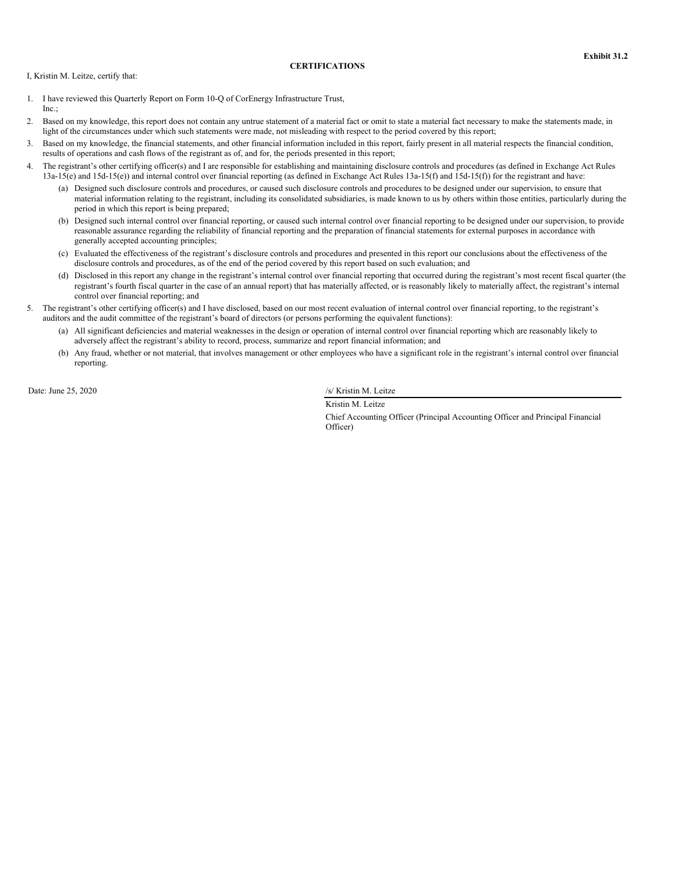#### **CERTIFICATIONS**

<span id="page-56-0"></span>I, Kristin M. Leitze, certify that:

- 1. I have reviewed this Quarterly Report on Form 10-Q of CorEnergy Infrastructure Trust, Inc.;
- 2. Based on my knowledge, this report does not contain any untrue statement of a material fact or omit to state a material fact necessary to make the statements made, in light of the circumstances under which such statements were made, not misleading with respect to the period covered by this report;
- 3. Based on my knowledge, the financial statements, and other financial information included in this report, fairly present in all material respects the financial condition, results of operations and cash flows of the registrant as of, and for, the periods presented in this report;
- 4. The registrant's other certifying officer(s) and I are responsible for establishing and maintaining disclosure controls and procedures (as defined in Exchange Act Rules 13a-15(e) and 15d-15(e)) and internal control over financial reporting (as defined in Exchange Act Rules 13a-15(f) and 15d-15(f)) for the registrant and have:
	- (a) Designed such disclosure controls and procedures, or caused such disclosure controls and procedures to be designed under our supervision, to ensure that material information relating to the registrant, including its consolidated subsidiaries, is made known to us by others within those entities, particularly during the period in which this report is being prepared;
	- (b) Designed such internal control over financial reporting, or caused such internal control over financial reporting to be designed under our supervision, to provide reasonable assurance regarding the reliability of financial reporting and the preparation of financial statements for external purposes in accordance with generally accepted accounting principles;
	- (c) Evaluated the effectiveness of the registrant's disclosure controls and procedures and presented in this report our conclusions about the effectiveness of the disclosure controls and procedures, as of the end of the period covered by this report based on such evaluation; and
	- (d) Disclosed in this report any change in the registrant's internal control over financial reporting that occurred during the registrant's most recent fiscal quarter (the registrant's fourth fiscal quarter in the case of an annual report) that has materially affected, or is reasonably likely to materially affect, the registrant's internal control over financial reporting; and
- 5. The registrant's other certifying officer(s) and I have disclosed, based on our most recent evaluation of internal control over financial reporting, to the registrant's auditors and the audit committee of the registrant's board of directors (or persons performing the equivalent functions):
	- (a) All significant deficiencies and material weaknesses in the design or operation of internal control over financial reporting which are reasonably likely to adversely affect the registrant's ability to record, process, summarize and report financial information; and
	- (b) Any fraud, whether or not material, that involves management or other employees who have a significant role in the registrant's internal control over financial reporting.

Date: June 25, 2020

Kristin M. Leitze

Chief Accounting Officer (Principal Accounting Officer and Principal Financial Officer)